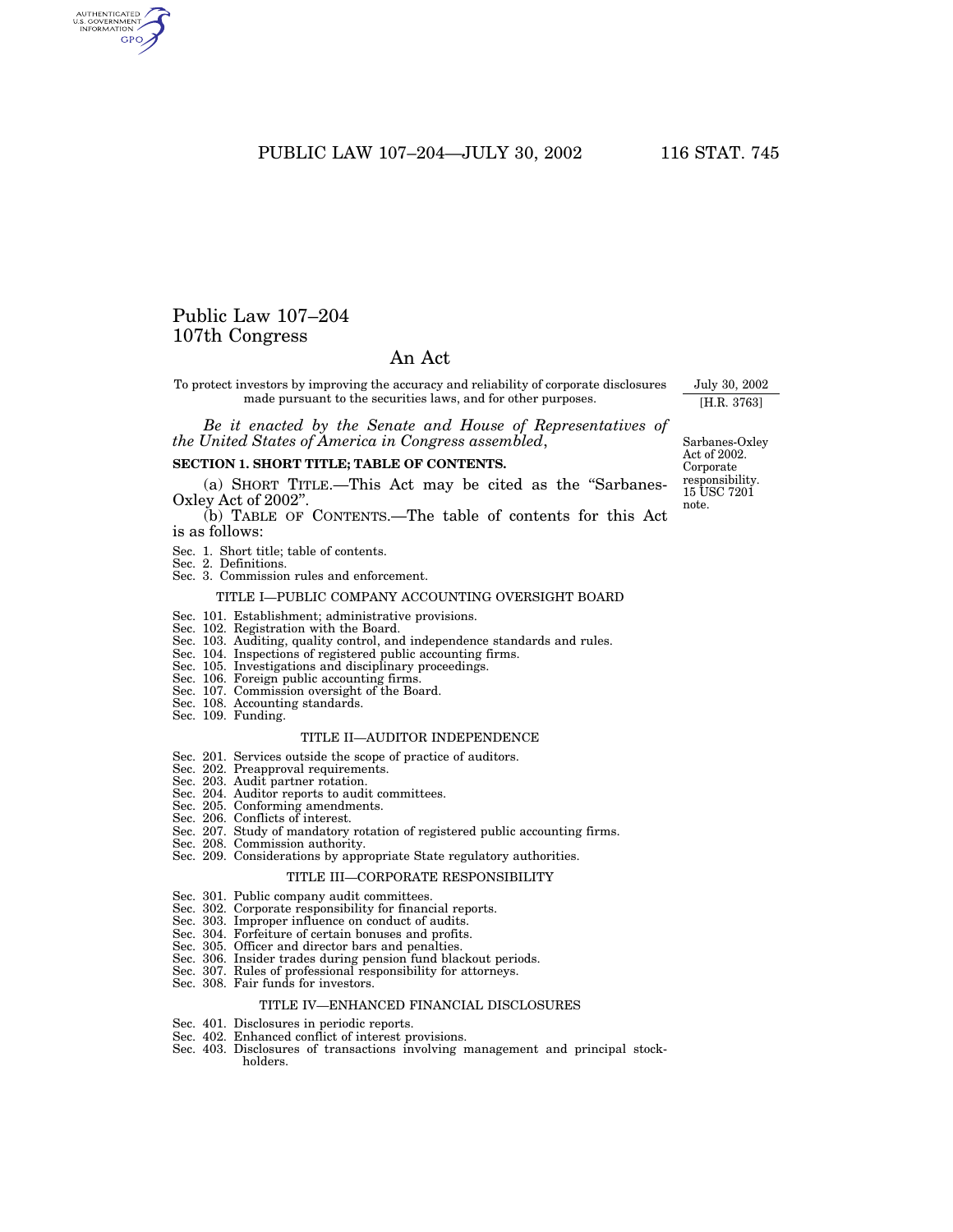# PUBLIC LAW 107–204—JULY 30, 2002 116 STAT. 745

# Public Law 107–204 107th Congress

AUTHENTICATED GPO

## An Act

To protect investors by improving the accuracy and reliability of corporate disclosures made pursuant to the securities laws, and for other purposes.

*Be it enacted by the Senate and House of Representatives of the United States of America in Congress assembled*,

## **SECTION 1. SHORT TITLE; TABLE OF CONTENTS.**

(a) SHORT TITLE.—This Act may be cited as the ''Sarbanes-Oxley Act of 2002''.

(b) TABLE OF CONTENTS.—The table of contents for this Act is as follows:

- Sec. 1. Short title; table of contents.
- Sec. 2. Definitions.
- Sec. 3. Commission rules and enforcement.

### TITLE I—PUBLIC COMPANY ACCOUNTING OVERSIGHT BOARD

- Sec. 101. Establishment; administrative provisions.
- Sec. 102. Registration with the Board.
- Sec. 103. Auditing, quality control, and independence standards and rules.
- Sec. 104. Inspections of registered public accounting firms.
- Sec. 105. Investigations and disciplinary proceedings.
- Sec. 106. Foreign public accounting firms.
- Sec. 107. Commission oversight of the Board.
- Sec. 108. Accounting standards.
- Sec. 109. Funding.

#### TITLE II—AUDITOR INDEPENDENCE

- Sec. 201. Services outside the scope of practice of auditors.
- Sec. 202. Preapproval requirements.
- Sec. 203. Audit partner rotation.
- Sec. 204. Auditor reports to audit committees.
- Sec. 205. Conforming amendments.
- Sec. 206. Conflicts of interest.
- Sec. 207. Study of mandatory rotation of registered public accounting firms.
- Sec. 208. Commission authority.
- Sec. 209. Considerations by appropriate State regulatory authorities.

#### TITLE III—CORPORATE RESPONSIBILITY

- Sec. 301. Public company audit committees.
- Sec. 302. Corporate responsibility for financial reports.
- Sec. 303. Improper influence on conduct of audits.
- Sec. 304. Forfeiture of certain bonuses and profits.
- Sec. 305. Officer and director bars and penalties.
- Sec. 306. Insider trades during pension fund blackout periods.
- Sec. 307. Rules of professional responsibility for attorneys.
- Sec. 308. Fair funds for investors.

#### TITLE IV—ENHANCED FINANCIAL DISCLOSURES

- Sec. 401. Disclosures in periodic reports.
- Sec. 402. Enhanced conflict of interest provisions.
- Sec. 403. Disclosures of transactions involving management and principal stockholders.

15 USC 7201 note. Sarbanes-Oxley Act of 2002. Corporate responsibility.

July 30, 2002 [H.R. 3763]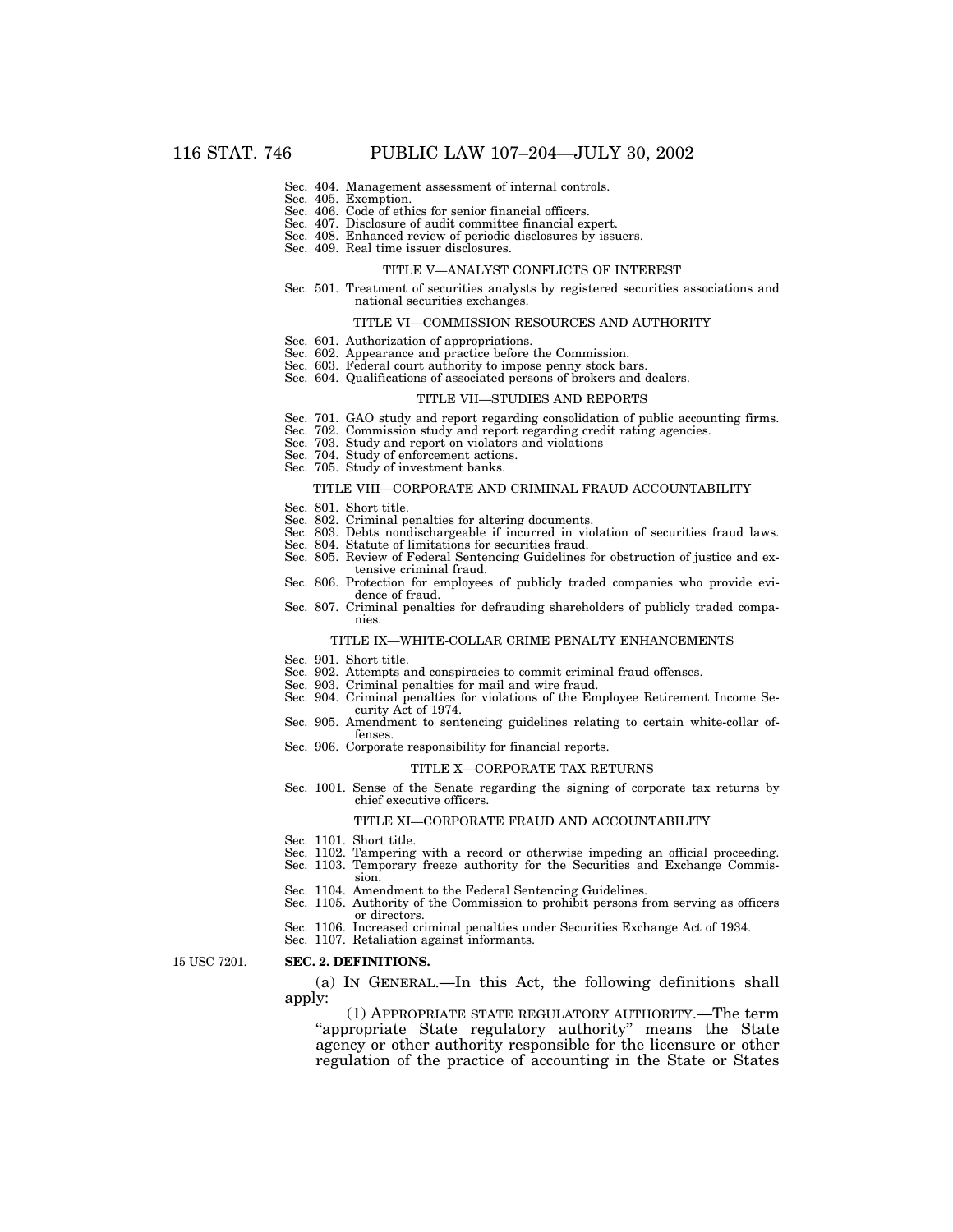- Sec. 404. Management assessment of internal controls.
- Sec. 405. Exemption.
- Sec. 406. Code of ethics for senior financial officers.
- Sec. 407. Disclosure of audit committee financial expert.
- Sec. 408. Enhanced review of periodic disclosures by issuers.
- Sec. 409. Real time issuer disclosures.

#### TITLE V—ANALYST CONFLICTS OF INTEREST

Sec. 501. Treatment of securities analysts by registered securities associations and national securities exchanges.

#### TITLE VI—COMMISSION RESOURCES AND AUTHORITY

- Sec. 601. Authorization of appropriations.
- Sec. 602. Appearance and practice before the Commission. Sec. 603. Federal court authority to impose penny stock bars.
- 
- Sec. 604. Qualifications of associated persons of brokers and dealers.

#### TITLE VII—STUDIES AND REPORTS

- Sec. 701. GAO study and report regarding consolidation of public accounting firms.
- Sec. 702. Commission study and report regarding credit rating agencies.
- Sec. 703. Study and report on violators and violations
- Sec. 704. Study of enforcement actions.
- Sec. 705. Study of investment banks.

#### TITLE VIII—CORPORATE AND CRIMINAL FRAUD ACCOUNTABILITY

- Sec. 801. Short title.
- Sec. 802. Criminal penalties for altering documents.
- Sec. 803. Debts nondischargeable if incurred in violation of securities fraud laws.
- Sec. 804. Statute of limitations for securities fraud.
- Sec. 805. Review of Federal Sentencing Guidelines for obstruction of justice and extensive criminal fraud.
- Sec. 806. Protection for employees of publicly traded companies who provide evidence of fraud.
- Sec. 807. Criminal penalties for defrauding shareholders of publicly traded companies.

#### TITLE IX—WHITE-COLLAR CRIME PENALTY ENHANCEMENTS

Sec. 901. Short title.

- Sec. 902. Attempts and conspiracies to commit criminal fraud offenses.
- Sec. 903. Criminal penalties for mail and wire fraud.
- Sec. 904. Criminal penalties for violations of the Employee Retirement Income Security Act of 1974.
- Sec. 905. Amendment to sentencing guidelines relating to certain white-collar offenses.
- Sec. 906. Corporate responsibility for financial reports.

#### TITLE X—CORPORATE TAX RETURNS

Sec. 1001. Sense of the Senate regarding the signing of corporate tax returns by chief executive officers.

#### TITLE XI—CORPORATE FRAUD AND ACCOUNTABILITY

- Sec. 1101. Short title.
- Sec. 1102. Tampering with a record or otherwise impeding an official proceeding.
- Sec. 1103. Temporary freeze authority for the Securities and Exchange Commission.
- Sec. 1104. Amendment to the Federal Sentencing Guidelines.
- Sec. 1105. Authority of the Commission to prohibit persons from serving as officers or directors.
- Sec. 1106. Increased criminal penalties under Securities Exchange Act of 1934.
- Sec. 1107. Retaliation against informants.

15 USC 7201.

#### **SEC. 2. DEFINITIONS.**

(a) IN GENERAL.—In this Act, the following definitions shall apply:

(1) APPROPRIATE STATE REGULATORY AUTHORITY.—The term "appropriate State regulatory authority" means the State agency or other authority responsible for the licensure or other regulation of the practice of accounting in the State or States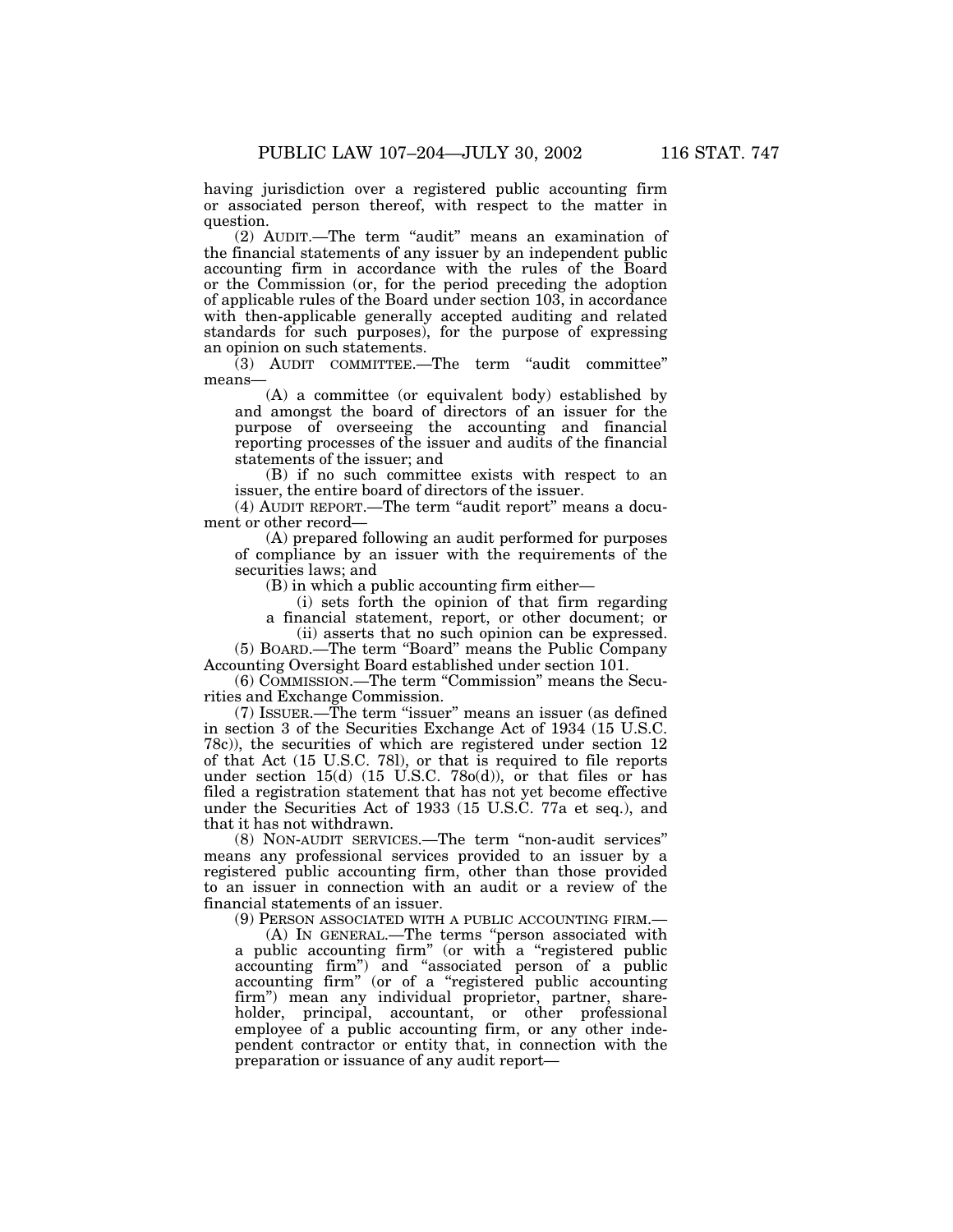having jurisdiction over a registered public accounting firm or associated person thereof, with respect to the matter in question.

(2) AUDIT.—The term ''audit'' means an examination of the financial statements of any issuer by an independent public accounting firm in accordance with the rules of the Board or the Commission (or, for the period preceding the adoption of applicable rules of the Board under section 103, in accordance with then-applicable generally accepted auditing and related standards for such purposes), for the purpose of expressing an opinion on such statements.

(3) AUDIT COMMITTEE.—The term ''audit committee'' means—

(A) a committee (or equivalent body) established by and amongst the board of directors of an issuer for the purpose of overseeing the accounting and financial reporting processes of the issuer and audits of the financial statements of the issuer; and

(B) if no such committee exists with respect to an issuer, the entire board of directors of the issuer.

(4) AUDIT REPORT.—The term ''audit report'' means a document or other record—

(A) prepared following an audit performed for purposes of compliance by an issuer with the requirements of the securities laws; and

(B) in which a public accounting firm either—

(i) sets forth the opinion of that firm regarding a financial statement, report, or other document; or

(ii) asserts that no such opinion can be expressed. (5) BOARD.—The term ''Board'' means the Public Company

Accounting Oversight Board established under section 101.

(6) COMMISSION.—The term ''Commission'' means the Securities and Exchange Commission.

(7) ISSUER.—The term ''issuer'' means an issuer (as defined in section 3 of the Securities Exchange Act of 1934 (15 U.S.C. 78c)), the securities of which are registered under section 12 of that Act (15 U.S.C. 78l), or that is required to file reports under section  $15(d)$  (15 U.S.C. 78 $o(d)$ ), or that files or has filed a registration statement that has not yet become effective under the Securities Act of 1933 (15 U.S.C. 77a et seq.), and that it has not withdrawn.

(8) NON-AUDIT SERVICES.—The term ''non-audit services'' means any professional services provided to an issuer by a registered public accounting firm, other than those provided to an issuer in connection with an audit or a review of the financial statements of an issuer.

(9) PERSON ASSOCIATED WITH A PUBLIC ACCOUNTING FIRM.—

(A) IN GENERAL.—The terms ''person associated with a public accounting firm'' (or with a ''registered public accounting firm'') and ''associated person of a public accounting firm'' (or of a ''registered public accounting firm'') mean any individual proprietor, partner, shareholder, principal, accountant, or other professional employee of a public accounting firm, or any other independent contractor or entity that, in connection with the preparation or issuance of any audit report—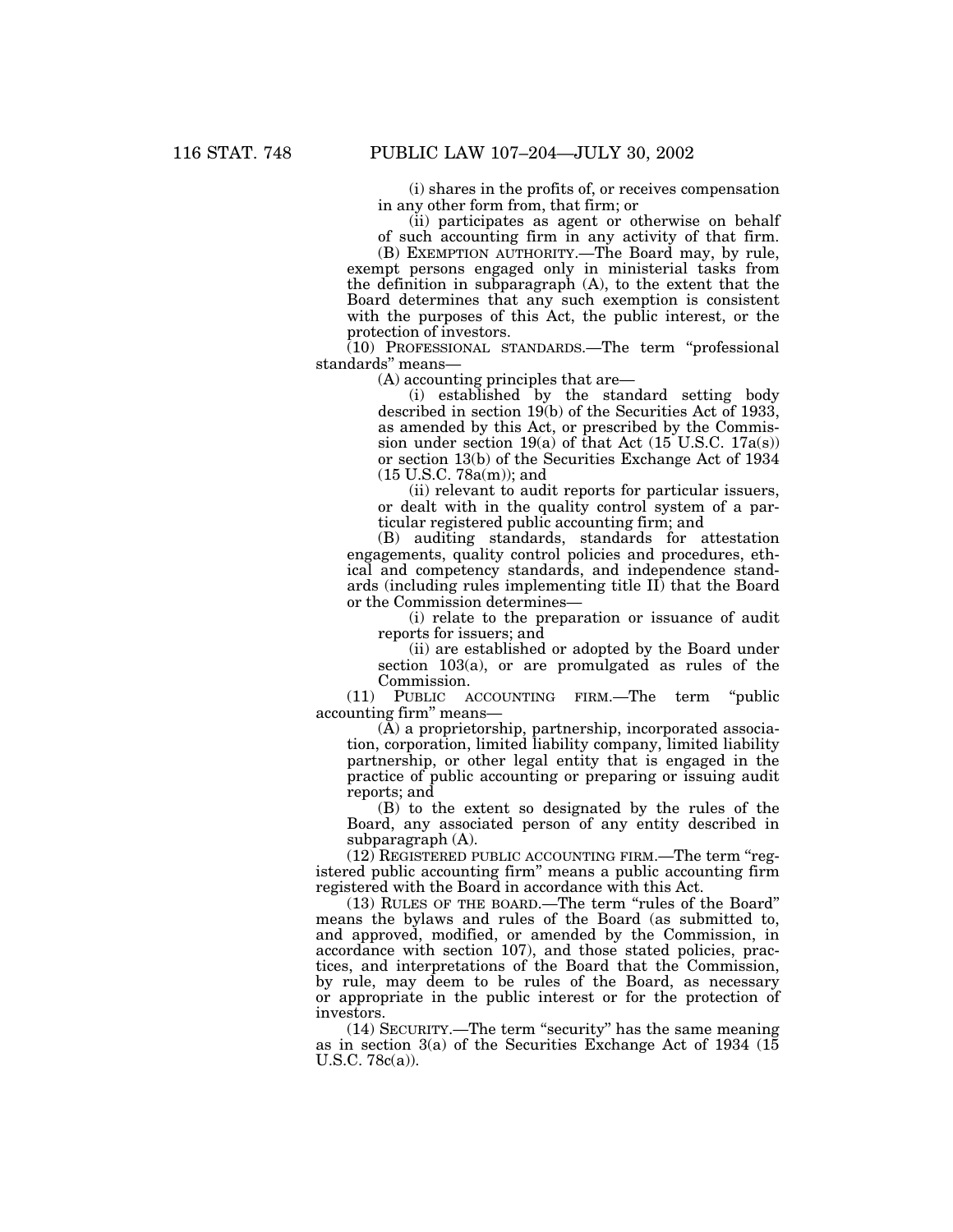(i) shares in the profits of, or receives compensation in any other form from, that firm; or

(ii) participates as agent or otherwise on behalf of such accounting firm in any activity of that firm.

(B) EXEMPTION AUTHORITY.—The Board may, by rule, exempt persons engaged only in ministerial tasks from the definition in subparagraph (A), to the extent that the Board determines that any such exemption is consistent with the purposes of this Act, the public interest, or the protection of investors.

(10) PROFESSIONAL STANDARDS.—The term ''professional standards'' means—

(A) accounting principles that are—

(i) established by the standard setting body described in section 19(b) of the Securities Act of 1933, as amended by this Act, or prescribed by the Commission under section 19(a) of that Act  $(15 \text{ U.S.C. } 17a(s))$ or section 13(b) of the Securities Exchange Act of 1934 (15 U.S.C. 78a(m)); and

(ii) relevant to audit reports for particular issuers, or dealt with in the quality control system of a particular registered public accounting firm; and

(B) auditing standards, standards for attestation engagements, quality control policies and procedures, ethical and competency standards, and independence standards (including rules implementing title II) that the Board or the Commission determines—

(i) relate to the preparation or issuance of audit reports for issuers; and

(ii) are established or adopted by the Board under section 103(a), or are promulgated as rules of the Commission.

(11) PUBLIC ACCOUNTING FIRM.—The term ''public accounting firm'' means—

 $(\check{A})$  a proprietorship, partnership, incorporated association, corporation, limited liability company, limited liability partnership, or other legal entity that is engaged in the practice of public accounting or preparing or issuing audit reports; and

(B) to the extent so designated by the rules of the Board, any associated person of any entity described in subparagraph (A).

(12) REGISTERED PUBLIC ACCOUNTING FIRM.—The term ''registered public accounting firm'' means a public accounting firm registered with the Board in accordance with this Act.

(13) RULES OF THE BOARD.—The term ''rules of the Board'' means the bylaws and rules of the Board (as submitted to, and approved, modified, or amended by the Commission, in accordance with section 107), and those stated policies, practices, and interpretations of the Board that the Commission, by rule, may deem to be rules of the Board, as necessary or appropriate in the public interest or for the protection of investors.

(14) SECURITY.—The term ''security'' has the same meaning as in section 3(a) of the Securities Exchange Act of 1934 (15 U.S.C. 78c(a)).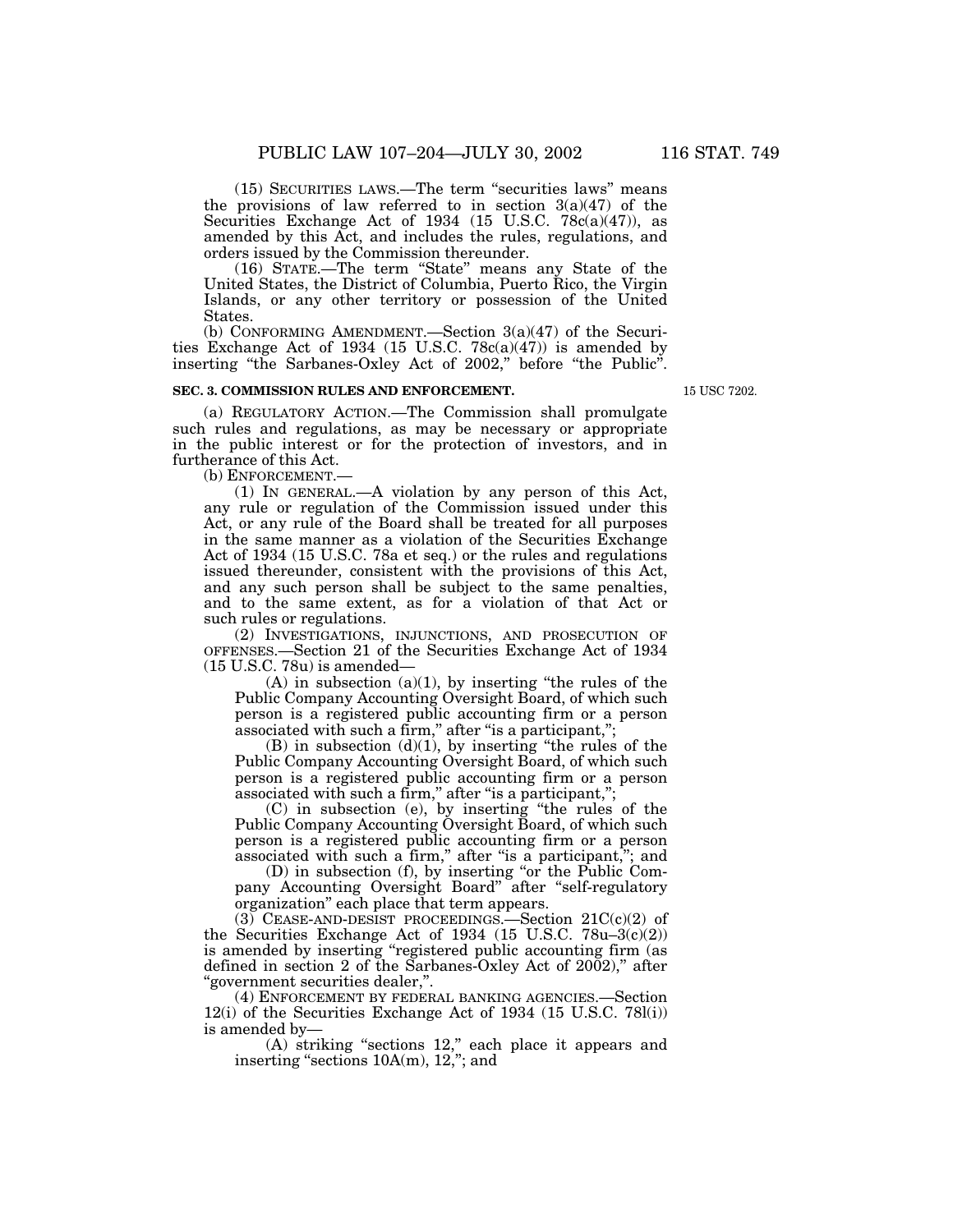(15) SECURITIES LAWS.—The term ''securities laws'' means the provisions of law referred to in section  $3(a)(47)$  of the Securities Exchange Act of 1934 (15 U.S.C. 78c(a)(47)), as amended by this Act, and includes the rules, regulations, and orders issued by the Commission thereunder.

(16) STATE.—The term ''State'' means any State of the United States, the District of Columbia, Puerto Rico, the Virgin Islands, or any other territory or possession of the United States.

(b) CONFORMING AMENDMENT.—Section 3(a)(47) of the Securities Exchange Act of 1934 (15 U.S.C.  $78c(a)(47)$ ) is amended by inserting "the Sarbanes-Oxley Act of 2002," before "the Public".

#### **SEC. 3. COMMISSION RULES AND ENFORCEMENT.**

15 USC 7202.

(a) REGULATORY ACTION.—The Commission shall promulgate such rules and regulations, as may be necessary or appropriate in the public interest or for the protection of investors, and in furtherance of this Act.

(b) ENFORCEMENT.—

(1) IN GENERAL.—A violation by any person of this Act, any rule or regulation of the Commission issued under this Act, or any rule of the Board shall be treated for all purposes in the same manner as a violation of the Securities Exchange Act of 1934 (15 U.S.C. 78a et seq.) or the rules and regulations issued thereunder, consistent with the provisions of this Act, and any such person shall be subject to the same penalties, and to the same extent, as for a violation of that Act or such rules or regulations.

(2) INVESTIGATIONS, INJUNCTIONS, AND PROSECUTION OF OFFENSES.—Section 21 of the Securities Exchange Act of 1934 (15 U.S.C. 78u) is amended—

 $(A)$  in subsection  $(a)(1)$ , by inserting "the rules of the Public Company Accounting Oversight Board, of which such person is a registered public accounting firm or a person associated with such a firm," after "is a participant,";

(B) in subsection (d)(1), by inserting ''the rules of the Public Company Accounting Oversight Board, of which such person is a registered public accounting firm or a person associated with such a firm," after "is a participant,";

(C) in subsection (e), by inserting ''the rules of the Public Company Accounting Oversight Board, of which such person is a registered public accounting firm or a person associated with such a firm," after "is a participant,"; and

(D) in subsection (f), by inserting ''or the Public Company Accounting Oversight Board'' after ''self-regulatory organization'' each place that term appears.

(3) CEASE-AND-DESIST PROCEEDINGS.—Section  $21C(c)(2)$  of the Securities Exchange Act of 1934 (15 U.S.C. 78u–3(c)(2)) is amended by inserting "registered public accounting firm (as defined in section 2 of the Sarbanes-Oxley Act of 2002)," after ''government securities dealer,''.

(4) ENFORCEMENT BY FEDERAL BANKING AGENCIES.—Section 12(i) of the Securities Exchange Act of 1934 (15 U.S.C. 78l(i)) is amended by—

(A) striking "sections 12," each place it appears and inserting "sections  $10A(m)$ ,  $12$ ,"; and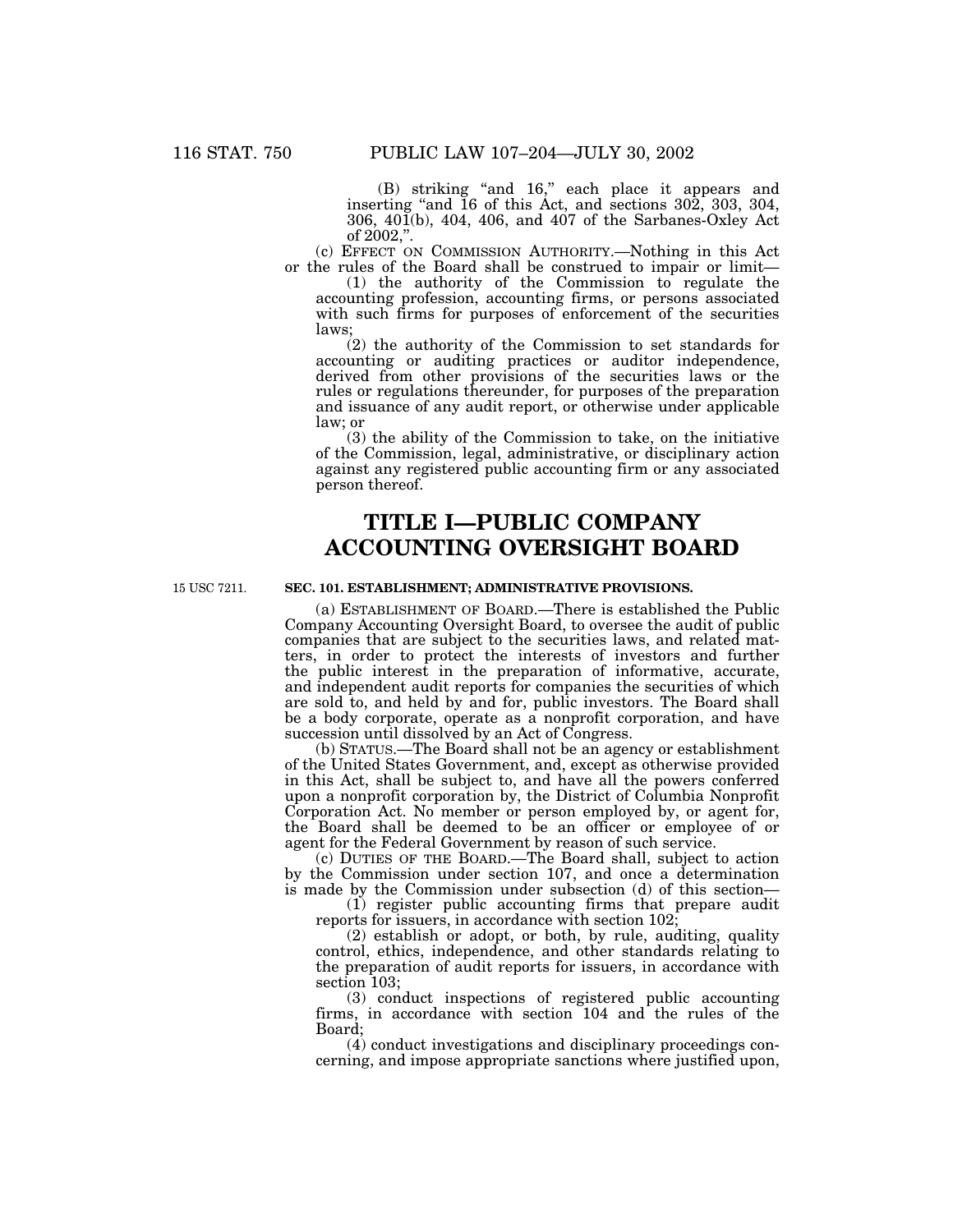(B) striking ''and 16,'' each place it appears and inserting ''and 16 of this Act, and sections 302, 303, 304, 306, 401(b), 404, 406, and 407 of the Sarbanes-Oxley Act of 2002,''.

(c) EFFECT ON COMMISSION AUTHORITY.—Nothing in this Act or the rules of the Board shall be construed to impair or limit—

(1) the authority of the Commission to regulate the accounting profession, accounting firms, or persons associated with such firms for purposes of enforcement of the securities laws;

(2) the authority of the Commission to set standards for accounting or auditing practices or auditor independence, derived from other provisions of the securities laws or the rules or regulations thereunder, for purposes of the preparation and issuance of any audit report, or otherwise under applicable law; or

(3) the ability of the Commission to take, on the initiative of the Commission, legal, administrative, or disciplinary action against any registered public accounting firm or any associated person thereof.

# **TITLE I—PUBLIC COMPANY ACCOUNTING OVERSIGHT BOARD**

15 USC 7211.

## **SEC. 101. ESTABLISHMENT; ADMINISTRATIVE PROVISIONS.**

(a) ESTABLISHMENT OF BOARD.—There is established the Public Company Accounting Oversight Board, to oversee the audit of public companies that are subject to the securities laws, and related matters, in order to protect the interests of investors and further the public interest in the preparation of informative, accurate, and independent audit reports for companies the securities of which are sold to, and held by and for, public investors. The Board shall be a body corporate, operate as a nonprofit corporation, and have succession until dissolved by an Act of Congress.

(b) STATUS.—The Board shall not be an agency or establishment of the United States Government, and, except as otherwise provided in this Act, shall be subject to, and have all the powers conferred upon a nonprofit corporation by, the District of Columbia Nonprofit Corporation Act. No member or person employed by, or agent for, the Board shall be deemed to be an officer or employee of or agent for the Federal Government by reason of such service.

(c) DUTIES OF THE BOARD.—The Board shall, subject to action by the Commission under section 107, and once a determination is made by the Commission under subsection (d) of this section—

(1) register public accounting firms that prepare audit reports for issuers, in accordance with section 102;

(2) establish or adopt, or both, by rule, auditing, quality control, ethics, independence, and other standards relating to the preparation of audit reports for issuers, in accordance with section 103;

(3) conduct inspections of registered public accounting firms, in accordance with section 104 and the rules of the Board;

(4) conduct investigations and disciplinary proceedings concerning, and impose appropriate sanctions where justified upon,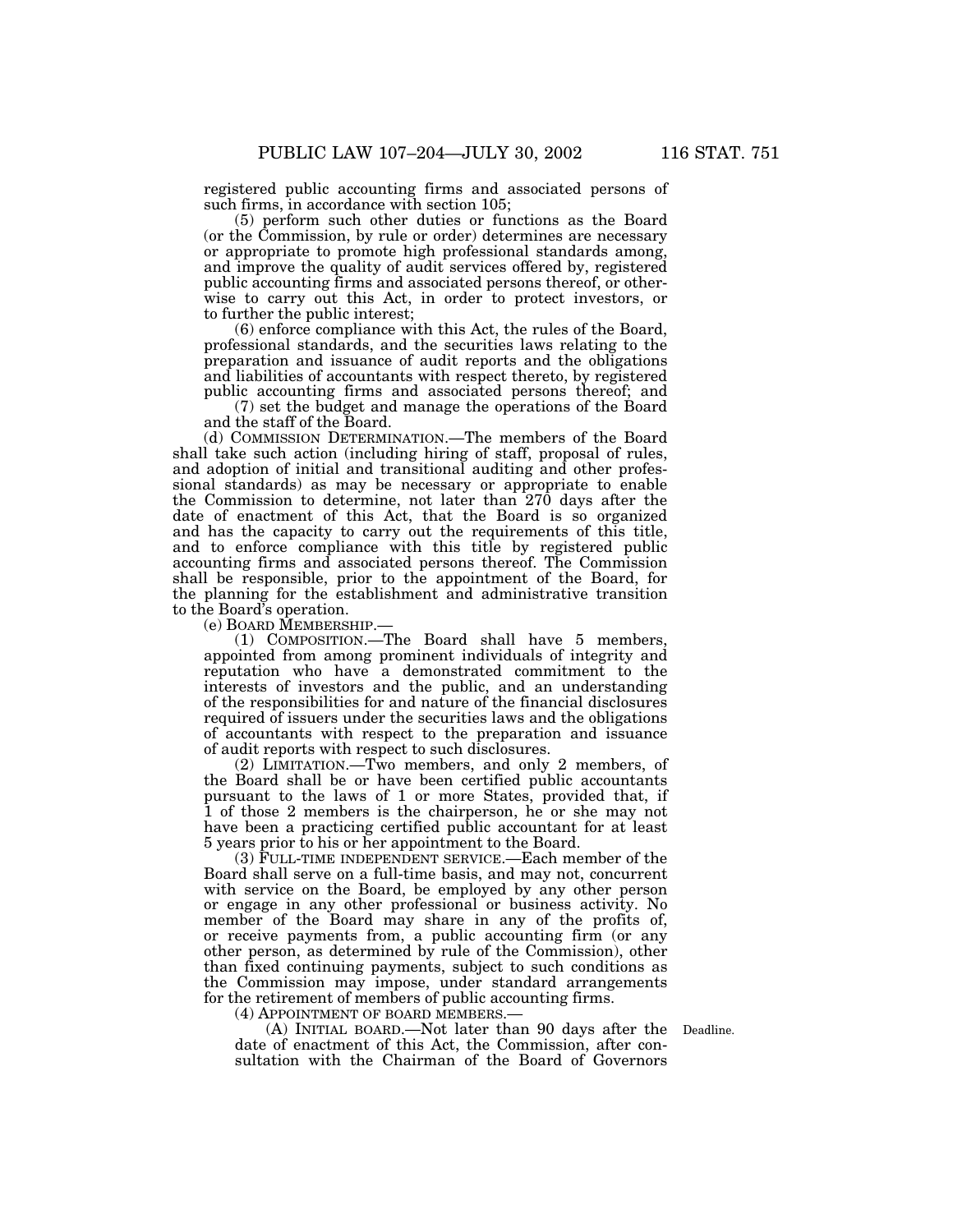registered public accounting firms and associated persons of such firms, in accordance with section 105;

(5) perform such other duties or functions as the Board (or the Commission, by rule or order) determines are necessary or appropriate to promote high professional standards among, and improve the quality of audit services offered by, registered public accounting firms and associated persons thereof, or otherwise to carry out this Act, in order to protect investors, or to further the public interest;

(6) enforce compliance with this Act, the rules of the Board, professional standards, and the securities laws relating to the preparation and issuance of audit reports and the obligations and liabilities of accountants with respect thereto, by registered public accounting firms and associated persons thereof; and

(7) set the budget and manage the operations of the Board and the staff of the Board.

(d) COMMISSION DETERMINATION.—The members of the Board shall take such action (including hiring of staff, proposal of rules, and adoption of initial and transitional auditing and other professional standards) as may be necessary or appropriate to enable the Commission to determine, not later than 270 days after the date of enactment of this Act, that the Board is so organized and has the capacity to carry out the requirements of this title, and to enforce compliance with this title by registered public accounting firms and associated persons thereof. The Commission shall be responsible, prior to the appointment of the Board, for the planning for the establishment and administrative transition to the Board's operation.

(e) BOARD MEMBERSHIP.—

(1) COMPOSITION.—The Board shall have 5 members, appointed from among prominent individuals of integrity and reputation who have a demonstrated commitment to the interests of investors and the public, and an understanding of the responsibilities for and nature of the financial disclosures required of issuers under the securities laws and the obligations of accountants with respect to the preparation and issuance of audit reports with respect to such disclosures.

(2) LIMITATION.—Two members, and only 2 members, of the Board shall be or have been certified public accountants pursuant to the laws of 1 or more States, provided that, if 1 of those 2 members is the chairperson, he or she may not have been a practicing certified public accountant for at least 5 years prior to his or her appointment to the Board.

(3) FULL-TIME INDEPENDENT SERVICE.—Each member of the Board shall serve on a full-time basis, and may not, concurrent with service on the Board, be employed by any other person or engage in any other professional or business activity. No member of the Board may share in any of the profits of, or receive payments from, a public accounting firm (or any other person, as determined by rule of the Commission), other than fixed continuing payments, subject to such conditions as the Commission may impose, under standard arrangements for the retirement of members of public accounting firms.

(4) APPOINTMENT OF BOARD MEMBERS.—

(A) INITIAL BOARD.—Not later than 90 days after the Deadline. date of enactment of this Act, the Commission, after consultation with the Chairman of the Board of Governors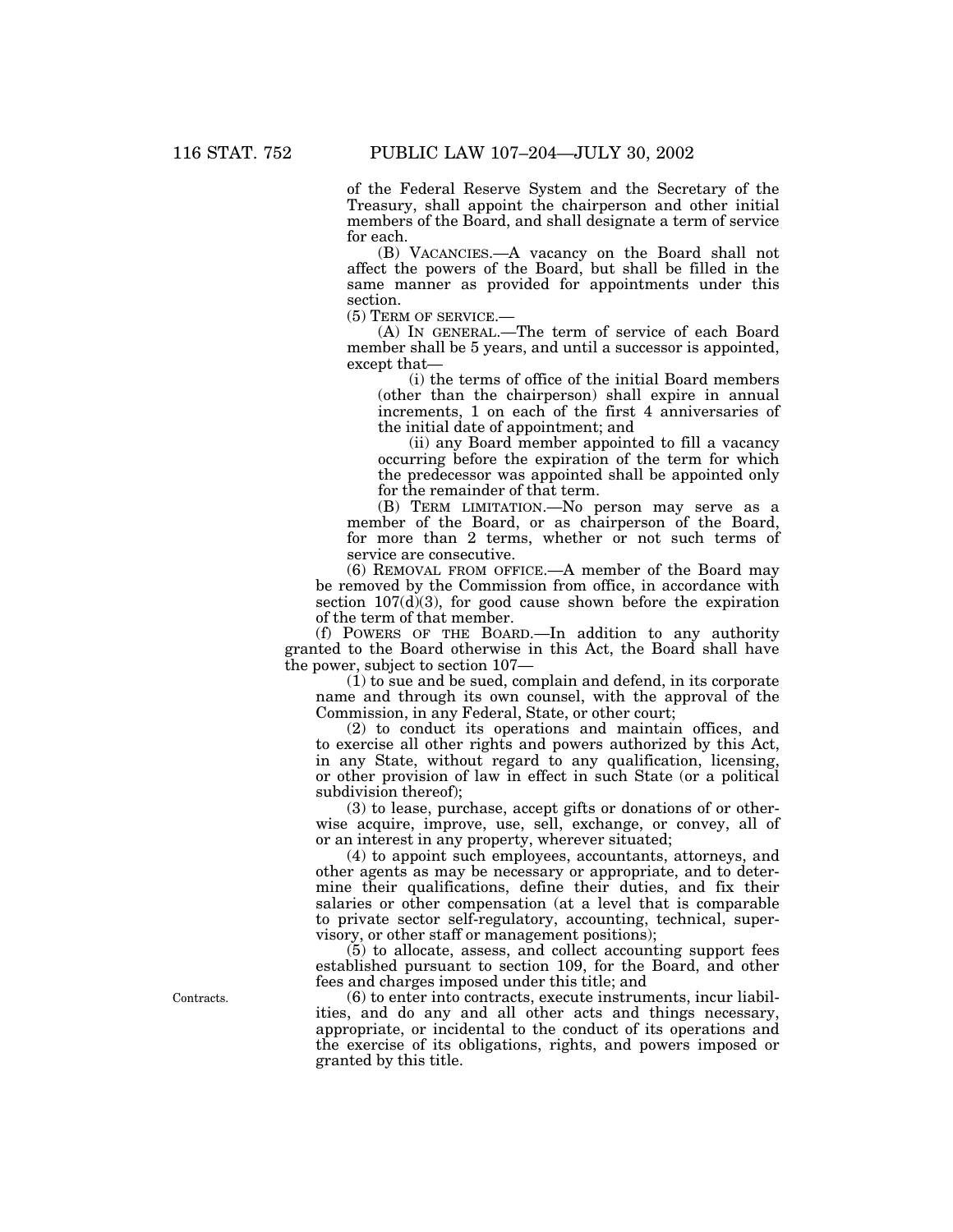of the Federal Reserve System and the Secretary of the Treasury, shall appoint the chairperson and other initial members of the Board, and shall designate a term of service for each.

(B) VACANCIES.—A vacancy on the Board shall not affect the powers of the Board, but shall be filled in the same manner as provided for appointments under this section.

(5) TERM OF SERVICE.—

(A) IN GENERAL.—The term of service of each Board member shall be 5 years, and until a successor is appointed, except that—

(i) the terms of office of the initial Board members (other than the chairperson) shall expire in annual increments, 1 on each of the first 4 anniversaries of the initial date of appointment; and

(ii) any Board member appointed to fill a vacancy occurring before the expiration of the term for which the predecessor was appointed shall be appointed only for the remainder of that term.

(B) TERM LIMITATION.—No person may serve as a member of the Board, or as chairperson of the Board, for more than 2 terms, whether or not such terms of service are consecutive.

(6) REMOVAL FROM OFFICE.—A member of the Board may be removed by the Commission from office, in accordance with section  $107(d)(3)$ , for good cause shown before the expiration of the term of that member.

(f) POWERS OF THE BOARD.—In addition to any authority granted to the Board otherwise in this Act, the Board shall have the power, subject to section 107—

(1) to sue and be sued, complain and defend, in its corporate name and through its own counsel, with the approval of the Commission, in any Federal, State, or other court;

(2) to conduct its operations and maintain offices, and to exercise all other rights and powers authorized by this Act, in any State, without regard to any qualification, licensing, or other provision of law in effect in such State (or a political subdivision thereof);

(3) to lease, purchase, accept gifts or donations of or otherwise acquire, improve, use, sell, exchange, or convey, all of or an interest in any property, wherever situated;

(4) to appoint such employees, accountants, attorneys, and other agents as may be necessary or appropriate, and to determine their qualifications, define their duties, and fix their salaries or other compensation (at a level that is comparable to private sector self-regulatory, accounting, technical, supervisory, or other staff or management positions);

(5) to allocate, assess, and collect accounting support fees established pursuant to section 109, for the Board, and other fees and charges imposed under this title; and

(6) to enter into contracts, execute instruments, incur liabilities, and do any and all other acts and things necessary, appropriate, or incidental to the conduct of its operations and the exercise of its obligations, rights, and powers imposed or granted by this title.

Contracts.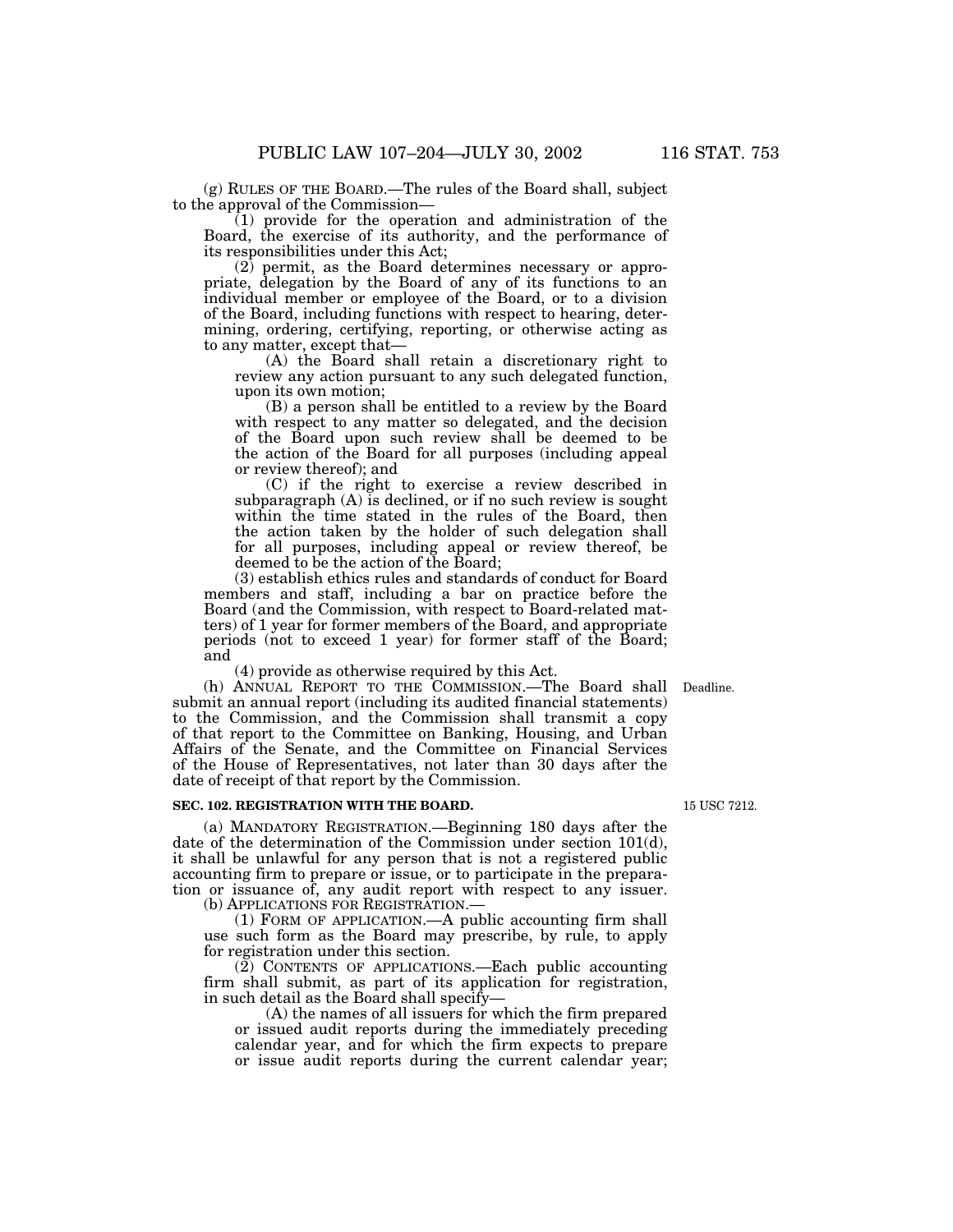(g) RULES OF THE BOARD.—The rules of the Board shall, subject to the approval of the Commission—

 $(1)$  provide for the operation and administration of the Board, the exercise of its authority, and the performance of its responsibilities under this Act;

 $(2)$  permit, as the Board determines necessary or appropriate, delegation by the Board of any of its functions to an individual member or employee of the Board, or to a division of the Board, including functions with respect to hearing, determining, ordering, certifying, reporting, or otherwise acting as to any matter, except that—

(A) the Board shall retain a discretionary right to review any action pursuant to any such delegated function, upon its own motion;

(B) a person shall be entitled to a review by the Board with respect to any matter so delegated, and the decision of the Board upon such review shall be deemed to be the action of the Board for all purposes (including appeal or review thereof); and

(C) if the right to exercise a review described in subparagraph  $(A)$  is declined, or if no such review is sought within the time stated in the rules of the Board, then the action taken by the holder of such delegation shall for all purposes, including appeal or review thereof, be deemed to be the action of the Board;

(3) establish ethics rules and standards of conduct for Board members and staff, including a bar on practice before the Board (and the Commission, with respect to Board-related matters) of 1 year for former members of the Board, and appropriate periods (not to exceed 1 year) for former staff of the Board; and

(4) provide as otherwise required by this Act.

(h) ANNUAL REPORT TO THE COMMISSION.—The Board shall Deadline. submit an annual report (including its audited financial statements) to the Commission, and the Commission shall transmit a copy of that report to the Committee on Banking, Housing, and Urban Affairs of the Senate, and the Committee on Financial Services of the House of Representatives, not later than 30 days after the date of receipt of that report by the Commission.

### **SEC. 102. REGISTRATION WITH THE BOARD.**

(a) MANDATORY REGISTRATION.—Beginning 180 days after the date of the determination of the Commission under section 101(d), it shall be unlawful for any person that is not a registered public accounting firm to prepare or issue, or to participate in the preparation or issuance of, any audit report with respect to any issuer. (b) APPLICATIONS FOR REGISTRATION.—

(1) FORM OF APPLICATION.—A public accounting firm shall use such form as the Board may prescribe, by rule, to apply for registration under this section.

(2) CONTENTS OF APPLICATIONS.—Each public accounting firm shall submit, as part of its application for registration, in such detail as the Board shall specify—

(A) the names of all issuers for which the firm prepared or issued audit reports during the immediately preceding calendar year, and for which the firm expects to prepare or issue audit reports during the current calendar year;

15 USC 7212.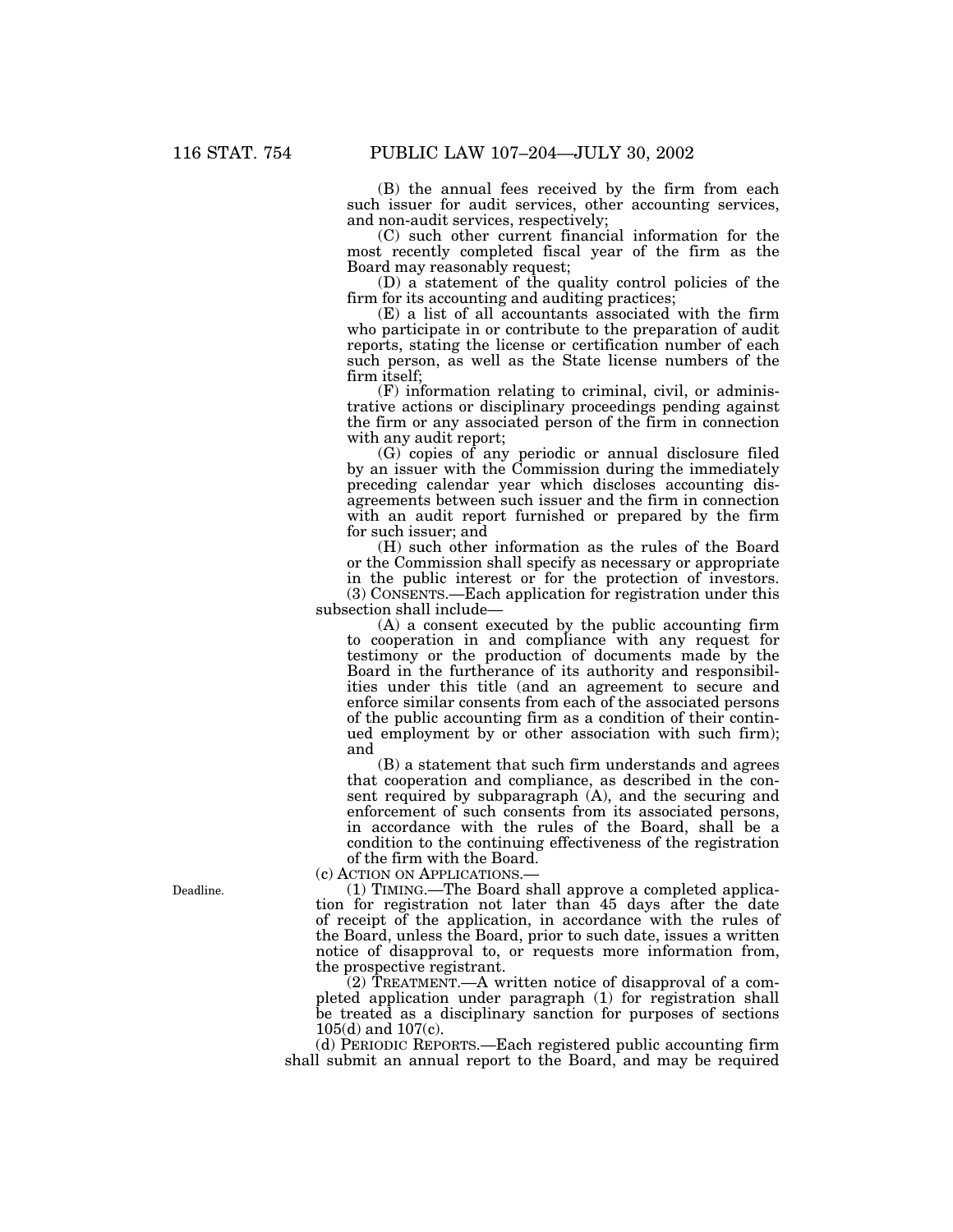(B) the annual fees received by the firm from each such issuer for audit services, other accounting services, and non-audit services, respectively;

(C) such other current financial information for the most recently completed fiscal year of the firm as the Board may reasonably request;

(D) a statement of the quality control policies of the firm for its accounting and auditing practices;

(E) a list of all accountants associated with the firm who participate in or contribute to the preparation of audit reports, stating the license or certification number of each such person, as well as the State license numbers of the firm itself;

(F) information relating to criminal, civil, or administrative actions or disciplinary proceedings pending against the firm or any associated person of the firm in connection with any audit report;

(G) copies of any periodic or annual disclosure filed by an issuer with the Commission during the immediately preceding calendar year which discloses accounting disagreements between such issuer and the firm in connection with an audit report furnished or prepared by the firm for such issuer; and

(H) such other information as the rules of the Board or the Commission shall specify as necessary or appropriate in the public interest or for the protection of investors.

(3) CONSENTS.—Each application for registration under this subsection shall include—

(A) a consent executed by the public accounting firm to cooperation in and compliance with any request for testimony or the production of documents made by the Board in the furtherance of its authority and responsibilities under this title (and an agreement to secure and enforce similar consents from each of the associated persons of the public accounting firm as a condition of their continued employment by or other association with such firm); and

(B) a statement that such firm understands and agrees that cooperation and compliance, as described in the consent required by subparagraph (A), and the securing and enforcement of such consents from its associated persons, in accordance with the rules of the Board, shall be a condition to the continuing effectiveness of the registration of the firm with the Board.

(c) ACTION ON APPLICATIONS.—

(1) TIMING.—The Board shall approve a completed application for registration not later than 45 days after the date of receipt of the application, in accordance with the rules of the Board, unless the Board, prior to such date, issues a written notice of disapproval to, or requests more information from, the prospective registrant.

(2) TREATMENT.—A written notice of disapproval of a completed application under paragraph (1) for registration shall be treated as a disciplinary sanction for purposes of sections 105(d) and 107(c).

(d) PERIODIC REPORTS.—Each registered public accounting firm shall submit an annual report to the Board, and may be required

Deadline.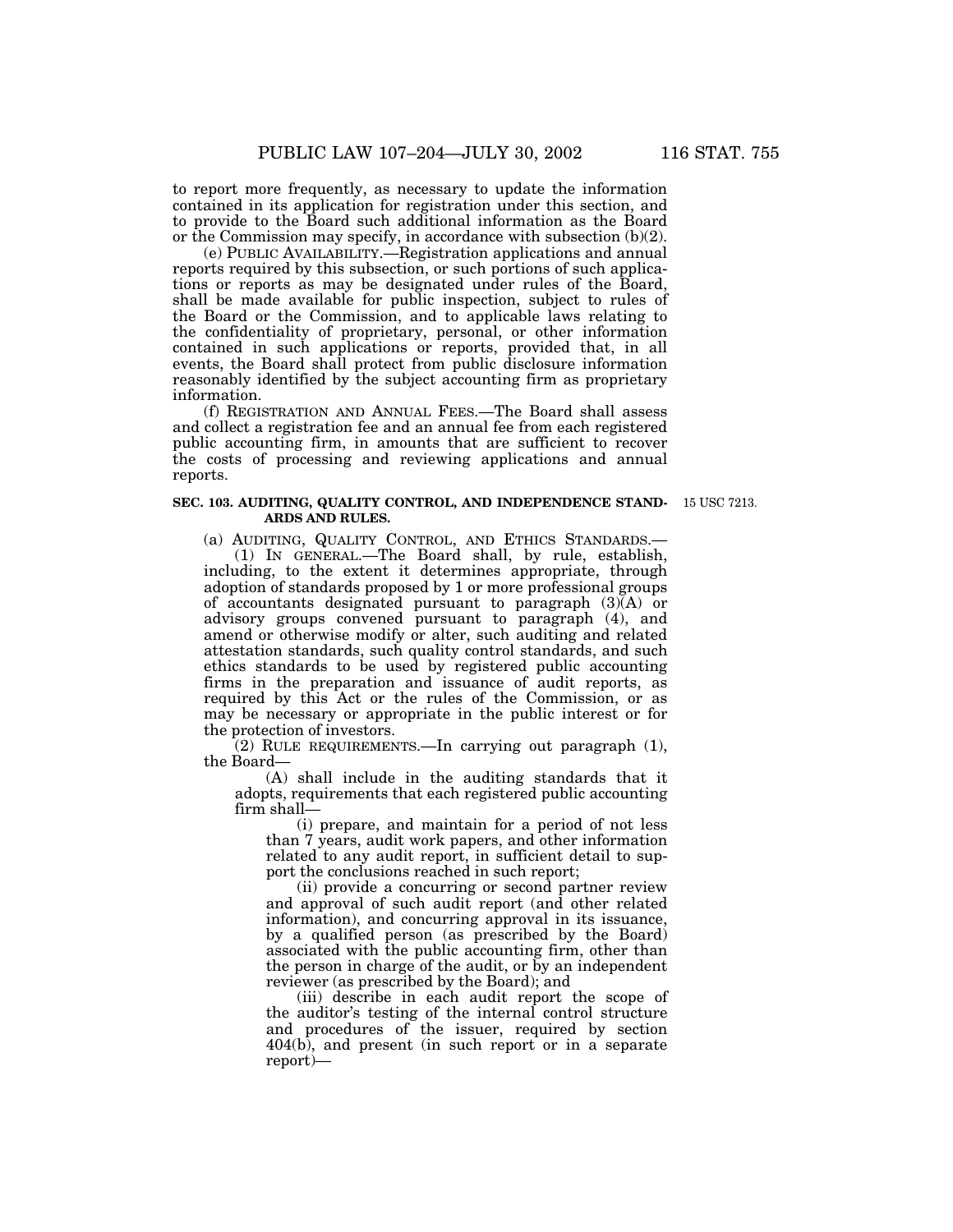to report more frequently, as necessary to update the information contained in its application for registration under this section, and to provide to the Board such additional information as the Board or the Commission may specify, in accordance with subsection (b)(2).

(e) PUBLIC AVAILABILITY.—Registration applications and annual reports required by this subsection, or such portions of such applications or reports as may be designated under rules of the Board, shall be made available for public inspection, subject to rules of the Board or the Commission, and to applicable laws relating to the confidentiality of proprietary, personal, or other information contained in such applications or reports, provided that, in all events, the Board shall protect from public disclosure information reasonably identified by the subject accounting firm as proprietary information.

(f) REGISTRATION AND ANNUAL FEES.—The Board shall assess and collect a registration fee and an annual fee from each registered public accounting firm, in amounts that are sufficient to recover the costs of processing and reviewing applications and annual reports.

#### **SEC. 103. AUDITING, QUALITY CONTROL, AND INDEPENDENCE STAND-**15 USC 7213. **ARDS AND RULES.**

(a) AUDITING, QUALITY CONTROL, AND ETHICS STANDARDS.— (1) IN GENERAL.—The Board shall, by rule, establish, including, to the extent it determines appropriate, through adoption of standards proposed by 1 or more professional groups of accountants designated pursuant to paragraph (3)(A) or advisory groups convened pursuant to paragraph (4), and amend or otherwise modify or alter, such auditing and related attestation standards, such quality control standards, and such ethics standards to be used by registered public accounting firms in the preparation and issuance of audit reports, as required by this Act or the rules of the Commission, or as may be necessary or appropriate in the public interest or for the protection of investors.

(2) RULE REQUIREMENTS.—In carrying out paragraph (1), the Board—

(A) shall include in the auditing standards that it adopts, requirements that each registered public accounting firm shall—

(i) prepare, and maintain for a period of not less than 7 years, audit work papers, and other information related to any audit report, in sufficient detail to support the conclusions reached in such report;

(ii) provide a concurring or second partner review and approval of such audit report (and other related information), and concurring approval in its issuance, by a qualified person (as prescribed by the Board) associated with the public accounting firm, other than the person in charge of the audit, or by an independent reviewer (as prescribed by the Board); and

(iii) describe in each audit report the scope of the auditor's testing of the internal control structure and procedures of the issuer, required by section 404(b), and present (in such report or in a separate report)—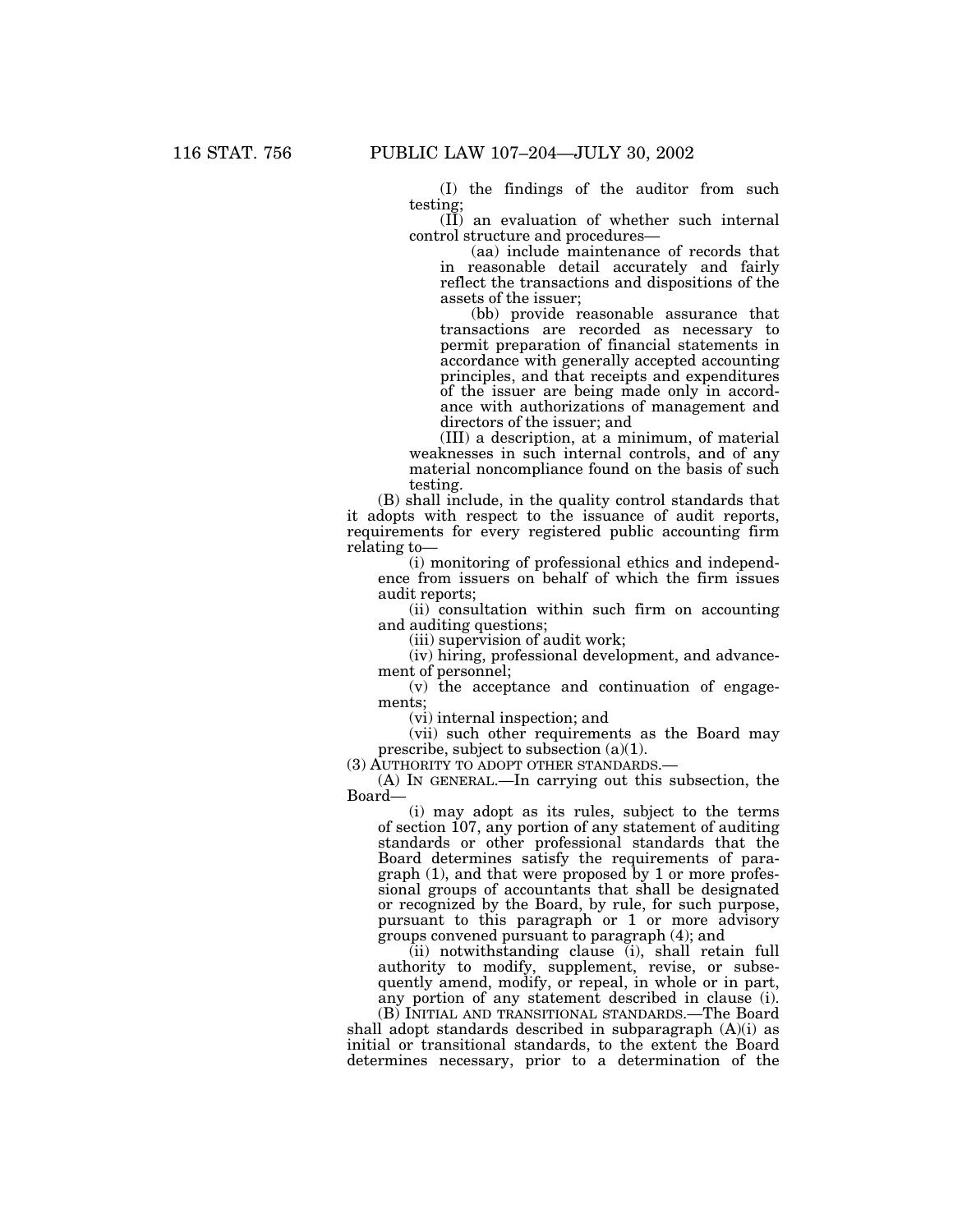(I) the findings of the auditor from such testing;

(II) an evaluation of whether such internal control structure and procedures—

(aa) include maintenance of records that in reasonable detail accurately and fairly reflect the transactions and dispositions of the assets of the issuer;

(bb) provide reasonable assurance that transactions are recorded as necessary to permit preparation of financial statements in accordance with generally accepted accounting principles, and that receipts and expenditures of the issuer are being made only in accordance with authorizations of management and directors of the issuer; and

(III) a description, at a minimum, of material weaknesses in such internal controls, and of any material noncompliance found on the basis of such testing.

(B) shall include, in the quality control standards that it adopts with respect to the issuance of audit reports, requirements for every registered public accounting firm relating to—

(i) monitoring of professional ethics and independence from issuers on behalf of which the firm issues audit reports;

(ii) consultation within such firm on accounting and auditing questions;

(iii) supervision of audit work;

(iv) hiring, professional development, and advancement of personnel;

(v) the acceptance and continuation of engagements;

(vi) internal inspection; and

(vii) such other requirements as the Board may prescribe, subject to subsection (a)(1).

(3) AUTHORITY TO ADOPT OTHER STANDARDS.—

(A) IN GENERAL.—In carrying out this subsection, the Board—

(i) may adopt as its rules, subject to the terms of section 107, any portion of any statement of auditing standards or other professional standards that the Board determines satisfy the requirements of paragraph (1), and that were proposed by 1 or more professional groups of accountants that shall be designated or recognized by the Board, by rule, for such purpose, pursuant to this paragraph or 1 or more advisory groups convened pursuant to paragraph (4); and

 $(iii)$  notwithstanding clause  $(i)$ , shall retain full authority to modify, supplement, revise, or subsequently amend, modify, or repeal, in whole or in part, any portion of any statement described in clause (i).

(B) INITIAL AND TRANSITIONAL STANDARDS.—The Board shall adopt standards described in subparagraph (A)(i) as initial or transitional standards, to the extent the Board determines necessary, prior to a determination of the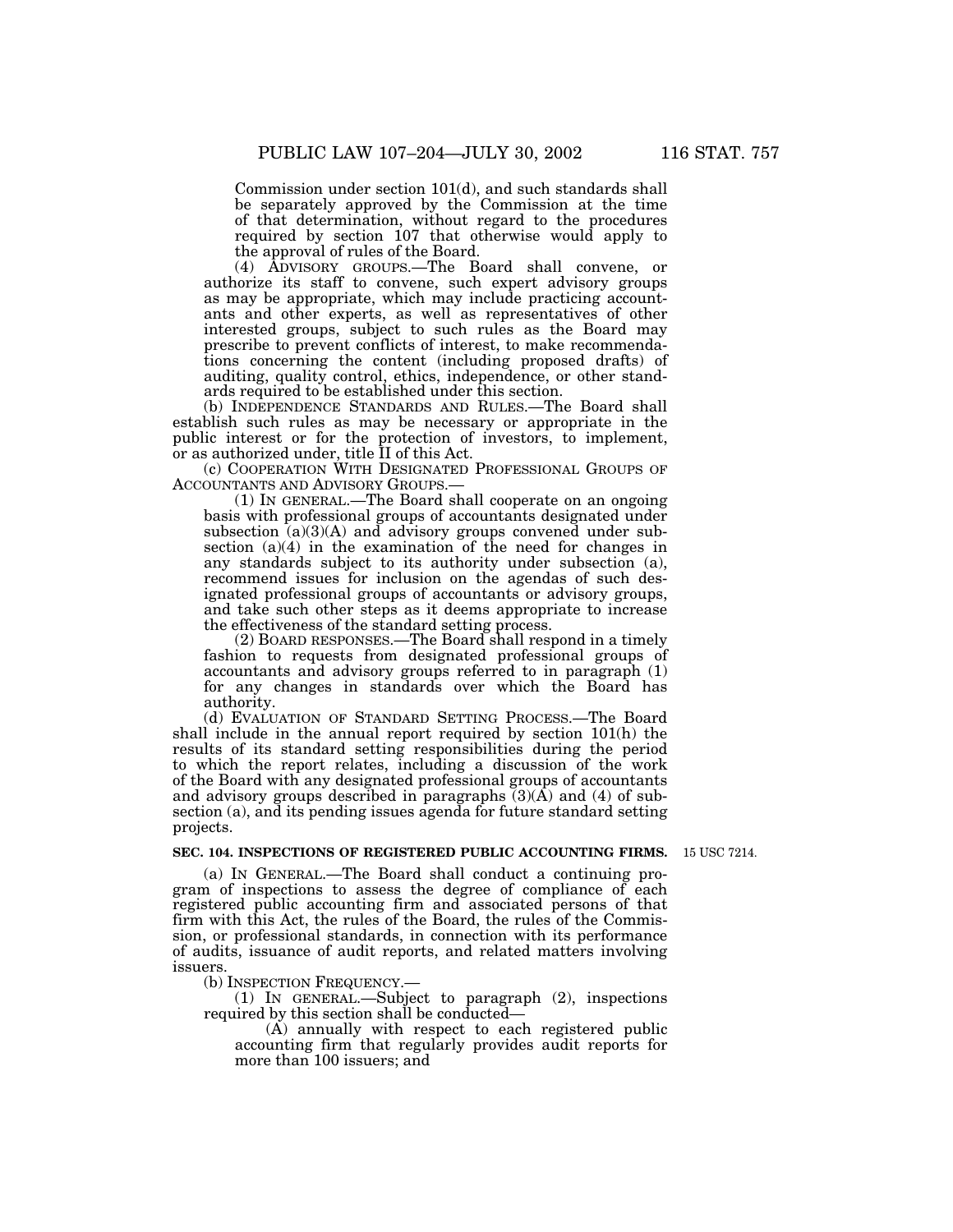Commission under section 101(d), and such standards shall be separately approved by the Commission at the time of that determination, without regard to the procedures required by section 107 that otherwise would apply to the approval of rules of the Board.

(4) ADVISORY GROUPS.—The Board shall convene, or authorize its staff to convene, such expert advisory groups as may be appropriate, which may include practicing accountants and other experts, as well as representatives of other interested groups, subject to such rules as the Board may prescribe to prevent conflicts of interest, to make recommendations concerning the content (including proposed drafts) of auditing, quality control, ethics, independence, or other standards required to be established under this section.

(b) INDEPENDENCE STANDARDS AND RULES.—The Board shall establish such rules as may be necessary or appropriate in the public interest or for the protection of investors, to implement, or as authorized under, title II of this Act.

(c) COOPERATION WITH DESIGNATED PROFESSIONAL GROUPS OF ACCOUNTANTS AND ADVISORY GROUPS.—

(1) IN GENERAL.—The Board shall cooperate on an ongoing basis with professional groups of accountants designated under subsection  $(a)(3)(A)$  and advisory groups convened under subsection  $(a)(4)$  in the examination of the need for changes in any standards subject to its authority under subsection (a), recommend issues for inclusion on the agendas of such designated professional groups of accountants or advisory groups, and take such other steps as it deems appropriate to increase the effectiveness of the standard setting process.

(2) BOARD RESPONSES.—The Board shall respond in a timely fashion to requests from designated professional groups of accountants and advisory groups referred to in paragraph (1) for any changes in standards over which the Board has authority.

(d) EVALUATION OF STANDARD SETTING PROCESS.—The Board shall include in the annual report required by section 101(h) the results of its standard setting responsibilities during the period to which the report relates, including a discussion of the work of the Board with any designated professional groups of accountants and advisory groups described in paragraphs  $(3)(\overline{A})$  and  $(4)$  of subsection (a), and its pending issues agenda for future standard setting projects.

#### **SEC. 104. INSPECTIONS OF REGISTERED PUBLIC ACCOUNTING FIRMS.** 15 USC 7214.

(a) IN GENERAL.—The Board shall conduct a continuing program of inspections to assess the degree of compliance of each registered public accounting firm and associated persons of that firm with this Act, the rules of the Board, the rules of the Commission, or professional standards, in connection with its performance of audits, issuance of audit reports, and related matters involving issuers.

(b) INSPECTION FREQUENCY.—

(1) IN GENERAL.—Subject to paragraph (2), inspections required by this section shall be conducted—

(A) annually with respect to each registered public accounting firm that regularly provides audit reports for more than 100 issuers; and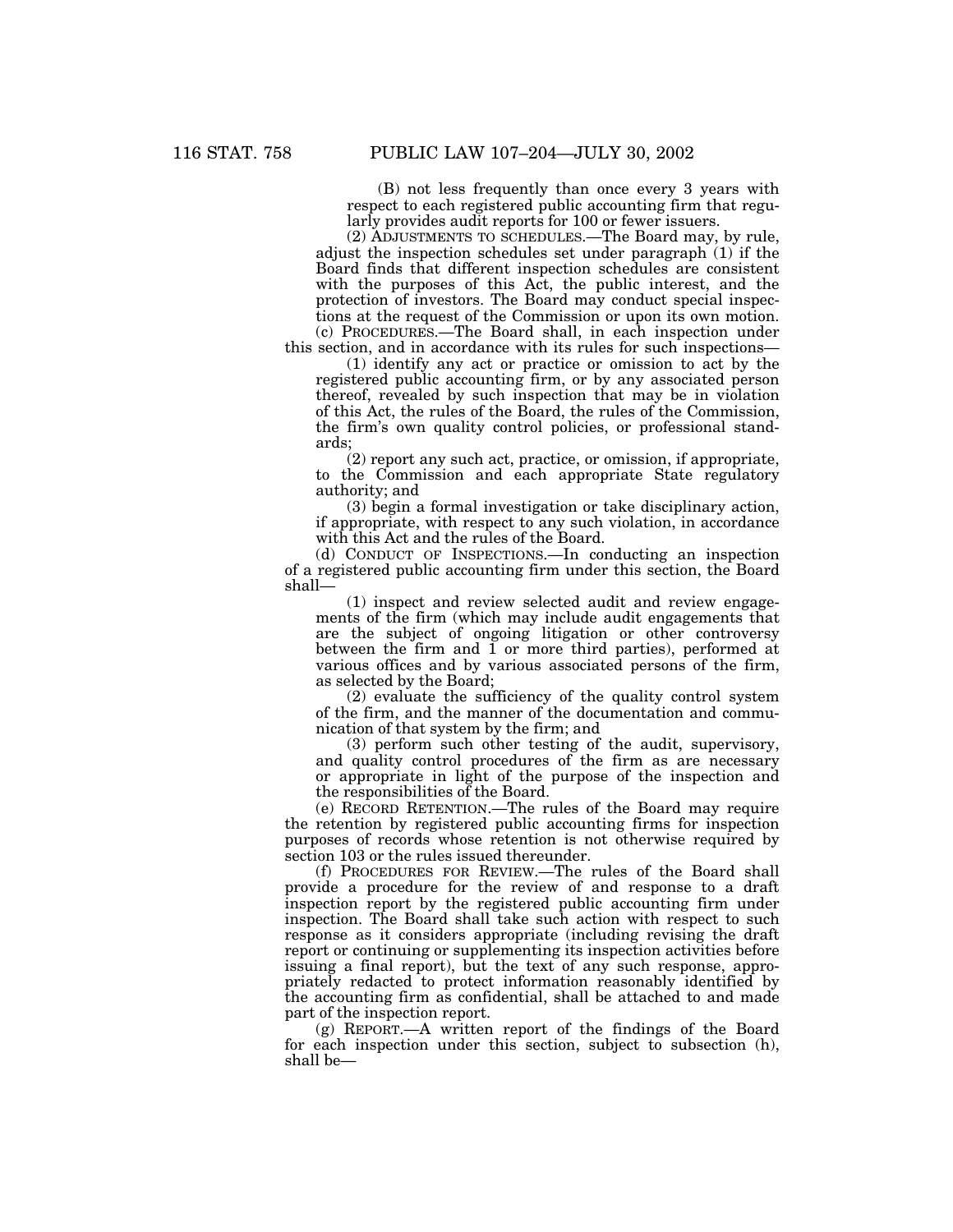(B) not less frequently than once every 3 years with respect to each registered public accounting firm that regularly provides audit reports for 100 or fewer issuers.

(2) ADJUSTMENTS TO SCHEDULES.—The Board may, by rule, adjust the inspection schedules set under paragraph (1) if the Board finds that different inspection schedules are consistent with the purposes of this Act, the public interest, and the protection of investors. The Board may conduct special inspections at the request of the Commission or upon its own motion. (c) PROCEDURES.—The Board shall, in each inspection under

this section, and in accordance with its rules for such inspections—

(1) identify any act or practice or omission to act by the registered public accounting firm, or by any associated person thereof, revealed by such inspection that may be in violation of this Act, the rules of the Board, the rules of the Commission, the firm's own quality control policies, or professional standards;

(2) report any such act, practice, or omission, if appropriate, to the Commission and each appropriate State regulatory authority; and

(3) begin a formal investigation or take disciplinary action, if appropriate, with respect to any such violation, in accordance with this Act and the rules of the Board.

(d) CONDUCT OF INSPECTIONS.—In conducting an inspection of a registered public accounting firm under this section, the Board shall—

(1) inspect and review selected audit and review engagements of the firm (which may include audit engagements that are the subject of ongoing litigation or other controversy between the firm and  $\check{1}$  or more third parties), performed at various offices and by various associated persons of the firm, as selected by the Board;

(2) evaluate the sufficiency of the quality control system of the firm, and the manner of the documentation and communication of that system by the firm; and

(3) perform such other testing of the audit, supervisory, and quality control procedures of the firm as are necessary or appropriate in light of the purpose of the inspection and the responsibilities of the Board.

(e) RECORD RETENTION.—The rules of the Board may require the retention by registered public accounting firms for inspection purposes of records whose retention is not otherwise required by section 103 or the rules issued thereunder.

(f) PROCEDURES FOR REVIEW.—The rules of the Board shall provide a procedure for the review of and response to a draft inspection report by the registered public accounting firm under inspection. The Board shall take such action with respect to such response as it considers appropriate (including revising the draft report or continuing or supplementing its inspection activities before issuing a final report), but the text of any such response, appropriately redacted to protect information reasonably identified by the accounting firm as confidential, shall be attached to and made part of the inspection report.

(g) REPORT.—A written report of the findings of the Board for each inspection under this section, subject to subsection (h), shall be—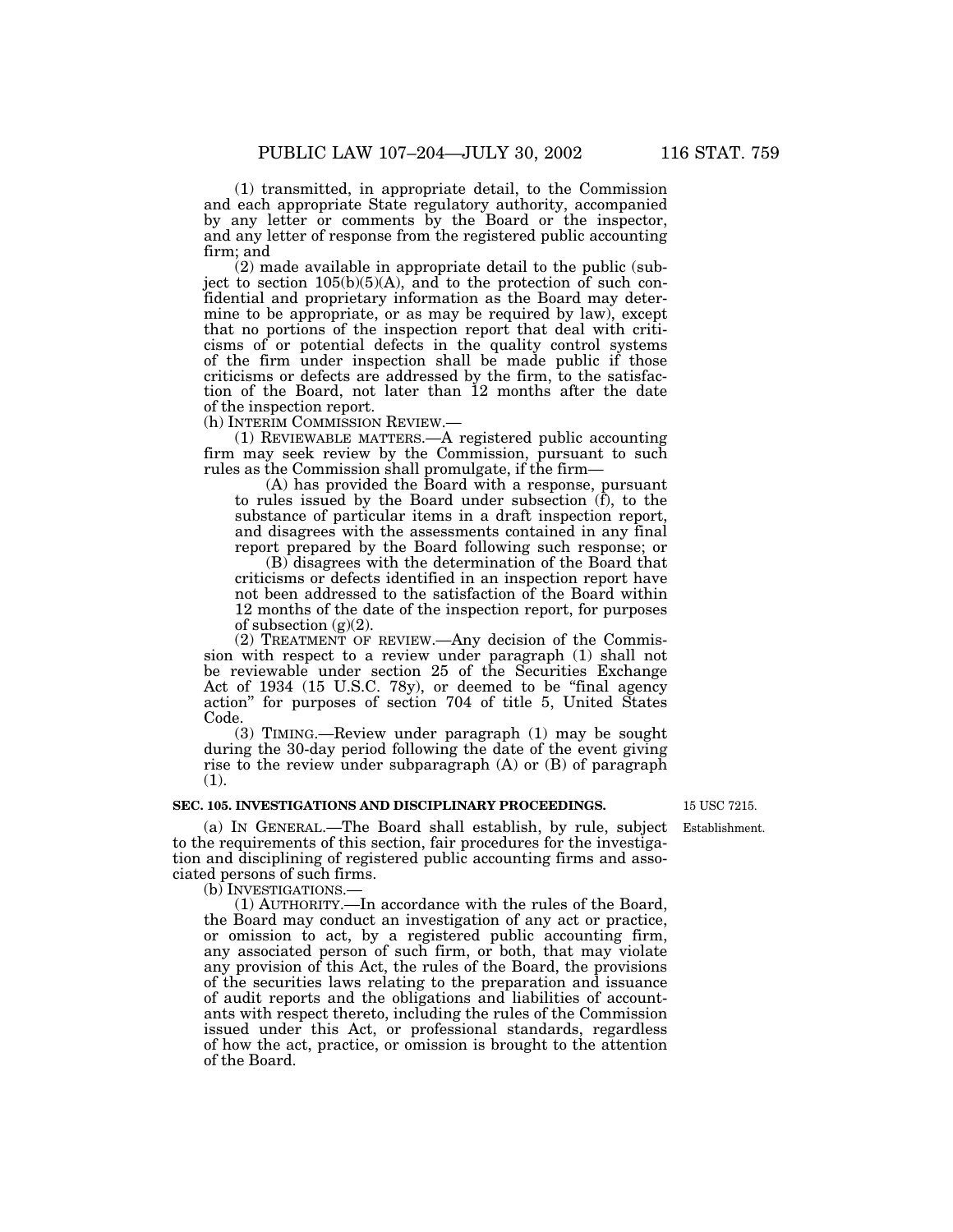(1) transmitted, in appropriate detail, to the Commission and each appropriate State regulatory authority, accompanied by any letter or comments by the Board or the inspector, and any letter of response from the registered public accounting firm; and

(2) made available in appropriate detail to the public (subject to section  $105(b)(5)(A)$ , and to the protection of such confidential and proprietary information as the Board may determine to be appropriate, or as may be required by law), except that no portions of the inspection report that deal with criticisms of or potential defects in the quality control systems of the firm under inspection shall be made public if those criticisms or defects are addressed by the firm, to the satisfaction of the Board, not later than 12 months after the date of the inspection report.<br>(h) INTERIM COMMISSION REVIEW.—

 $(1)$  REVIEWABLE MATTERS.—A registered public accounting firm may seek review by the Commission, pursuant to such rules as the Commission shall promulgate, if the firm—

(A) has provided the Board with a response, pursuant to rules issued by the Board under subsection (f), to the substance of particular items in a draft inspection report, and disagrees with the assessments contained in any final report prepared by the Board following such response; or

(B) disagrees with the determination of the Board that criticisms or defects identified in an inspection report have not been addressed to the satisfaction of the Board within 12 months of the date of the inspection report, for purposes of subsection  $(g)(2)$ .

(2) TREATMENT OF REVIEW.—Any decision of the Commission with respect to a review under paragraph (1) shall not be reviewable under section 25 of the Securities Exchange Act of 1934 (15 U.S.C. 78y), or deemed to be "final agency action'' for purposes of section 704 of title 5, United States Code.

(3) TIMING.—Review under paragraph (1) may be sought during the 30-day period following the date of the event giving rise to the review under subparagraph (A) or (B) of paragraph (1).

## **SEC. 105. INVESTIGATIONS AND DISCIPLINARY PROCEEDINGS.**

(a) IN GENERAL.—The Board shall establish, by rule, subject to the requirements of this section, fair procedures for the investigation and disciplining of registered public accounting firms and associated persons of such firms.

(b) INVESTIGATIONS.—

(1) AUTHORITY.—In accordance with the rules of the Board, the Board may conduct an investigation of any act or practice, or omission to act, by a registered public accounting firm, any associated person of such firm, or both, that may violate any provision of this Act, the rules of the Board, the provisions of the securities laws relating to the preparation and issuance of audit reports and the obligations and liabilities of accountants with respect thereto, including the rules of the Commission issued under this Act, or professional standards, regardless of how the act, practice, or omission is brought to the attention of the Board.

15 USC 7215.

Establishment.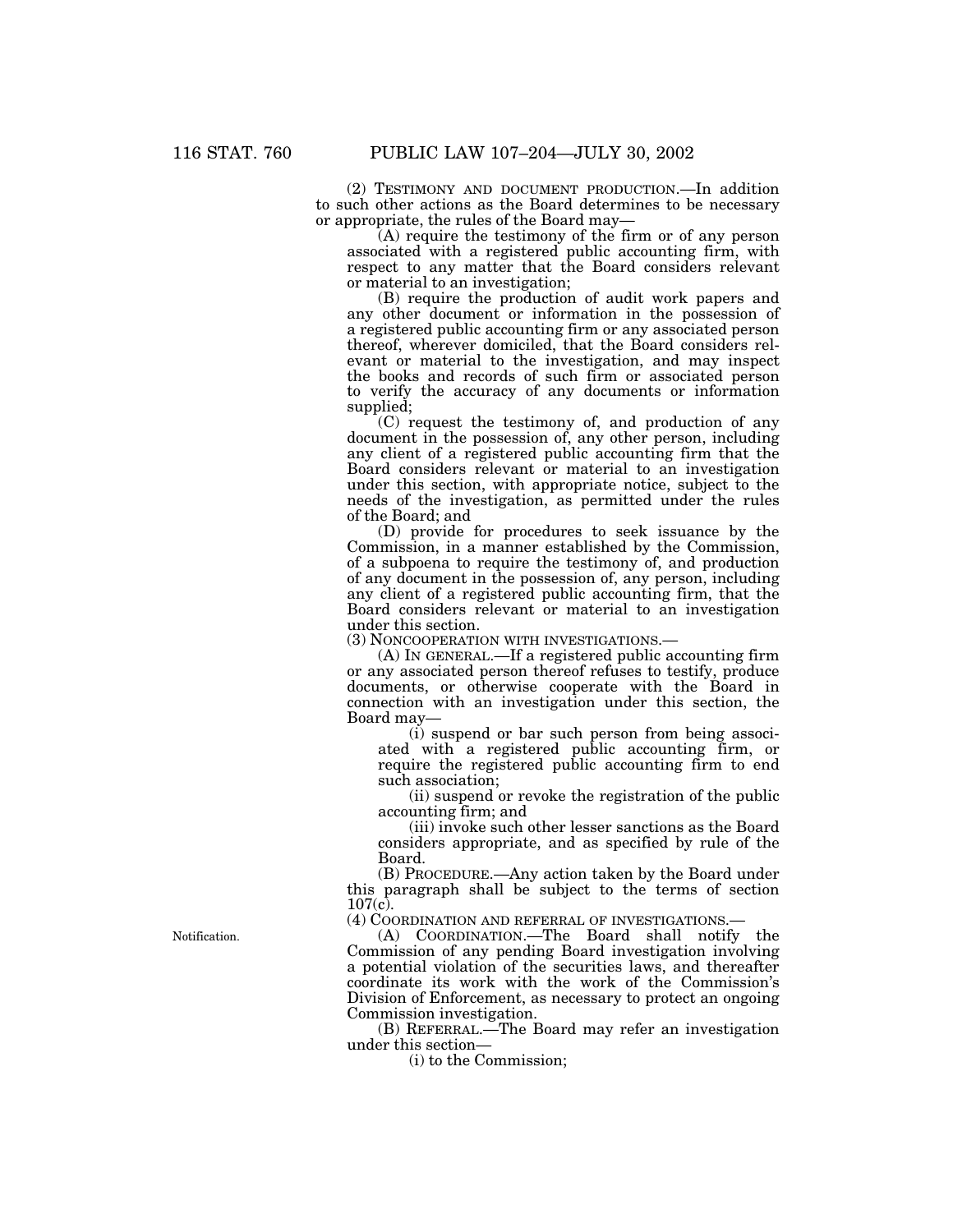(2) TESTIMONY AND DOCUMENT PRODUCTION.—In addition to such other actions as the Board determines to be necessary or appropriate, the rules of the Board may—

(A) require the testimony of the firm or of any person associated with a registered public accounting firm, with respect to any matter that the Board considers relevant or material to an investigation;

(B) require the production of audit work papers and any other document or information in the possession of a registered public accounting firm or any associated person thereof, wherever domiciled, that the Board considers relevant or material to the investigation, and may inspect the books and records of such firm or associated person to verify the accuracy of any documents or information supplied;

(C) request the testimony of, and production of any document in the possession of, any other person, including any client of a registered public accounting firm that the Board considers relevant or material to an investigation under this section, with appropriate notice, subject to the needs of the investigation, as permitted under the rules of the Board; and

(D) provide for procedures to seek issuance by the Commission, in a manner established by the Commission, of a subpoena to require the testimony of, and production of any document in the possession of, any person, including any client of a registered public accounting firm, that the Board considers relevant or material to an investigation under this section.

(3) NONCOOPERATION WITH INVESTIGATIONS.—

(A) IN GENERAL.—If a registered public accounting firm or any associated person thereof refuses to testify, produce documents, or otherwise cooperate with the Board in connection with an investigation under this section, the Board may—

(i) suspend or bar such person from being associated with a registered public accounting firm, or require the registered public accounting firm to end such association;

(ii) suspend or revoke the registration of the public accounting firm; and

(iii) invoke such other lesser sanctions as the Board considers appropriate, and as specified by rule of the Board.

(B) PROCEDURE.—Any action taken by the Board under this paragraph shall be subject to the terms of section  $107(c)$ .

(4) COORDINATION AND REFERRAL OF INVESTIGATIONS.—

(A) COORDINATION.—The Board shall notify the Commission of any pending Board investigation involving a potential violation of the securities laws, and thereafter coordinate its work with the work of the Commission's Division of Enforcement, as necessary to protect an ongoing Commission investigation.

(B) REFERRAL.—The Board may refer an investigation under this section—

(i) to the Commission;

Notification.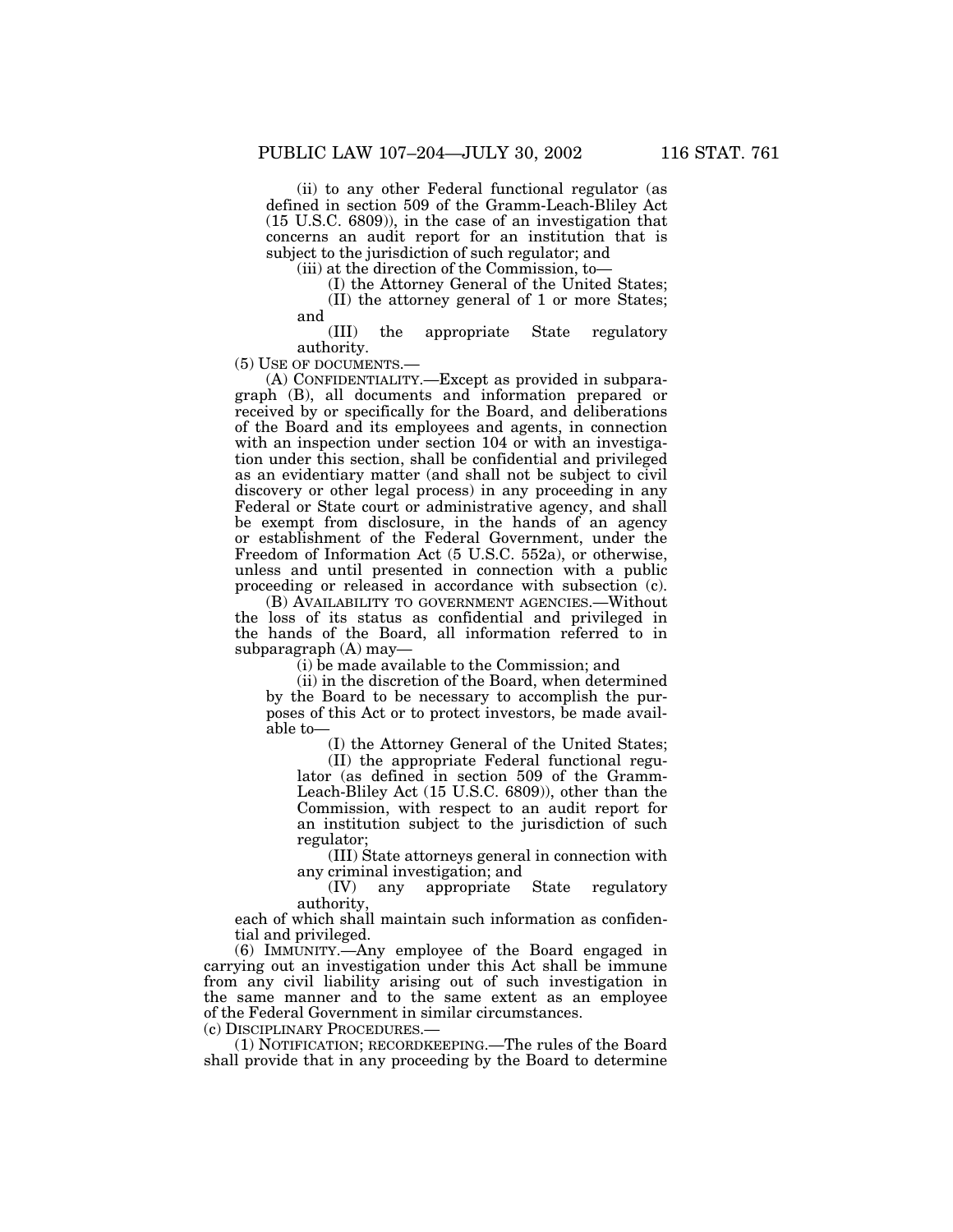(ii) to any other Federal functional regulator (as defined in section 509 of the Gramm-Leach-Bliley Act (15 U.S.C. 6809)), in the case of an investigation that concerns an audit report for an institution that is subject to the jurisdiction of such regulator; and

(iii) at the direction of the Commission, to—

(I) the Attorney General of the United States; (II) the attorney general of 1 or more States; and

(III) the appropriate State regulatory authority.

(5) USE OF DOCUMENTS.—

(A) CONFIDENTIALITY.—Except as provided in subparagraph (B), all documents and information prepared or received by or specifically for the Board, and deliberations of the Board and its employees and agents, in connection with an inspection under section 104 or with an investigation under this section, shall be confidential and privileged as an evidentiary matter (and shall not be subject to civil discovery or other legal process) in any proceeding in any Federal or State court or administrative agency, and shall be exempt from disclosure, in the hands of an agency or establishment of the Federal Government, under the Freedom of Information Act (5 U.S.C. 552a), or otherwise, unless and until presented in connection with a public proceeding or released in accordance with subsection (c).

(B) AVAILABILITY TO GOVERNMENT AGENCIES.—Without the loss of its status as confidential and privileged in the hands of the Board, all information referred to in subparagraph (A) may—

(i) be made available to the Commission; and

(ii) in the discretion of the Board, when determined by the Board to be necessary to accomplish the purposes of this Act or to protect investors, be made available to—

(I) the Attorney General of the United States;

(II) the appropriate Federal functional regulator (as defined in section 509 of the Gramm-Leach-Bliley Act (15 U.S.C. 6809)), other than the Commission, with respect to an audit report for an institution subject to the jurisdiction of such regulator;

(III) State attorneys general in connection with

any criminal investigation; and  $(IV)$  any appropriate appropriate State regulatory authority,

each of which shall maintain such information as confidential and privileged.

(6) IMMUNITY.—Any employee of the Board engaged in carrying out an investigation under this Act shall be immune from any civil liability arising out of such investigation in the same manner and to the same extent as an employee of the Federal Government in similar circumstances.

(c) DISCIPLINARY PROCEDURES.—

(1) NOTIFICATION; RECORDKEEPING.—The rules of the Board shall provide that in any proceeding by the Board to determine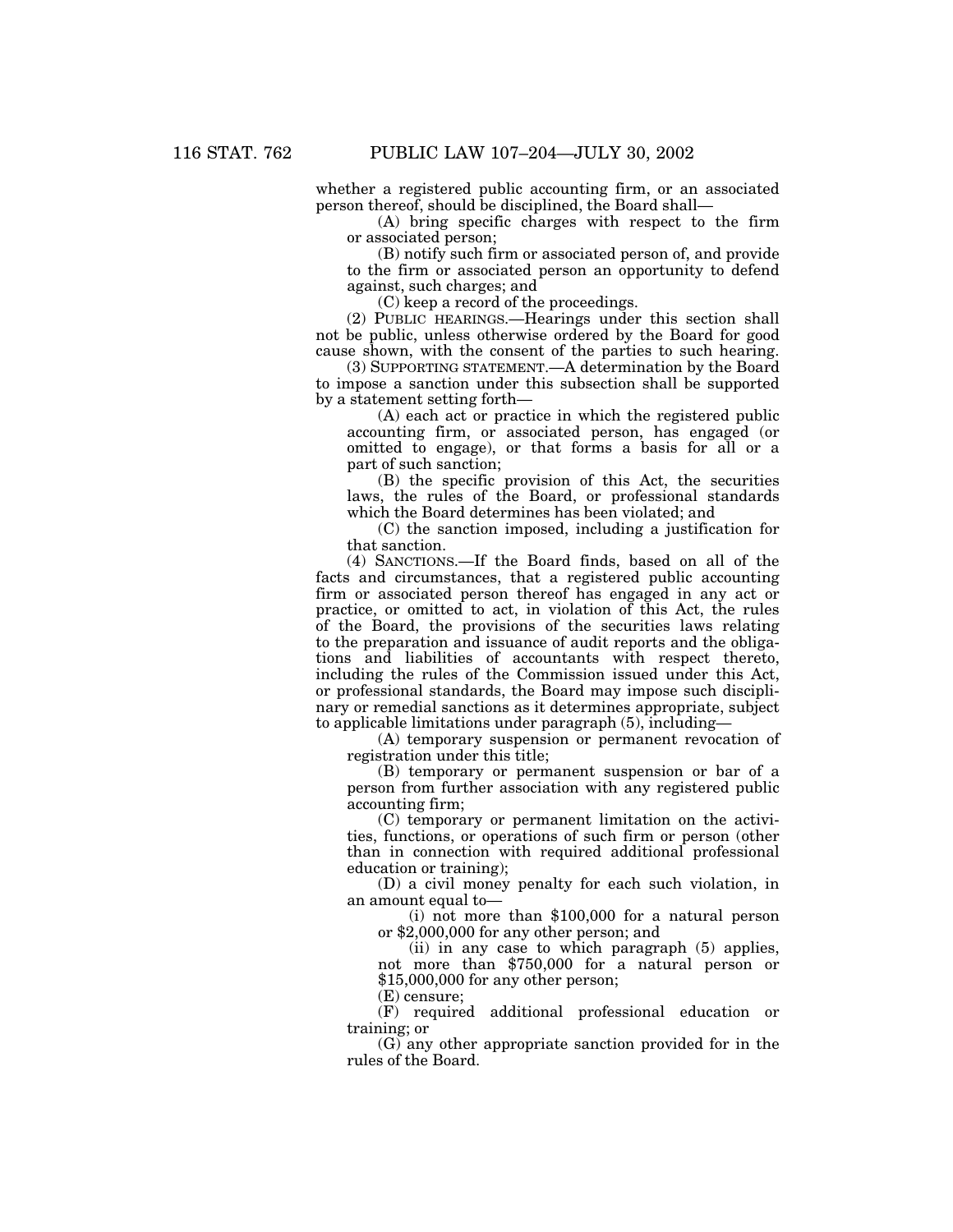whether a registered public accounting firm, or an associated person thereof, should be disciplined, the Board shall—

(A) bring specific charges with respect to the firm or associated person;

(B) notify such firm or associated person of, and provide to the firm or associated person an opportunity to defend against, such charges; and

(C) keep a record of the proceedings.

(2) PUBLIC HEARINGS.—Hearings under this section shall not be public, unless otherwise ordered by the Board for good cause shown, with the consent of the parties to such hearing.

(3) SUPPORTING STATEMENT.—A determination by the Board to impose a sanction under this subsection shall be supported by a statement setting forth—

(A) each act or practice in which the registered public accounting firm, or associated person, has engaged (or omitted to engage), or that forms a basis for all or a part of such sanction;

(B) the specific provision of this Act, the securities laws, the rules of the Board, or professional standards which the Board determines has been violated; and

(C) the sanction imposed, including a justification for that sanction.

(4) SANCTIONS.—If the Board finds, based on all of the facts and circumstances, that a registered public accounting firm or associated person thereof has engaged in any act or practice, or omitted to act, in violation of this Act, the rules of the Board, the provisions of the securities laws relating to the preparation and issuance of audit reports and the obligations and liabilities of accountants with respect thereto, including the rules of the Commission issued under this Act, or professional standards, the Board may impose such disciplinary or remedial sanctions as it determines appropriate, subject to applicable limitations under paragraph (5), including—

(A) temporary suspension or permanent revocation of registration under this title;

(B) temporary or permanent suspension or bar of a person from further association with any registered public accounting firm;

(C) temporary or permanent limitation on the activities, functions, or operations of such firm or person (other than in connection with required additional professional education or training);

(D) a civil money penalty for each such violation, in an amount equal to—

(i) not more than \$100,000 for a natural person or \$2,000,000 for any other person; and

(ii) in any case to which paragraph (5) applies, not more than \$750,000 for a natural person or \$15,000,000 for any other person;

(E) censure;

(F) required additional professional education or training; or

(G) any other appropriate sanction provided for in the rules of the Board.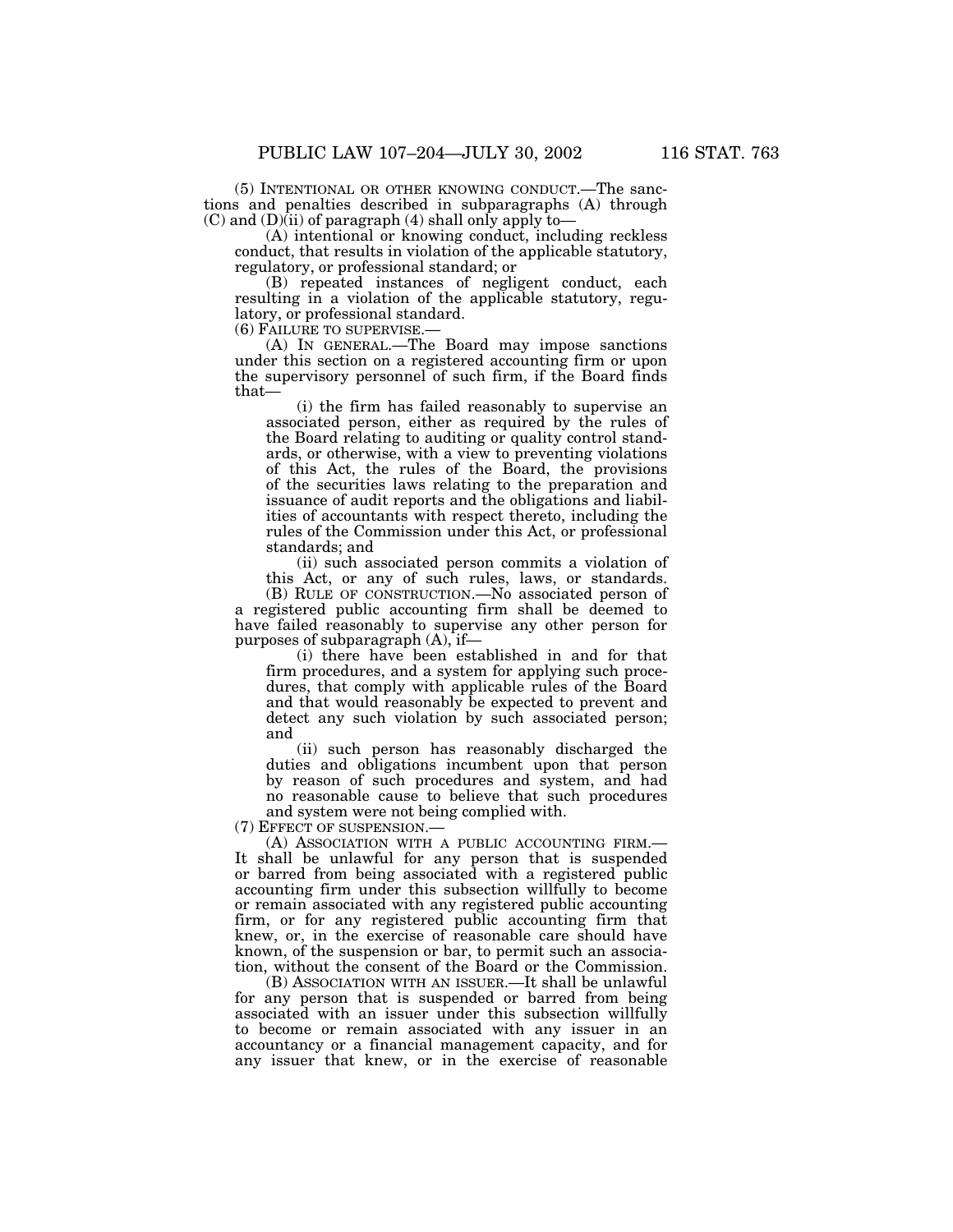(5) INTENTIONAL OR OTHER KNOWING CONDUCT.—The sanctions and penalties described in subparagraphs (A) through (C) and  $(D)$ (ii) of paragraph (4) shall only apply to-

(A) intentional or knowing conduct, including reckless conduct, that results in violation of the applicable statutory, regulatory, or professional standard; or

(B) repeated instances of negligent conduct, each resulting in a violation of the applicable statutory, regulatory, or professional standard.<br>(6) FAILURE TO SUPERVISE.—

(A) IN GENERAL.—The Board may impose sanctions under this section on a registered accounting firm or upon the supervisory personnel of such firm, if the Board finds that—

(i) the firm has failed reasonably to supervise an associated person, either as required by the rules of the Board relating to auditing or quality control standards, or otherwise, with a view to preventing violations of this Act, the rules of the Board, the provisions of the securities laws relating to the preparation and issuance of audit reports and the obligations and liabilities of accountants with respect thereto, including the rules of the Commission under this Act, or professional standards; and

(ii) such associated person commits a violation of this Act, or any of such rules, laws, or standards.

(B) RULE OF CONSTRUCTION.—No associated person of a registered public accounting firm shall be deemed to have failed reasonably to supervise any other person for purposes of subparagraph (A), if—

(i) there have been established in and for that firm procedures, and a system for applying such procedures, that comply with applicable rules of the Board and that would reasonably be expected to prevent and detect any such violation by such associated person; and

(ii) such person has reasonably discharged the duties and obligations incumbent upon that person by reason of such procedures and system, and had no reasonable cause to believe that such procedures and system were not being complied with.

(7) EFFECT OF SUSPENSION.—

(A) ASSOCIATION WITH A PUBLIC ACCOUNTING FIRM.— It shall be unlawful for any person that is suspended or barred from being associated with a registered public accounting firm under this subsection willfully to become or remain associated with any registered public accounting firm, or for any registered public accounting firm that knew, or, in the exercise of reasonable care should have known, of the suspension or bar, to permit such an association, without the consent of the Board or the Commission.

(B) ASSOCIATION WITH AN ISSUER.—It shall be unlawful for any person that is suspended or barred from being associated with an issuer under this subsection willfully to become or remain associated with any issuer in an accountancy or a financial management capacity, and for any issuer that knew, or in the exercise of reasonable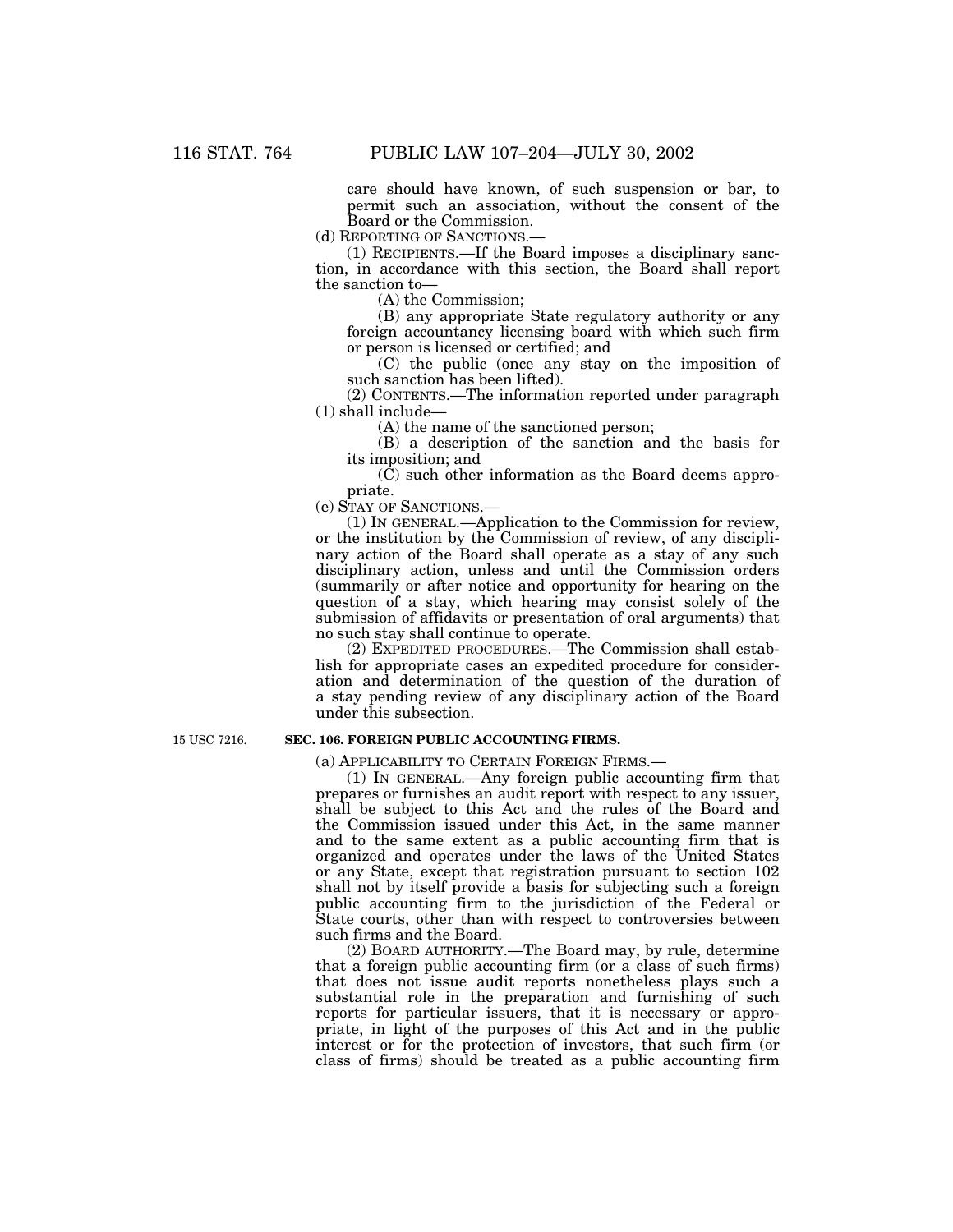care should have known, of such suspension or bar, to permit such an association, without the consent of the Board or the Commission.

(d) REPORTING OF SANCTIONS.—

(1) RECIPIENTS.—If the Board imposes a disciplinary sanction, in accordance with this section, the Board shall report the sanction to—

(A) the Commission;

(B) any appropriate State regulatory authority or any foreign accountancy licensing board with which such firm or person is licensed or certified; and

(C) the public (once any stay on the imposition of such sanction has been lifted).

(2) CONTENTS.—The information reported under paragraph (1) shall include—

(A) the name of the sanctioned person;

(B) a description of the sanction and the basis for its imposition; and

 $(\tilde{C})$  such other information as the Board deems appropriate.

(e) STAY OF SANCTIONS.—

(1) IN GENERAL.—Application to the Commission for review, or the institution by the Commission of review, of any disciplinary action of the Board shall operate as a stay of any such disciplinary action, unless and until the Commission orders (summarily or after notice and opportunity for hearing on the question of a stay, which hearing may consist solely of the submission of affidavits or presentation of oral arguments) that no such stay shall continue to operate.

(2) EXPEDITED PROCEDURES.—The Commission shall establish for appropriate cases an expedited procedure for consideration and determination of the question of the duration of a stay pending review of any disciplinary action of the Board under this subsection.

15 USC 7216.

#### **SEC. 106. FOREIGN PUBLIC ACCOUNTING FIRMS.**

(a) APPLICABILITY TO CERTAIN FOREIGN FIRMS.—

(1) IN GENERAL.—Any foreign public accounting firm that prepares or furnishes an audit report with respect to any issuer, shall be subject to this Act and the rules of the Board and the Commission issued under this Act, in the same manner and to the same extent as a public accounting firm that is organized and operates under the laws of the United States or any State, except that registration pursuant to section 102 shall not by itself provide a basis for subjecting such a foreign public accounting firm to the jurisdiction of the Federal or State courts, other than with respect to controversies between such firms and the Board.

(2) BOARD AUTHORITY.—The Board may, by rule, determine that a foreign public accounting firm (or a class of such firms) that does not issue audit reports nonetheless plays such a substantial role in the preparation and furnishing of such reports for particular issuers, that it is necessary or appropriate, in light of the purposes of this Act and in the public interest or for the protection of investors, that such firm (or class of firms) should be treated as a public accounting firm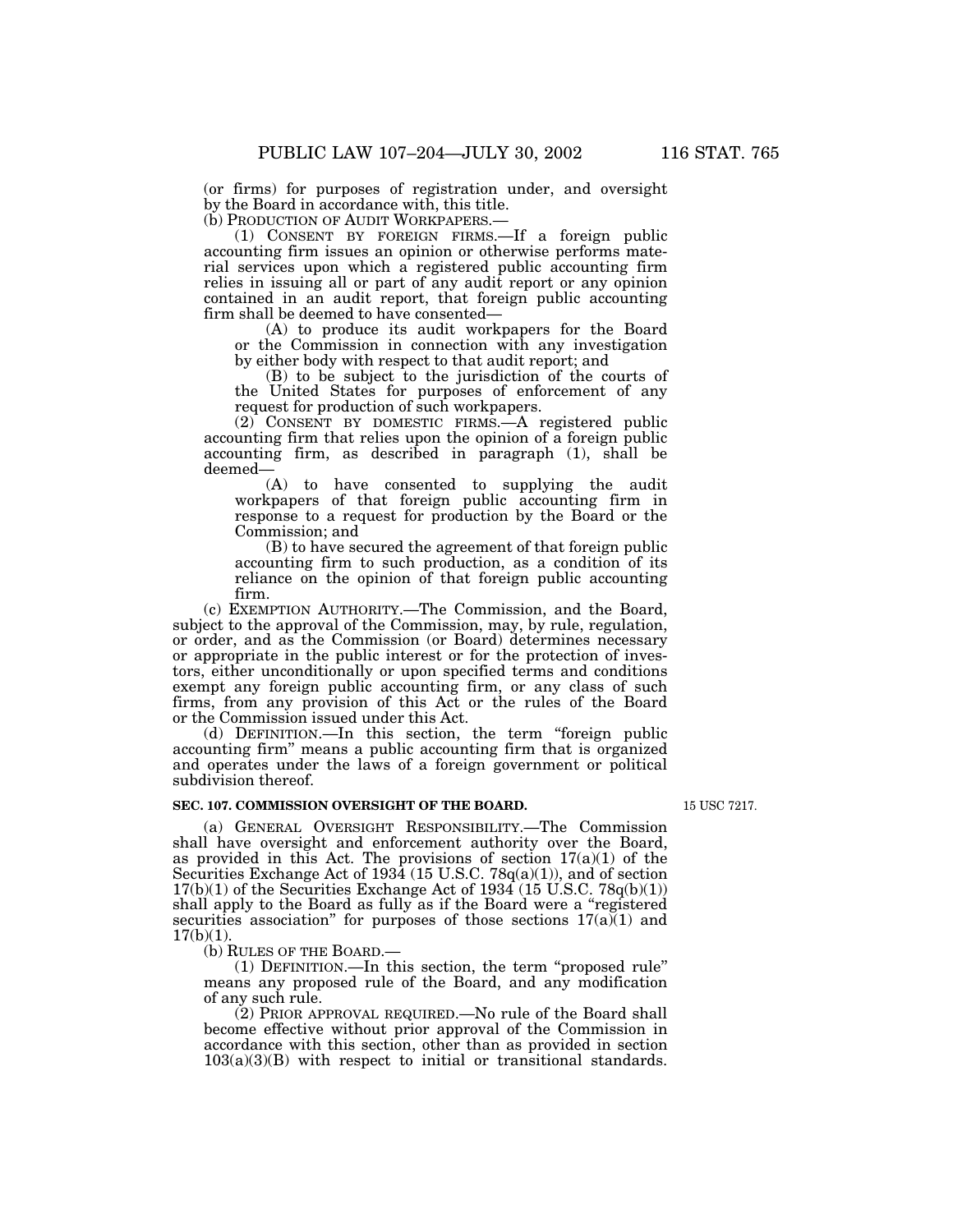(or firms) for purposes of registration under, and oversight by the Board in accordance with, this title.

(b) PRODUCTION OF AUDIT WORKPAPERS.

(1) CONSENT BY FOREIGN FIRMS.—If a foreign public accounting firm issues an opinion or otherwise performs material services upon which a registered public accounting firm relies in issuing all or part of any audit report or any opinion contained in an audit report, that foreign public accounting firm shall be deemed to have consented—

(A) to produce its audit workpapers for the Board or the Commission in connection with any investigation by either body with respect to that audit report; and

(B) to be subject to the jurisdiction of the courts of the United States for purposes of enforcement of any request for production of such workpapers.

(2) CONSENT BY DOMESTIC FIRMS.—A registered public accounting firm that relies upon the opinion of a foreign public accounting firm, as described in paragraph (1), shall be deemed—

(A) to have consented to supplying the audit workpapers of that foreign public accounting firm in response to a request for production by the Board or the Commission; and

(B) to have secured the agreement of that foreign public accounting firm to such production, as a condition of its reliance on the opinion of that foreign public accounting firm.

(c) EXEMPTION AUTHORITY.—The Commission, and the Board, subject to the approval of the Commission, may, by rule, regulation, or order, and as the Commission (or Board) determines necessary or appropriate in the public interest or for the protection of investors, either unconditionally or upon specified terms and conditions exempt any foreign public accounting firm, or any class of such firms, from any provision of this Act or the rules of the Board or the Commission issued under this Act.

(d) DEFINITION.—In this section, the term ''foreign public accounting firm'' means a public accounting firm that is organized and operates under the laws of a foreign government or political subdivision thereof.

## **SEC. 107. COMMISSION OVERSIGHT OF THE BOARD.**

15 USC 7217.

(a) GENERAL OVERSIGHT RESPONSIBILITY.—The Commission shall have oversight and enforcement authority over the Board, as provided in this Act. The provisions of section  $17(a)(1)$  of the Securities Exchange Act of 1934 (15 U.S.C. 78 $q(a)(1)$ ), and of section  $17(b)(1)$  of the Securities Exchange Act of  $1934 (15 \text{ U.S.C. } 78q(b)(1))$ shall apply to the Board as fully as if the Board were a "registered" securities association" for purposes of those sections  $17(a)(1)$  and  $17(b)(1)$ .

(b) RULES OF THE BOARD.—

(1) DEFINITION.—In this section, the term ''proposed rule'' means any proposed rule of the Board, and any modification of any such rule.

(2) PRIOR APPROVAL REQUIRED.—No rule of the Board shall become effective without prior approval of the Commission in accordance with this section, other than as provided in section  $103(a)(3)(B)$  with respect to initial or transitional standards.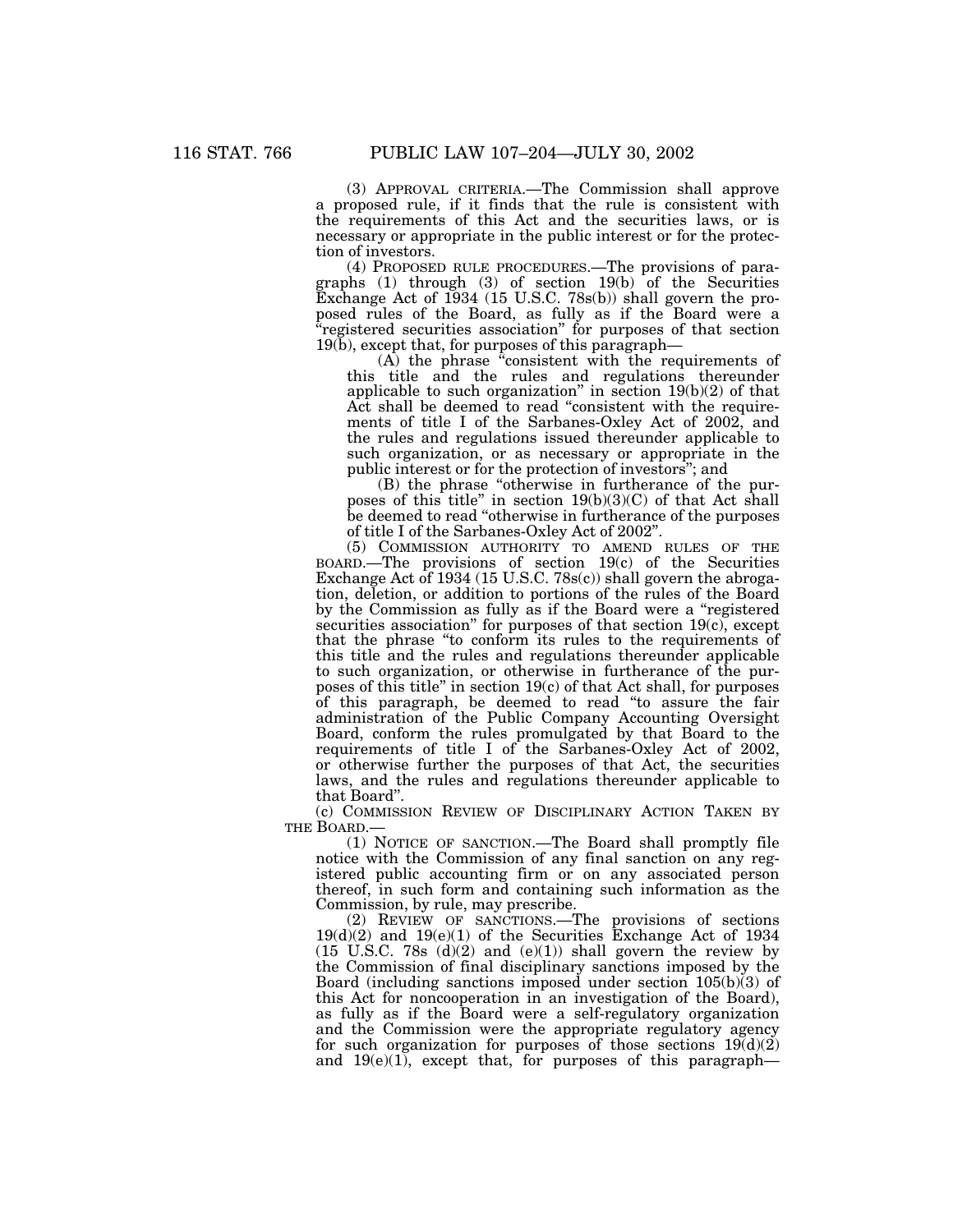(3) APPROVAL CRITERIA.—The Commission shall approve a proposed rule, if it finds that the rule is consistent with the requirements of this Act and the securities laws, or is necessary or appropriate in the public interest or for the protection of investors.

(4) PROPOSED RULE PROCEDURES.—The provisions of paragraphs (1) through (3) of section 19(b) of the Securities Exchange Act of 1934 (15 U.S.C. 78s(b)) shall govern the proposed rules of the Board, as fully as if the Board were a ''registered securities association'' for purposes of that section 19(b), except that, for purposes of this paragraph—

 $(A)$  the phrase "consistent with the requirements of this title and the rules and regulations thereunder applicable to such organization" in section  $19(b)(2)$  of that Act shall be deemed to read ''consistent with the requirements of title I of the Sarbanes-Oxley Act of 2002, and the rules and regulations issued thereunder applicable to such organization, or as necessary or appropriate in the public interest or for the protection of investors''; and

(B) the phrase ''otherwise in furtherance of the purposes of this title'' in section 19(b)(3)(C) of that Act shall be deemed to read "otherwise in furtherance of the purposes" of title I of the Sarbanes-Oxley Act of 2002''.

(5) COMMISSION AUTHORITY TO AMEND RULES OF THE BOARD.—The provisions of section 19(c) of the Securities Exchange Act of 1934 (15 U.S.C. 78s(c)) shall govern the abrogation, deletion, or addition to portions of the rules of the Board by the Commission as fully as if the Board were a "registered securities association" for purposes of that section 19(c), except that the phrase ''to conform its rules to the requirements of this title and the rules and regulations thereunder applicable to such organization, or otherwise in furtherance of the purposes of this title'' in section 19(c) of that Act shall, for purposes of this paragraph, be deemed to read ''to assure the fair administration of the Public Company Accounting Oversight Board, conform the rules promulgated by that Board to the requirements of title I of the Sarbanes-Oxley Act of 2002, or otherwise further the purposes of that Act, the securities laws, and the rules and regulations thereunder applicable to that Board''.

(c) COMMISSION REVIEW OF DISCIPLINARY ACTION TAKEN BY THE BOARD.

(1) NOTICE OF SANCTION.—The Board shall promptly file notice with the Commission of any final sanction on any registered public accounting firm or on any associated person thereof, in such form and containing such information as the Commission, by rule, may prescribe.

(2) REVIEW OF SANCTIONS.—The provisions of sections  $19(d)(2)$  and  $19(e)(1)$  of the Securities Exchange Act of 1934 (15 U.S.C. 78s  $(d)(2)$  and  $(e)(1)$ ) shall govern the review by the Commission of final disciplinary sanctions imposed by the Board (including sanctions imposed under section 105(b)(3) of this Act for noncooperation in an investigation of the Board), as fully as if the Board were a self-regulatory organization and the Commission were the appropriate regulatory agency for such organization for purposes of those sections  $19(d)(2)$ and  $19(e)(1)$ , except that, for purposes of this paragraph—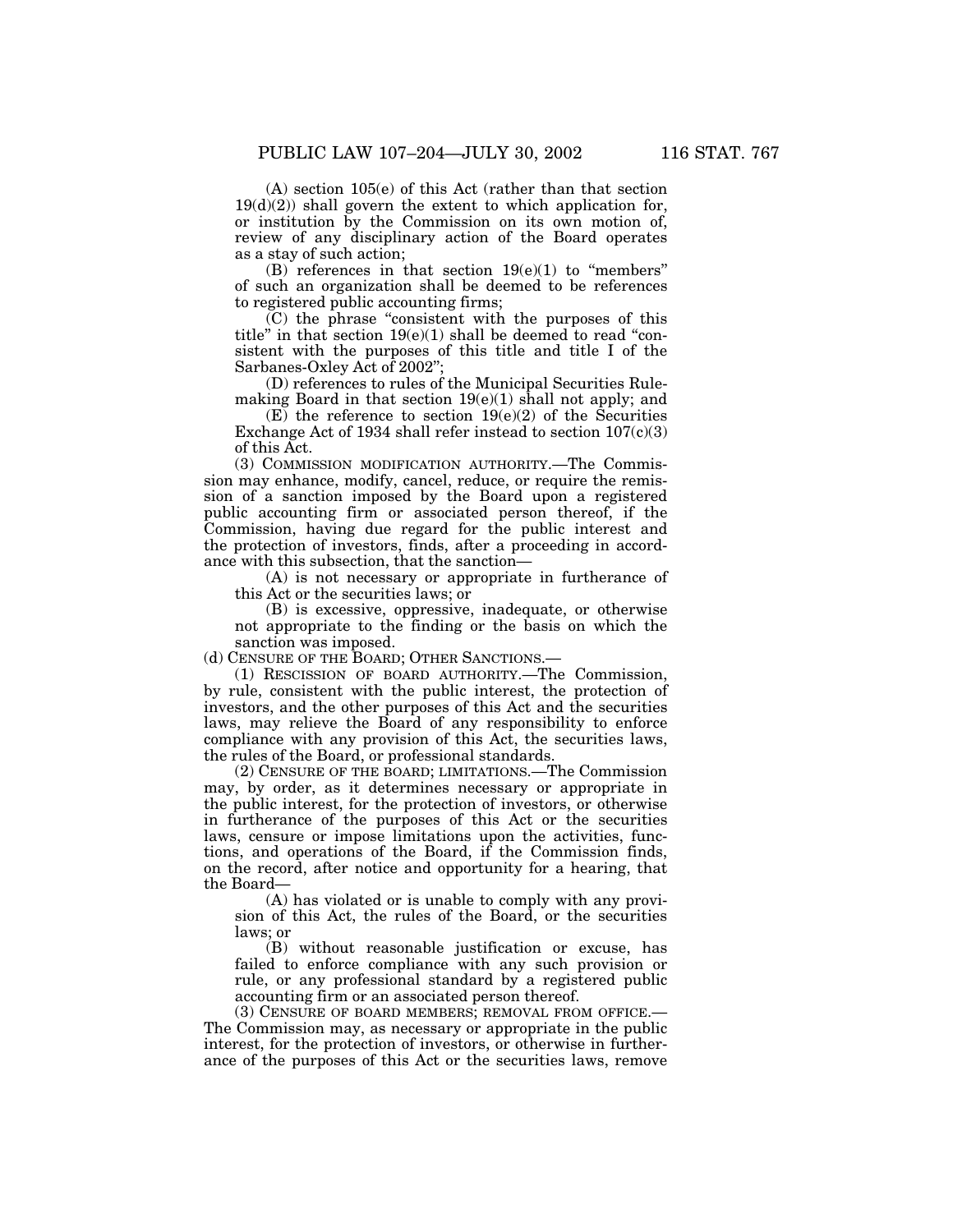(A) section 105(e) of this Act (rather than that section  $19(d)(2)$ ) shall govern the extent to which application for, or institution by the Commission on its own motion of, review of any disciplinary action of the Board operates as a stay of such action;

(B) references in that section  $19(e)(1)$  to "members" of such an organization shall be deemed to be references to registered public accounting firms;

(C) the phrase ''consistent with the purposes of this title" in that section  $19(e)(1)$  shall be deemed to read "consistent with the purposes of this title and title I of the Sarbanes-Oxley Act of 2002";

(D) references to rules of the Municipal Securities Rulemaking Board in that section  $19(e)(1)$  shall not apply; and

 $(E)$  the reference to section  $19(e)(2)$  of the Securities Exchange Act of 1934 shall refer instead to section  $107(c)(3)$ of this Act.

(3) COMMISSION MODIFICATION AUTHORITY.—The Commission may enhance, modify, cancel, reduce, or require the remission of a sanction imposed by the Board upon a registered public accounting firm or associated person thereof, if the Commission, having due regard for the public interest and the protection of investors, finds, after a proceeding in accordance with this subsection, that the sanction—

(A) is not necessary or appropriate in furtherance of this Act or the securities laws; or

(B) is excessive, oppressive, inadequate, or otherwise not appropriate to the finding or the basis on which the sanction was imposed.

(d) CENSURE OF THE BOARD; OTHER SANCTIONS.—

(1) RESCISSION OF BOARD AUTHORITY.—The Commission, by rule, consistent with the public interest, the protection of investors, and the other purposes of this Act and the securities laws, may relieve the Board of any responsibility to enforce compliance with any provision of this Act, the securities laws, the rules of the Board, or professional standards.

(2) CENSURE OF THE BOARD; LIMITATIONS.—The Commission may, by order, as it determines necessary or appropriate in the public interest, for the protection of investors, or otherwise in furtherance of the purposes of this Act or the securities laws, censure or impose limitations upon the activities, functions, and operations of the Board, if the Commission finds, on the record, after notice and opportunity for a hearing, that the Board—

(A) has violated or is unable to comply with any provision of this Act, the rules of the Board, or the securities laws; or

(B) without reasonable justification or excuse, has failed to enforce compliance with any such provision or rule, or any professional standard by a registered public accounting firm or an associated person thereof.

(3) CENSURE OF BOARD MEMBERS; REMOVAL FROM OFFICE.— The Commission may, as necessary or appropriate in the public interest, for the protection of investors, or otherwise in furtherance of the purposes of this Act or the securities laws, remove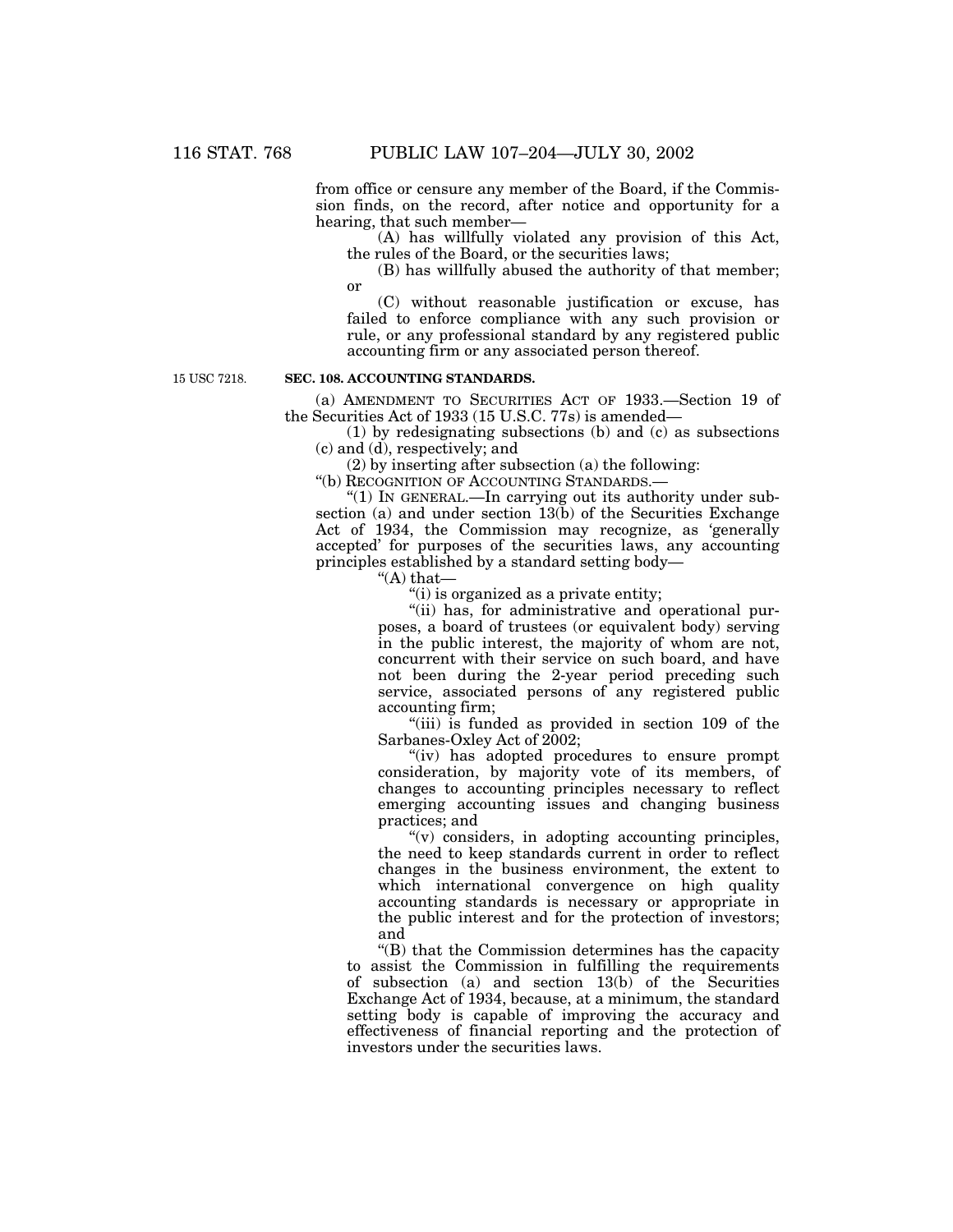from office or censure any member of the Board, if the Commission finds, on the record, after notice and opportunity for a hearing, that such member—

(A) has willfully violated any provision of this Act, the rules of the Board, or the securities laws;

(B) has willfully abused the authority of that member; or

(C) without reasonable justification or excuse, has failed to enforce compliance with any such provision or rule, or any professional standard by any registered public accounting firm or any associated person thereof.

15 USC 7218.

## **SEC. 108. ACCOUNTING STANDARDS.**

(a) AMENDMENT TO SECURITIES ACT OF 1933.—Section 19 of the Securities Act of 1933 (15 U.S.C. 77s) is amended—

(1) by redesignating subsections (b) and (c) as subsections (c) and (d), respectively; and

(2) by inserting after subsection (a) the following:

''(b) RECOGNITION OF ACCOUNTING STANDARDS.—

''(1) IN GENERAL.—In carrying out its authority under subsection (a) and under section 13(b) of the Securities Exchange Act of 1934, the Commission may recognize, as 'generally accepted' for purposes of the securities laws, any accounting principles established by a standard setting body—

''(A) that—

''(i) is organized as a private entity;

"(ii) has, for administrative and operational purposes, a board of trustees (or equivalent body) serving in the public interest, the majority of whom are not, concurrent with their service on such board, and have not been during the 2-year period preceding such service, associated persons of any registered public accounting firm;

"(iii) is funded as provided in section 109 of the Sarbanes-Oxley Act of 2002;

''(iv) has adopted procedures to ensure prompt consideration, by majority vote of its members, of changes to accounting principles necessary to reflect emerging accounting issues and changing business practices; and

"(v) considers, in adopting accounting principles, the need to keep standards current in order to reflect changes in the business environment, the extent to which international convergence on high quality accounting standards is necessary or appropriate in the public interest and for the protection of investors; and

''(B) that the Commission determines has the capacity to assist the Commission in fulfilling the requirements of subsection (a) and section 13(b) of the Securities Exchange Act of 1934, because, at a minimum, the standard setting body is capable of improving the accuracy and effectiveness of financial reporting and the protection of investors under the securities laws.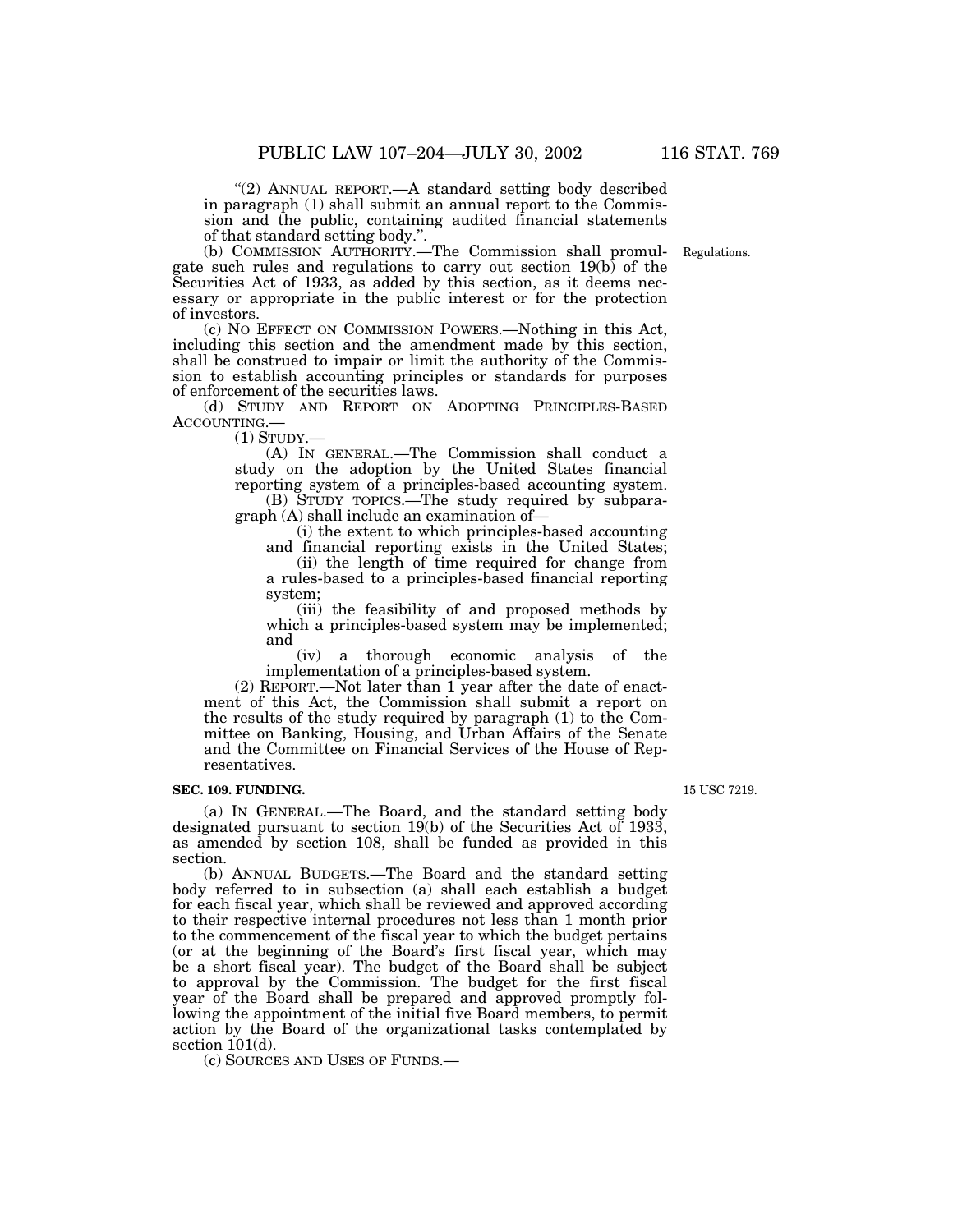''(2) ANNUAL REPORT.—A standard setting body described in paragraph (1) shall submit an annual report to the Commission and the public, containing audited financial statements of that standard setting body."

Regulations.

(b) COMMISSION AUTHORITY.—The Commission shall promulgate such rules and regulations to carry out section  $19(b)$  of the Securities Act of 1933, as added by this section, as it deems necessary or appropriate in the public interest or for the protection of investors.

(c) NO EFFECT ON COMMISSION POWERS.—Nothing in this Act, including this section and the amendment made by this section, shall be construed to impair or limit the authority of the Commission to establish accounting principles or standards for purposes of enforcement of the securities laws.

(d) STUDY AND REPORT ON ADOPTING PRINCIPLES-BASED ACCOUNTING.— (1) STUDY.—

(A) IN GENERAL.—The Commission shall conduct a study on the adoption by the United States financial reporting system of a principles-based accounting system.

(B) STUDY TOPICS.—The study required by subparagraph (A) shall include an examination of—

(i) the extent to which principles-based accounting and financial reporting exists in the United States;

(ii) the length of time required for change from a rules-based to a principles-based financial reporting system;

(iii) the feasibility of and proposed methods by which a principles-based system may be implemented; and

(iv) a thorough economic analysis of the implementation of a principles-based system.

(2) REPORT.—Not later than 1 year after the date of enactment of this Act, the Commission shall submit a report on the results of the study required by paragraph (1) to the Committee on Banking, Housing, and Urban Affairs of the Senate and the Committee on Financial Services of the House of Representatives.

#### **SEC. 109. FUNDING.**

(a) IN GENERAL.—The Board, and the standard setting body designated pursuant to section 19(b) of the Securities Act of 1933, as amended by section 108, shall be funded as provided in this section.

(b) ANNUAL BUDGETS.—The Board and the standard setting body referred to in subsection (a) shall each establish a budget for each fiscal year, which shall be reviewed and approved according to their respective internal procedures not less than 1 month prior to the commencement of the fiscal year to which the budget pertains (or at the beginning of the Board's first fiscal year, which may be a short fiscal year). The budget of the Board shall be subject to approval by the Commission. The budget for the first fiscal year of the Board shall be prepared and approved promptly following the appointment of the initial five Board members, to permit action by the Board of the organizational tasks contemplated by section  $101(d)$ .

(c) SOURCES AND USES OF FUNDS.—

15 USC 7219.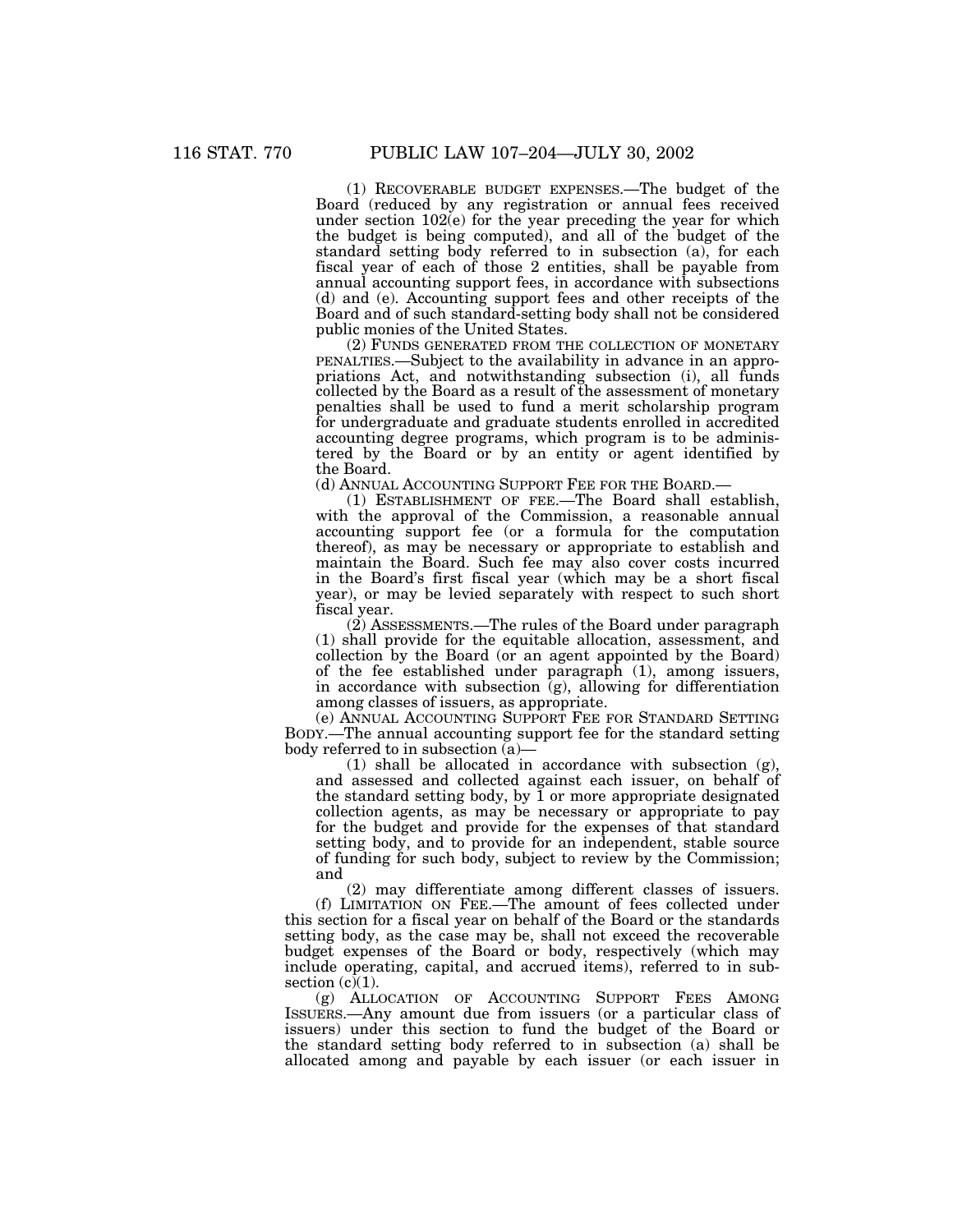(1) RECOVERABLE BUDGET EXPENSES.—The budget of the Board (reduced by any registration or annual fees received under section 102(e) for the year preceding the year for which the budget is being computed), and all of the budget of the standard setting body referred to in subsection (a), for each fiscal year of each of those 2 entities, shall be payable from annual accounting support fees, in accordance with subsections (d) and (e). Accounting support fees and other receipts of the Board and of such standard-setting body shall not be considered public monies of the United States.

(2) FUNDS GENERATED FROM THE COLLECTION OF MONETARY PENALTIES.—Subject to the availability in advance in an appropriations Act, and notwithstanding subsection (i), all funds collected by the Board as a result of the assessment of monetary penalties shall be used to fund a merit scholarship program for undergraduate and graduate students enrolled in accredited accounting degree programs, which program is to be administered by the Board or by an entity or agent identified by the Board.

(d) ANNUAL ACCOUNTING SUPPORT FEE FOR THE BOARD.—

(1) ESTABLISHMENT OF FEE.—The Board shall establish, with the approval of the Commission, a reasonable annual accounting support fee (or a formula for the computation thereof), as may be necessary or appropriate to establish and maintain the Board. Such fee may also cover costs incurred in the Board's first fiscal year (which may be a short fiscal year), or may be levied separately with respect to such short fiscal year.

(2) ASSESSMENTS.—The rules of the Board under paragraph (1) shall provide for the equitable allocation, assessment, and collection by the Board (or an agent appointed by the Board) of the fee established under paragraph (1), among issuers, in accordance with subsection  $(g)$ , allowing for differentiation among classes of issuers, as appropriate.

(e) ANNUAL ACCOUNTING SUPPORT FEE FOR STANDARD SETTING BODY.—The annual accounting support fee for the standard setting body referred to in subsection (a)—

(1) shall be allocated in accordance with subsection (g), and assessed and collected against each issuer, on behalf of the standard setting body, by 1 or more appropriate designated collection agents, as may be necessary or appropriate to pay for the budget and provide for the expenses of that standard setting body, and to provide for an independent, stable source of funding for such body, subject to review by the Commission; and

(2) may differentiate among different classes of issuers. (f) LIMITATION ON FEE.—The amount of fees collected under this section for a fiscal year on behalf of the Board or the standards setting body, as the case may be, shall not exceed the recoverable budget expenses of the Board or body, respectively (which may include operating, capital, and accrued items), referred to in subsection  $(c)(1)$ .

(g) ALLOCATION OF ACCOUNTING SUPPORT FEES AMONG ISSUERS.—Any amount due from issuers (or a particular class of issuers) under this section to fund the budget of the Board or the standard setting body referred to in subsection (a) shall be allocated among and payable by each issuer (or each issuer in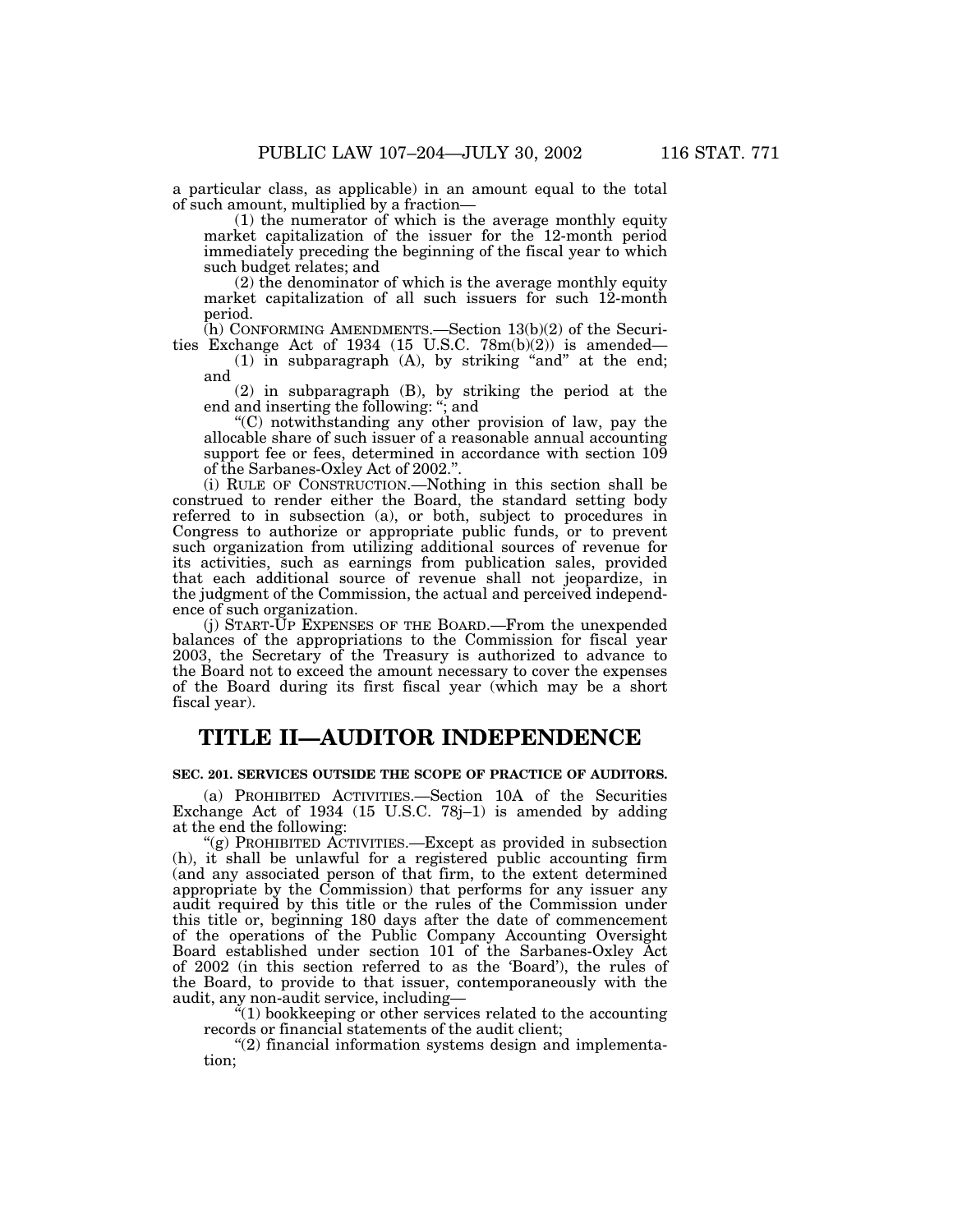a particular class, as applicable) in an amount equal to the total of such amount, multiplied by a fraction—

(1) the numerator of which is the average monthly equity market capitalization of the issuer for the 12-month period immediately preceding the beginning of the fiscal year to which such budget relates; and

(2) the denominator of which is the average monthly equity market capitalization of all such issuers for such 12-month period.

(h) CONFORMING AMENDMENTS.—Section 13(b)(2) of the Securities Exchange Act of 1934 (15 U.S.C. 78m(b)(2)) is amended—

(1) in subparagraph (A), by striking "and" at the end; and

(2) in subparagraph (B), by striking the period at the end and inserting the following: ''; and

''(C) notwithstanding any other provision of law, pay the allocable share of such issuer of a reasonable annual accounting support fee or fees, determined in accordance with section  $10\overline{9}$ of the Sarbanes-Oxley Act of 2002.''.

(i) RULE OF CONSTRUCTION.—Nothing in this section shall be construed to render either the Board, the standard setting body referred to in subsection (a), or both, subject to procedures in Congress to authorize or appropriate public funds, or to prevent such organization from utilizing additional sources of revenue for its activities, such as earnings from publication sales, provided that each additional source of revenue shall not jeopardize, in the judgment of the Commission, the actual and perceived independence of such organization.

(j) START-UP EXPENSES OF THE BOARD.—From the unexpended balances of the appropriations to the Commission for fiscal year 2003, the Secretary of the Treasury is authorized to advance to the Board not to exceed the amount necessary to cover the expenses of the Board during its first fiscal year (which may be a short fiscal year).

# **TITLE II—AUDITOR INDEPENDENCE**

## **SEC. 201. SERVICES OUTSIDE THE SCOPE OF PRACTICE OF AUDITORS.**

(a) PROHIBITED ACTIVITIES.—Section 10A of the Securities Exchange Act of 1934 (15 U.S.C. 78j–1) is amended by adding at the end the following:

''(g) PROHIBITED ACTIVITIES.—Except as provided in subsection (h), it shall be unlawful for a registered public accounting firm (and any associated person of that firm, to the extent determined appropriate by the Commission) that performs for any issuer any audit required by this title or the rules of the Commission under this title or, beginning 180 days after the date of commencement of the operations of the Public Company Accounting Oversight Board established under section 101 of the Sarbanes-Oxley Act of 2002 (in this section referred to as the 'Board'), the rules of the Board, to provide to that issuer, contemporaneously with the audit, any non-audit service, including—

''(1) bookkeeping or other services related to the accounting records or financial statements of the audit client;

''(2) financial information systems design and implementation;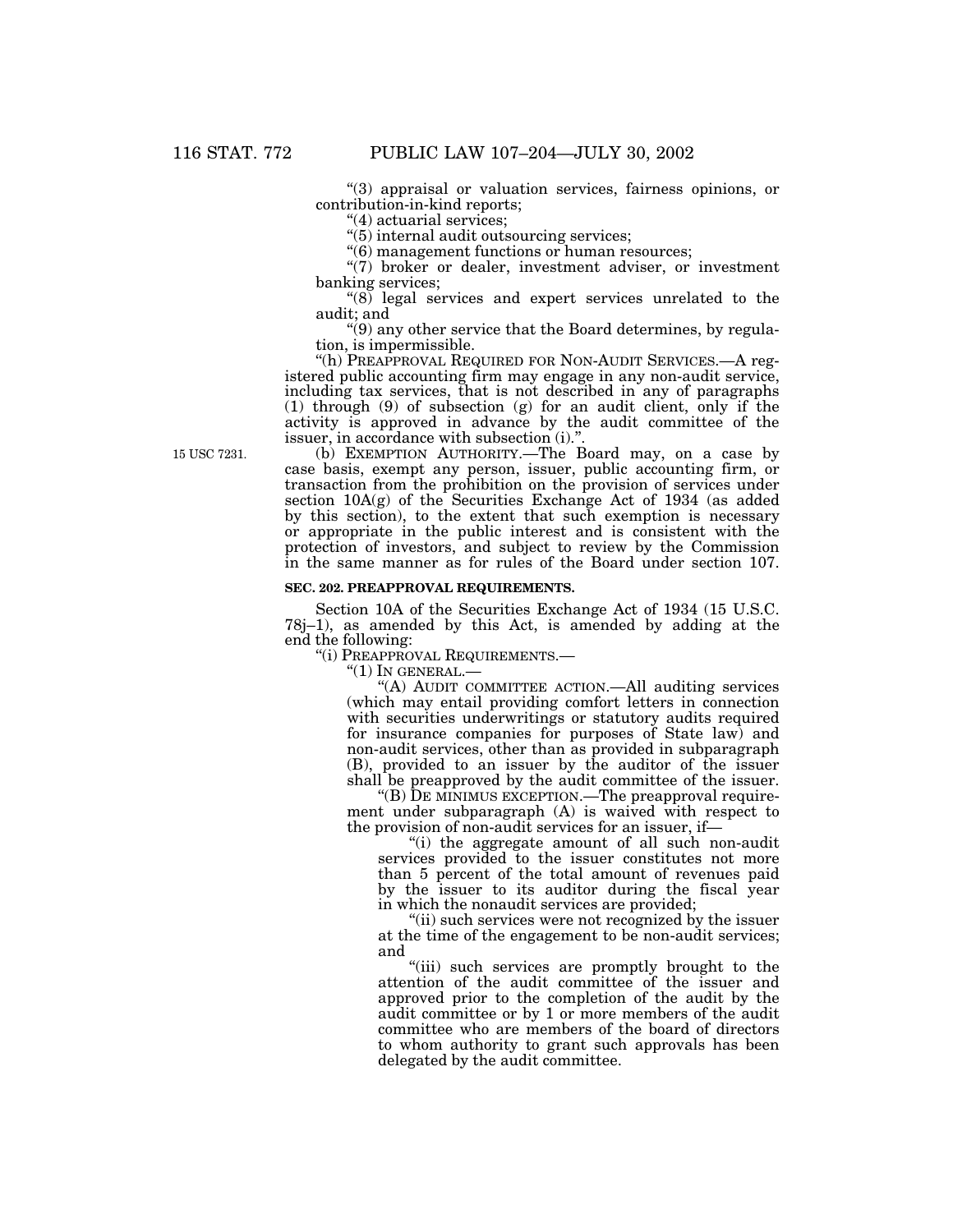''(3) appraisal or valuation services, fairness opinions, or contribution-in-kind reports;

''(4) actuarial services;

''(5) internal audit outsourcing services;

''(6) management functions or human resources;

"(7) broker or dealer, investment adviser, or investment banking services;

 $(8)$  legal services and expert services unrelated to the audit; and

''(9) any other service that the Board determines, by regulation, is impermissible.

''(h) PREAPPROVAL REQUIRED FOR NON-AUDIT SERVICES.—A registered public accounting firm may engage in any non-audit service, including tax services, that is not described in any of paragraphs (1) through (9) of subsection (g) for an audit client, only if the activity is approved in advance by the audit committee of the issuer, in accordance with subsection (i)."

(b) EXEMPTION AUTHORITY.—The Board may, on a case by case basis, exempt any person, issuer, public accounting firm, or transaction from the prohibition on the provision of services under section 10A(g) of the Securities Exchange Act of 1934 (as added by this section), to the extent that such exemption is necessary or appropriate in the public interest and is consistent with the protection of investors, and subject to review by the Commission in the same manner as for rules of the Board under section 107.

#### **SEC. 202. PREAPPROVAL REQUIREMENTS.**

Section 10A of the Securities Exchange Act of 1934 (15 U.S.C. 78j–1), as amended by this Act, is amended by adding at the end the following:

''(i) PREAPPROVAL REQUIREMENTS.—

 $"(1)$  In GENERAL.

''(A) AUDIT COMMITTEE ACTION.—All auditing services (which may entail providing comfort letters in connection with securities underwritings or statutory audits required for insurance companies for purposes of State law) and non-audit services, other than as provided in subparagraph (B), provided to an issuer by the auditor of the issuer shall be preapproved by the audit committee of the issuer.

''(B) DE MINIMUS EXCEPTION.—The preapproval requirement under subparagraph  $(A)$  is waived with respect to the provision of non-audit services for an issuer, if—

''(i) the aggregate amount of all such non-audit services provided to the issuer constitutes not more than 5 percent of the total amount of revenues paid by the issuer to its auditor during the fiscal year in which the nonaudit services are provided;

"(ii) such services were not recognized by the issuer at the time of the engagement to be non-audit services; and

"(iii) such services are promptly brought to the attention of the audit committee of the issuer and approved prior to the completion of the audit by the audit committee or by 1 or more members of the audit committee who are members of the board of directors to whom authority to grant such approvals has been delegated by the audit committee.

15 USC 7231.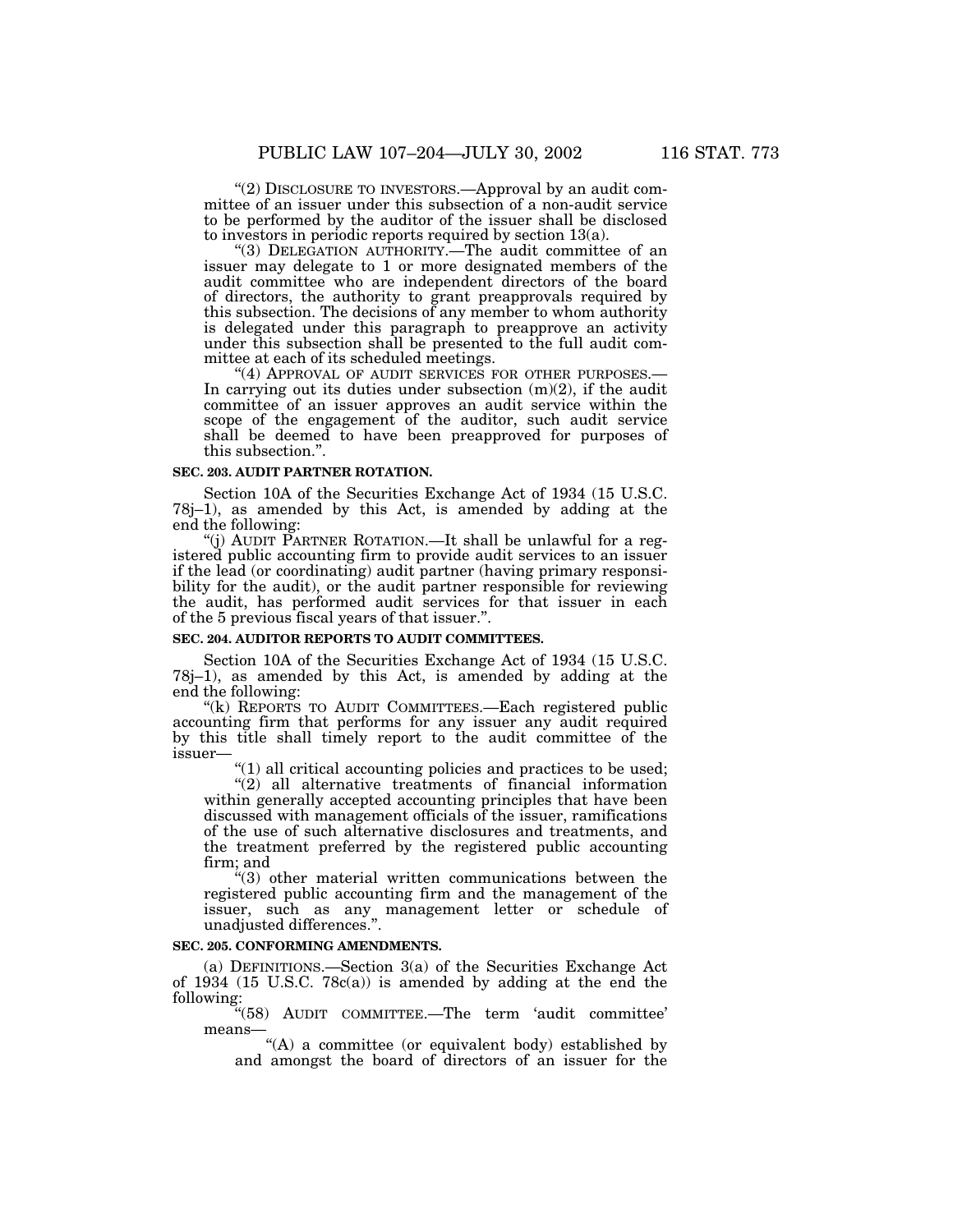"(2) DISCLOSURE TO INVESTORS.—Approval by an audit committee of an issuer under this subsection of a non-audit service to be performed by the auditor of the issuer shall be disclosed to investors in periodic reports required by section 13(a).

''(3) DELEGATION AUTHORITY.—The audit committee of an issuer may delegate to 1 or more designated members of the audit committee who are independent directors of the board of directors, the authority to grant preapprovals required by this subsection. The decisions of any member to whom authority is delegated under this paragraph to preapprove an activity under this subsection shall be presented to the full audit committee at each of its scheduled meetings.<br>"(4) APPROVAL OF AUDIT SERVICES FOR OTHER PURPOSES.—

In carrying out its duties under subsection  $(m)(2)$ , if the audit committee of an issuer approves an audit service within the scope of the engagement of the auditor, such audit service shall be deemed to have been preapproved for purposes of this subsection.''.

#### **SEC. 203. AUDIT PARTNER ROTATION.**

Section 10A of the Securities Exchange Act of 1934 (15 U.S.C. 78j–1), as amended by this Act, is amended by adding at the end the following:

''(j) AUDIT PARTNER ROTATION.—It shall be unlawful for a registered public accounting firm to provide audit services to an issuer if the lead (or coordinating) audit partner (having primary responsibility for the audit), or the audit partner responsible for reviewing the audit, has performed audit services for that issuer in each of the 5 previous fiscal years of that issuer.''.

#### **SEC. 204. AUDITOR REPORTS TO AUDIT COMMITTEES.**

Section 10A of the Securities Exchange Act of 1934 (15 U.S.C. 78j–1), as amended by this Act, is amended by adding at the end the following:

"(k) REPORTS TO AUDIT COMMITTEES.—Each registered public accounting firm that performs for any issuer any audit required by this title shall timely report to the audit committee of the issuer—

"(1) all critical accounting policies and practices to be used;

''(2) all alternative treatments of financial information within generally accepted accounting principles that have been discussed with management officials of the issuer, ramifications of the use of such alternative disclosures and treatments, and the treatment preferred by the registered public accounting firm; and

"(3) other material written communications between the registered public accounting firm and the management of the issuer, such as any management letter or schedule of unadjusted differences.''.

## **SEC. 205. CONFORMING AMENDMENTS.**

(a) DEFINITIONS.—Section 3(a) of the Securities Exchange Act of 1934 (15 U.S.C. 78c(a)) is amended by adding at the end the following:

''(58) AUDIT COMMITTEE.—The term 'audit committee' means—

''(A) a committee (or equivalent body) established by and amongst the board of directors of an issuer for the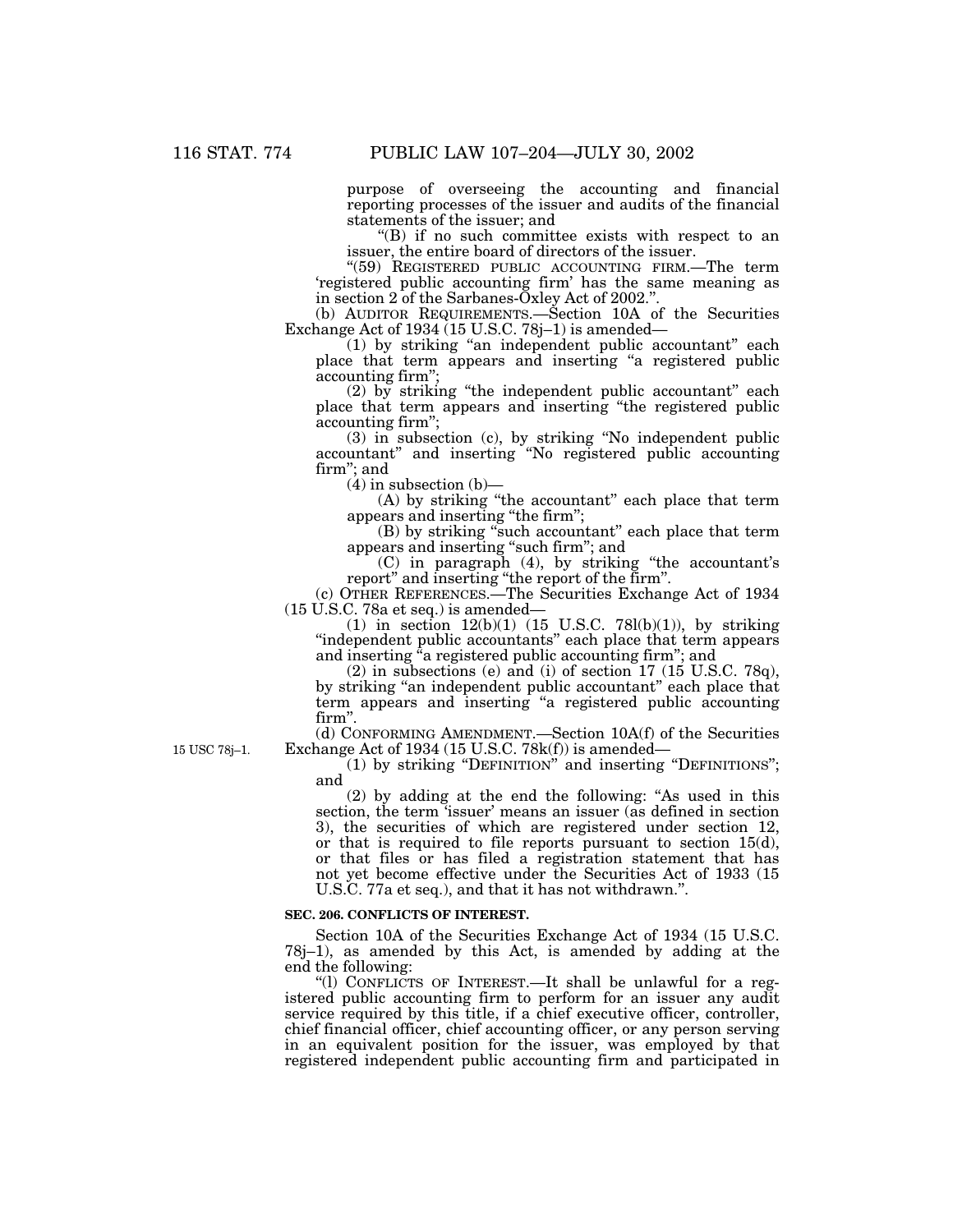purpose of overseeing the accounting and financial reporting processes of the issuer and audits of the financial statements of the issuer; and

''(B) if no such committee exists with respect to an issuer, the entire board of directors of the issuer.

''(59) REGISTERED PUBLIC ACCOUNTING FIRM.—The term 'registered public accounting firm' has the same meaning as in section 2 of the Sarbanes-Oxley Act of 2002.''.

(b) AUDITOR REQUIREMENTS.—Section 10A of the Securities Exchange Act of 1934 (15 U.S.C. 78j–1) is amended—

(1) by striking ''an independent public accountant'' each place that term appears and inserting ''a registered public accounting firm'';

(2) by striking ''the independent public accountant'' each place that term appears and inserting ''the registered public accounting firm'';

(3) in subsection (c), by striking ''No independent public accountant'' and inserting ''No registered public accounting firm''; and

 $(4)$  in subsection  $(b)$ —

 $(A)$  by striking "the accountant" each place that term appears and inserting "the firm";

(B) by striking "such accountant" each place that term appears and inserting "such firm"; and

(C) in paragraph (4), by striking ''the accountant's report'' and inserting ''the report of the firm''.

(c) OTHER REFERENCES.—The Securities Exchange Act of 1934 (15 U.S.C. 78a et seq.) is amended—

(1) in section  $12(b)(1)$  (15 U.S.C. 78 $l(b)(1)$ ), by striking ''independent public accountants'' each place that term appears and inserting ''a registered public accounting firm''; and

 $(2)$  in subsections (e) and (i) of section 17 (15 U.S.C. 78q), by striking ''an independent public accountant'' each place that term appears and inserting ''a registered public accounting firm''.

(d) CONFORMING AMENDMENT.—Section 10A(f) of the Securities Exchange Act of 1934 (15 U.S.C. 78k(f)) is amended—

 $(1)$  by striking "DEFINITION" and inserting "DEFINITIONS"; and

(2) by adding at the end the following: ''As used in this section, the term 'issuer' means an issuer (as defined in section 3), the securities of which are registered under section 12, or that is required to file reports pursuant to section 15(d), or that files or has filed a registration statement that has not yet become effective under the Securities Act of 1933 (15 U.S.C. 77a et seq.), and that it has not withdrawn.''.

#### **SEC. 206. CONFLICTS OF INTEREST.**

Section 10A of the Securities Exchange Act of 1934 (15 U.S.C. 78j–1), as amended by this Act, is amended by adding at the end the following:

''(l) CONFLICTS OF INTEREST.—It shall be unlawful for a registered public accounting firm to perform for an issuer any audit service required by this title, if a chief executive officer, controller, chief financial officer, chief accounting officer, or any person serving in an equivalent position for the issuer, was employed by that registered independent public accounting firm and participated in

15 USC 78j–1.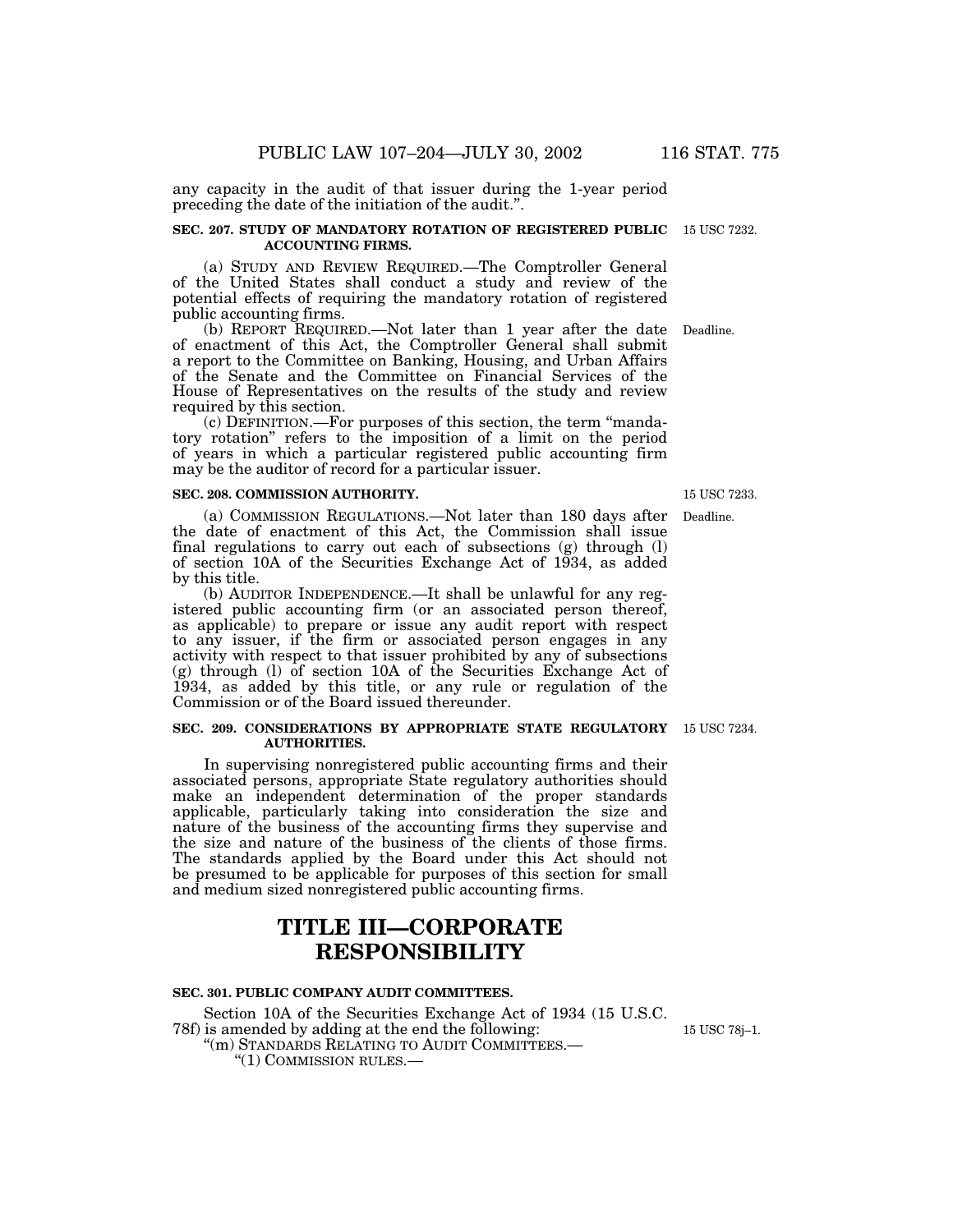any capacity in the audit of that issuer during the 1-year period preceding the date of the initiation of the audit.''.

#### **SEC. 207. STUDY OF MANDATORY ROTATION OF REGISTERED PUBLIC** 15 USC 7232. **ACCOUNTING FIRMS.**

(a) STUDY AND REVIEW REQUIRED.—The Comptroller General of the United States shall conduct a study and review of the potential effects of requiring the mandatory rotation of registered public accounting firms.

(b) REPORT REQUIRED.—Not later than 1 year after the date Deadline. of enactment of this Act, the Comptroller General shall submit a report to the Committee on Banking, Housing, and Urban Affairs of the Senate and the Committee on Financial Services of the House of Representatives on the results of the study and review required by this section.

(c) DEFINITION.—For purposes of this section, the term ''mandatory rotation'' refers to the imposition of a limit on the period of years in which a particular registered public accounting firm may be the auditor of record for a particular issuer.

#### **SEC. 208. COMMISSION AUTHORITY.**

(a) COMMISSION REGULATIONS.—Not later than 180 days after the date of enactment of this Act, the Commission shall issue final regulations to carry out each of subsections (g) through (l) of section 10A of the Securities Exchange Act of 1934, as added by this title.

(b) AUDITOR INDEPENDENCE.—It shall be unlawful for any registered public accounting firm (or an associated person thereof, as applicable) to prepare or issue any audit report with respect to any issuer, if the firm or associated person engages in any activity with respect to that issuer prohibited by any of subsections (g) through (l) of section 10A of the Securities Exchange Act of 1934, as added by this title, or any rule or regulation of the Commission or of the Board issued thereunder.

#### **SEC. 209. CONSIDERATIONS BY APPROPRIATE STATE REGULATORY** 15 USC 7234. **AUTHORITIES.**

In supervising nonregistered public accounting firms and their associated persons, appropriate State regulatory authorities should make an independent determination of the proper standards applicable, particularly taking into consideration the size and nature of the business of the accounting firms they supervise and the size and nature of the business of the clients of those firms. The standards applied by the Board under this Act should not be presumed to be applicable for purposes of this section for small and medium sized nonregistered public accounting firms.

# **TITLE III—CORPORATE RESPONSIBILITY**

## **SEC. 301. PUBLIC COMPANY AUDIT COMMITTEES.**

Section 10A of the Securities Exchange Act of 1934 (15 U.S.C. 78f) is amended by adding at the end the following: "(m) STANDARDS RELATING TO AUDIT COMMITTEES.-

''(1) COMMISSION RULES.—

15 USC 78j–1.

15 USC 7233.

Deadline.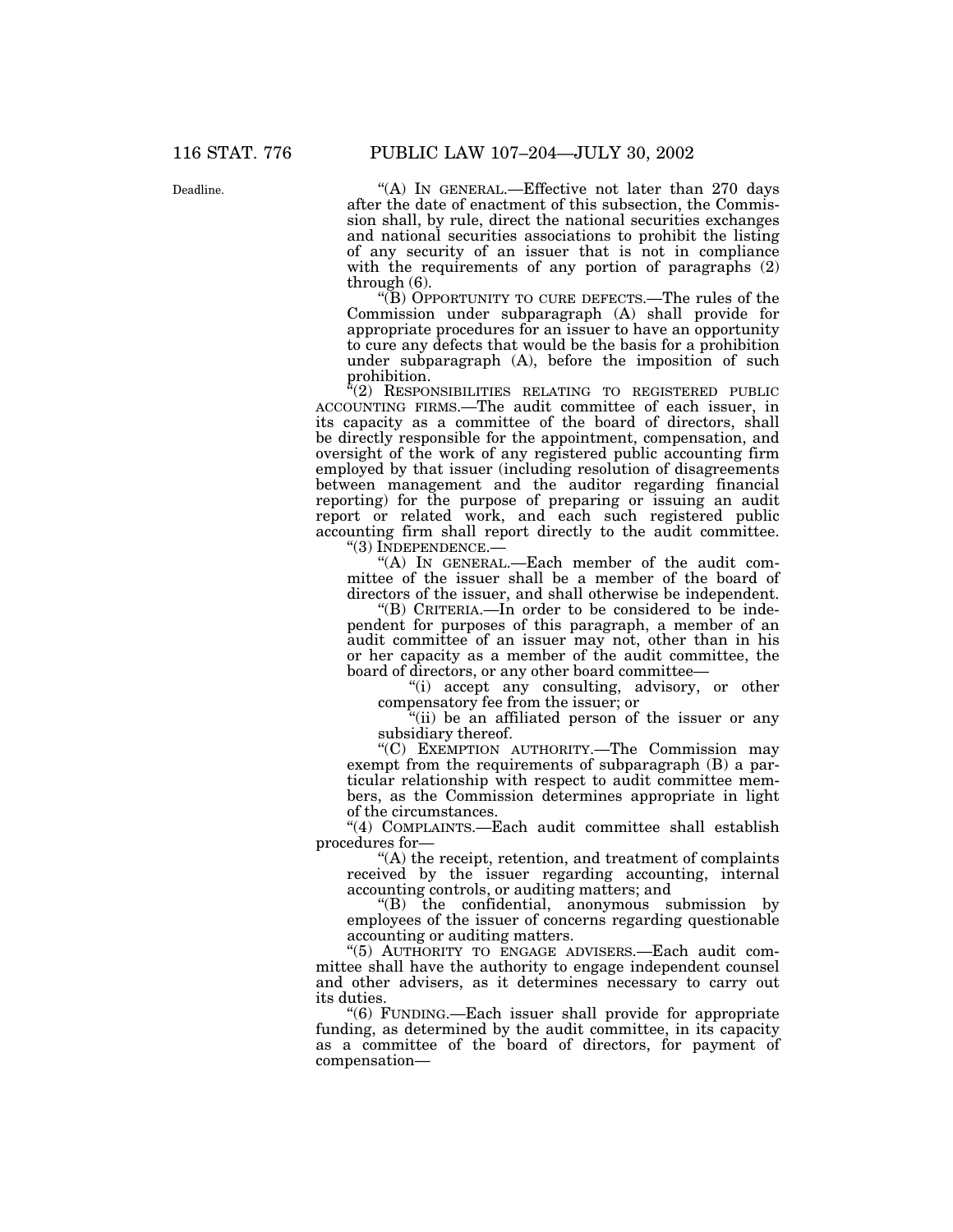Deadline.

''(A) IN GENERAL.—Effective not later than 270 days after the date of enactment of this subsection, the Commission shall, by rule, direct the national securities exchanges and national securities associations to prohibit the listing of any security of an issuer that is not in compliance with the requirements of any portion of paragraphs (2) through (6).

''(B) OPPORTUNITY TO CURE DEFECTS.—The rules of the Commission under subparagraph (A) shall provide for appropriate procedures for an issuer to have an opportunity to cure any defects that would be the basis for a prohibition under subparagraph (A), before the imposition of such prohibition.

''(2) RESPONSIBILITIES RELATING TO REGISTERED PUBLIC ACCOUNTING FIRMS.—The audit committee of each issuer, in its capacity as a committee of the board of directors, shall be directly responsible for the appointment, compensation, and oversight of the work of any registered public accounting firm employed by that issuer (including resolution of disagreements between management and the auditor regarding financial reporting) for the purpose of preparing or issuing an audit report or related work, and each such registered public accounting firm shall report directly to the audit committee.

''(3) INDEPENDENCE.—

''(A) IN GENERAL.—Each member of the audit committee of the issuer shall be a member of the board of directors of the issuer, and shall otherwise be independent.

''(B) CRITERIA.—In order to be considered to be independent for purposes of this paragraph, a member of an audit committee of an issuer may not, other than in his or her capacity as a member of the audit committee, the board of directors, or any other board committee—

''(i) accept any consulting, advisory, or other compensatory fee from the issuer; or

''(ii) be an affiliated person of the issuer or any subsidiary thereof.

''(C) EXEMPTION AUTHORITY.—The Commission may exempt from the requirements of subparagraph (B) a particular relationship with respect to audit committee members, as the Commission determines appropriate in light of the circumstances.

''(4) COMPLAINTS.—Each audit committee shall establish procedures for—

''(A) the receipt, retention, and treatment of complaints received by the issuer regarding accounting, internal accounting controls, or auditing matters; and

''(B) the confidential, anonymous submission by employees of the issuer of concerns regarding questionable accounting or auditing matters.

''(5) AUTHORITY TO ENGAGE ADVISERS.—Each audit committee shall have the authority to engage independent counsel and other advisers, as it determines necessary to carry out its duties.

''(6) FUNDING.—Each issuer shall provide for appropriate funding, as determined by the audit committee, in its capacity as a committee of the board of directors, for payment of compensation—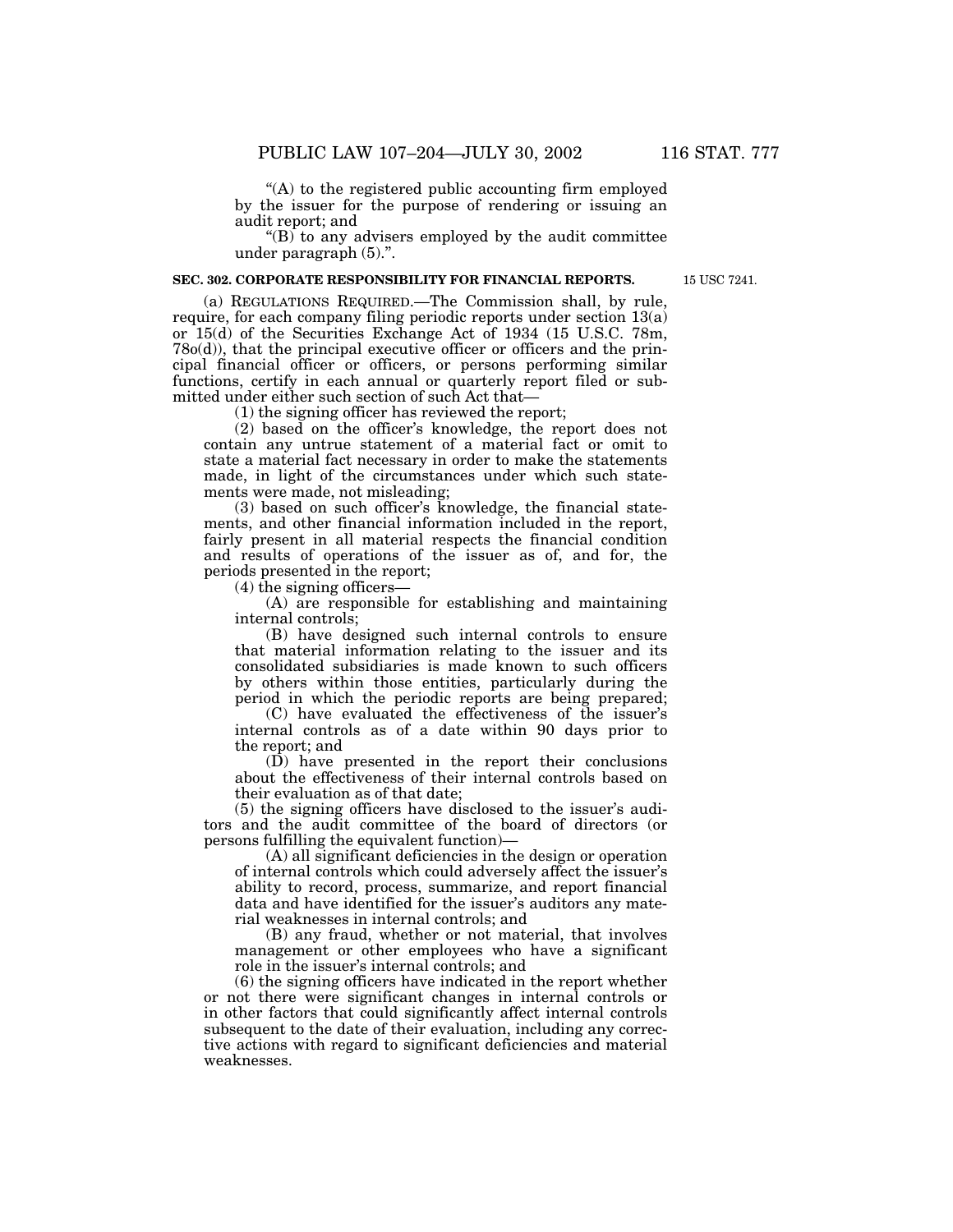''(A) to the registered public accounting firm employed by the issuer for the purpose of rendering or issuing an audit report; and

 $\mathrm{``(B)}$  to any advisers employed by the audit committee under paragraph (5).''.

### **SEC. 302. CORPORATE RESPONSIBILITY FOR FINANCIAL REPORTS.**

15 USC 7241.

(a) REGULATIONS REQUIRED.—The Commission shall, by rule, require, for each company filing periodic reports under section 13(a) or 15(d) of the Securities Exchange Act of 1934 (15 U.S.C. 78m, 78o(d)), that the principal executive officer or officers and the principal financial officer or officers, or persons performing similar functions, certify in each annual or quarterly report filed or submitted under either such section of such Act that—

(1) the signing officer has reviewed the report;

(2) based on the officer's knowledge, the report does not contain any untrue statement of a material fact or omit to state a material fact necessary in order to make the statements made, in light of the circumstances under which such statements were made, not misleading;

(3) based on such officer's knowledge, the financial statements, and other financial information included in the report, fairly present in all material respects the financial condition and results of operations of the issuer as of, and for, the periods presented in the report;

(4) the signing officers—

(A) are responsible for establishing and maintaining internal controls;

(B) have designed such internal controls to ensure that material information relating to the issuer and its consolidated subsidiaries is made known to such officers by others within those entities, particularly during the period in which the periodic reports are being prepared;

(C) have evaluated the effectiveness of the issuer's internal controls as of a date within 90 days prior to the report; and

 $(D)$  have presented in the report their conclusions about the effectiveness of their internal controls based on their evaluation as of that date;

(5) the signing officers have disclosed to the issuer's auditors and the audit committee of the board of directors (or persons fulfilling the equivalent function)—

(A) all significant deficiencies in the design or operation of internal controls which could adversely affect the issuer's ability to record, process, summarize, and report financial data and have identified for the issuer's auditors any material weaknesses in internal controls; and

(B) any fraud, whether or not material, that involves management or other employees who have a significant role in the issuer's internal controls; and

(6) the signing officers have indicated in the report whether or not there were significant changes in internal controls or in other factors that could significantly affect internal controls subsequent to the date of their evaluation, including any corrective actions with regard to significant deficiencies and material weaknesses.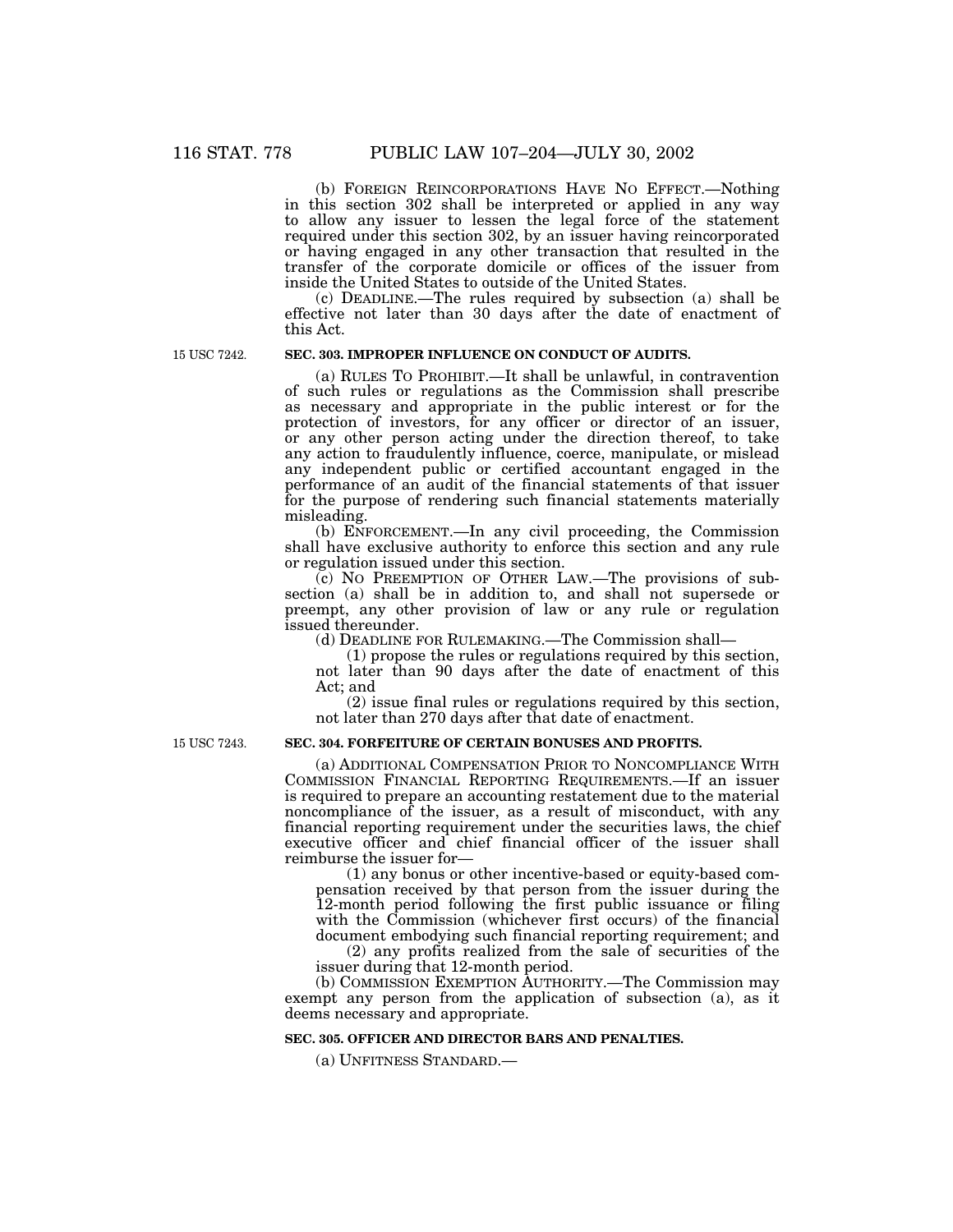(b) FOREIGN REINCORPORATIONS HAVE NO EFFECT.—Nothing in this section 302 shall be interpreted or applied in any way to allow any issuer to lessen the legal force of the statement required under this section 302, by an issuer having reincorporated or having engaged in any other transaction that resulted in the transfer of the corporate domicile or offices of the issuer from inside the United States to outside of the United States.

(c) DEADLINE.—The rules required by subsection (a) shall be effective not later than 30 days after the date of enactment of this Act.

15 USC 7242.

## **SEC. 303. IMPROPER INFLUENCE ON CONDUCT OF AUDITS.**

(a) RULES TO PROHIBIT.—It shall be unlawful, in contravention of such rules or regulations as the Commission shall prescribe as necessary and appropriate in the public interest or for the protection of investors, for any officer or director of an issuer, or any other person acting under the direction thereof, to take any action to fraudulently influence, coerce, manipulate, or mislead any independent public or certified accountant engaged in the performance of an audit of the financial statements of that issuer for the purpose of rendering such financial statements materially misleading.

(b) ENFORCEMENT.—In any civil proceeding, the Commission shall have exclusive authority to enforce this section and any rule or regulation issued under this section.

(c) NO PREEMPTION OF OTHER LAW.—The provisions of subsection (a) shall be in addition to, and shall not supersede or preempt, any other provision of law or any rule or regulation issued thereunder.

(d) DEADLINE FOR RULEMAKING.—The Commission shall—

(1) propose the rules or regulations required by this section, not later than 90 days after the date of enactment of this Act; and

(2) issue final rules or regulations required by this section, not later than 270 days after that date of enactment.

15 USC 7243.

## **SEC. 304. FORFEITURE OF CERTAIN BONUSES AND PROFITS.**

(a) ADDITIONAL COMPENSATION PRIOR TO NONCOMPLIANCE WITH COMMISSION FINANCIAL REPORTING REQUIREMENTS.—If an issuer is required to prepare an accounting restatement due to the material noncompliance of the issuer, as a result of misconduct, with any financial reporting requirement under the securities laws, the chief executive officer and chief financial officer of the issuer shall reimburse the issuer for—

(1) any bonus or other incentive-based or equity-based compensation received by that person from the issuer during the 12-month period following the first public issuance or filing with the Commission (whichever first occurs) of the financial document embodying such financial reporting requirement; and

(2) any profits realized from the sale of securities of the issuer during that 12-month period.

(b) COMMISSION EXEMPTION AUTHORITY.—The Commission may exempt any person from the application of subsection (a), as it deems necessary and appropriate.

#### **SEC. 305. OFFICER AND DIRECTOR BARS AND PENALTIES.**

(a) UNFITNESS STANDARD.—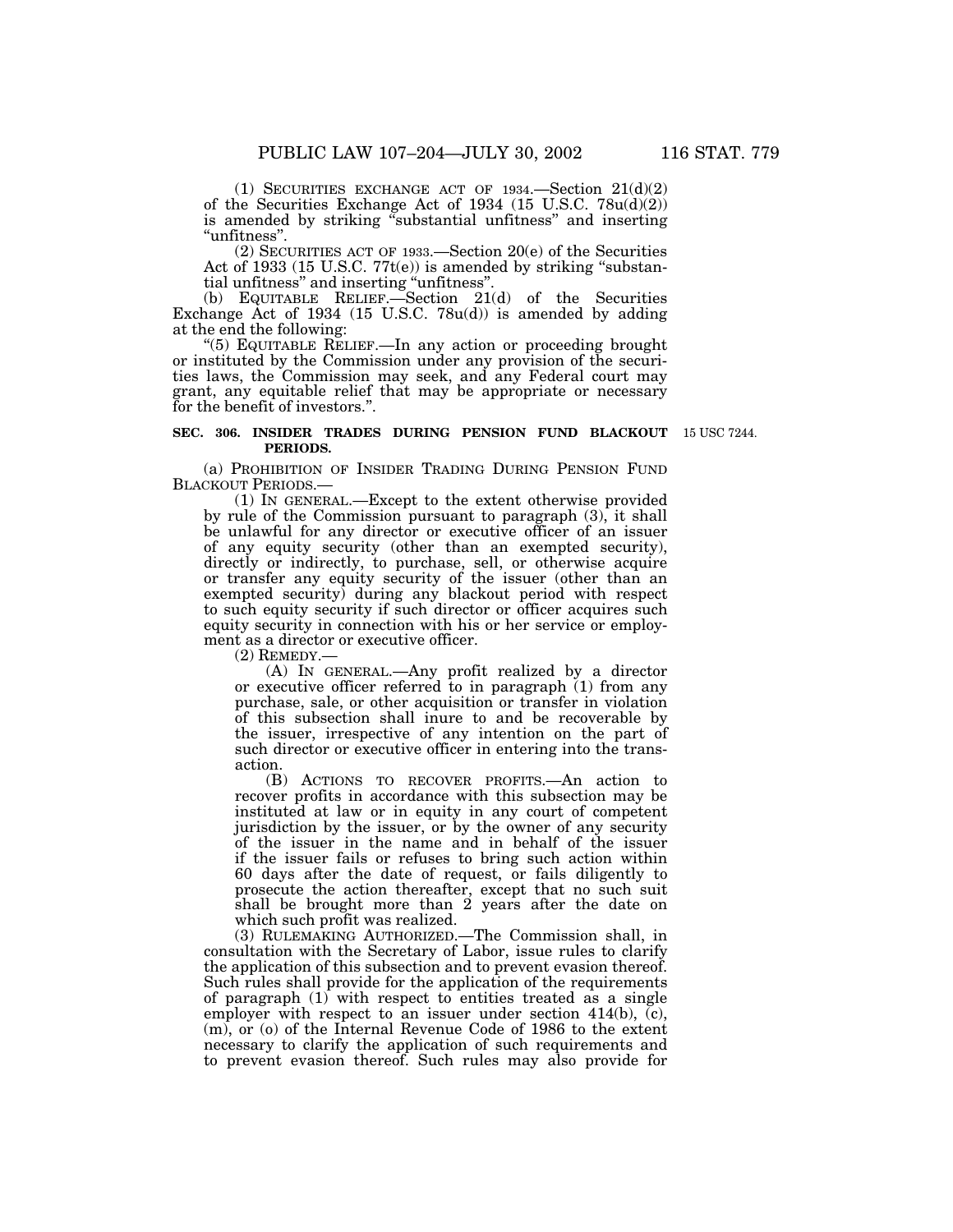(1) SECURITIES EXCHANGE ACT OF 1934.—Section  $21(d)(2)$ of the Securities Exchange Act of 1934 (15 U.S.C. 78u(d)(2)) is amended by striking ''substantial unfitness'' and inserting ''unfitness''.

(2) SECURITIES ACT OF 1933.—Section 20(e) of the Securities Act of 1933 (15 U.S.C. 77t(e)) is amended by striking "substantial unfitness'' and inserting ''unfitness''.

(b) EQUITABLE RELIEF.—Section 21(d) of the Securities Exchange Act of 1934 (15 U.S.C. 78u(d)) is amended by adding at the end the following:

''(5) EQUITABLE RELIEF.—In any action or proceeding brought or instituted by the Commission under any provision of the securities laws, the Commission may seek, and any Federal court may grant, any equitable relief that may be appropriate or necessary for the benefit of investors.''.

#### **SEC. 306. INSIDER TRADES DURING PENSION FUND BLACKOUT** 15 USC 7244. **PERIODS.**

(a) PROHIBITION OF INSIDER TRADING DURING PENSION FUND BLACKOUT PERIODS.—

(1) IN GENERAL.—Except to the extent otherwise provided by rule of the Commission pursuant to paragraph (3), it shall be unlawful for any director or executive officer of an issuer of any equity security (other than an exempted security), directly or indirectly, to purchase, sell, or otherwise acquire or transfer any equity security of the issuer (other than an exempted security) during any blackout period with respect to such equity security if such director or officer acquires such equity security in connection with his or her service or employment as a director or executive officer.

(2) REMEDY.—

(A) IN GENERAL.—Any profit realized by a director or executive officer referred to in paragraph (1) from any purchase, sale, or other acquisition or transfer in violation of this subsection shall inure to and be recoverable by the issuer, irrespective of any intention on the part of such director or executive officer in entering into the transaction.

(B) ACTIONS TO RECOVER PROFITS.—An action to recover profits in accordance with this subsection may be instituted at law or in equity in any court of competent jurisdiction by the issuer, or by the owner of any security of the issuer in the name and in behalf of the issuer if the issuer fails or refuses to bring such action within 60 days after the date of request, or fails diligently to prosecute the action thereafter, except that no such suit shall be brought more than 2 years after the date on which such profit was realized.

(3) RULEMAKING AUTHORIZED.—The Commission shall, in consultation with the Secretary of Labor, issue rules to clarify the application of this subsection and to prevent evasion thereof. Such rules shall provide for the application of the requirements of paragraph (1) with respect to entities treated as a single employer with respect to an issuer under section 414(b), (c), (m), or (o) of the Internal Revenue Code of 1986 to the extent necessary to clarify the application of such requirements and to prevent evasion thereof. Such rules may also provide for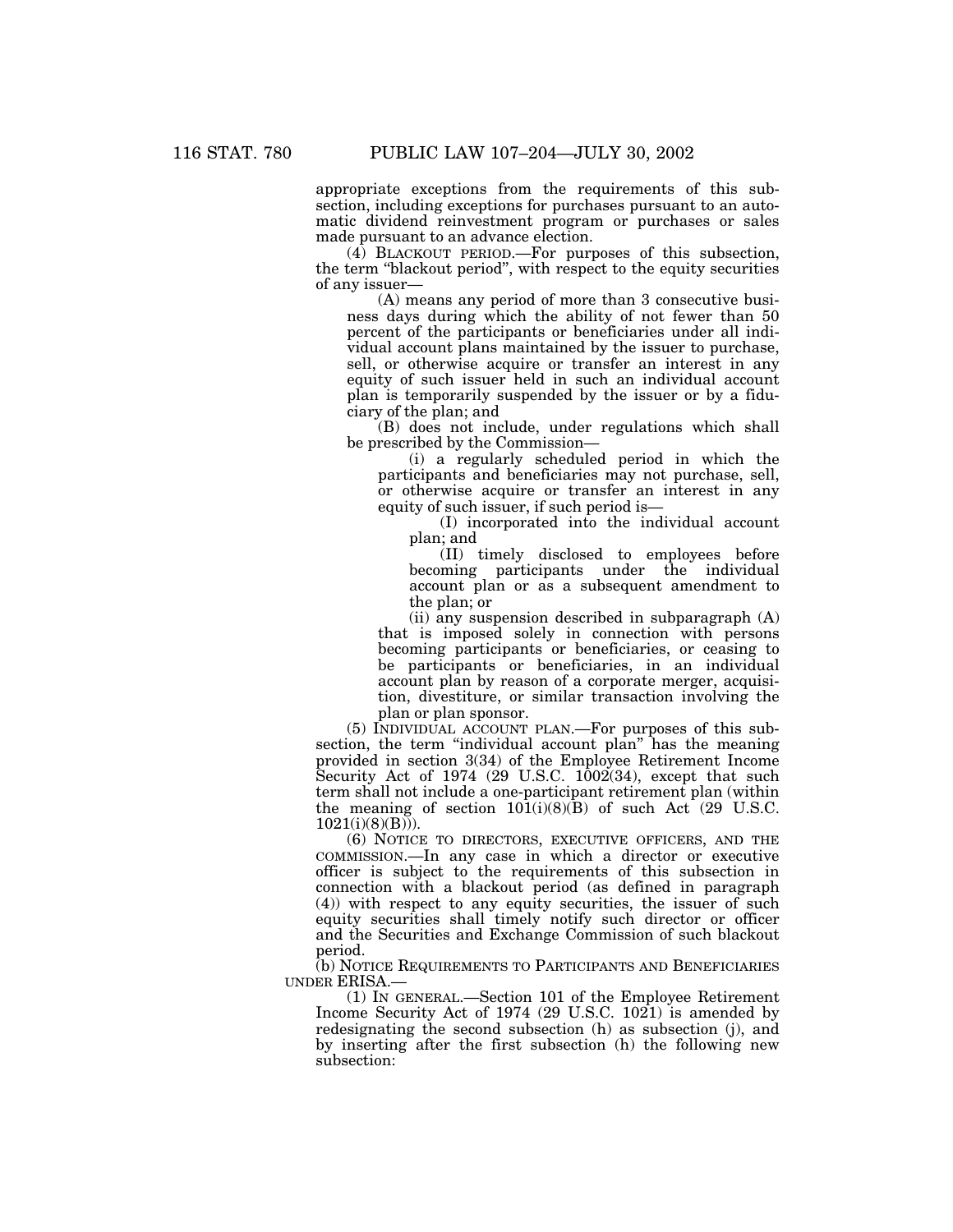appropriate exceptions from the requirements of this subsection, including exceptions for purchases pursuant to an automatic dividend reinvestment program or purchases or sales made pursuant to an advance election.

(4) BLACKOUT PERIOD.—For purposes of this subsection, the term ''blackout period'', with respect to the equity securities of any issuer—

(A) means any period of more than 3 consecutive business days during which the ability of not fewer than 50 percent of the participants or beneficiaries under all individual account plans maintained by the issuer to purchase, sell, or otherwise acquire or transfer an interest in any equity of such issuer held in such an individual account plan is temporarily suspended by the issuer or by a fiduciary of the plan; and

(B) does not include, under regulations which shall be prescribed by the Commission—

(i) a regularly scheduled period in which the participants and beneficiaries may not purchase, sell, or otherwise acquire or transfer an interest in any equity of such issuer, if such period is—

(I) incorporated into the individual account plan; and

(II) timely disclosed to employees before becoming participants under the individual account plan or as a subsequent amendment to the plan; or

(ii) any suspension described in subparagraph (A) that is imposed solely in connection with persons becoming participants or beneficiaries, or ceasing to be participants or beneficiaries, in an individual account plan by reason of a corporate merger, acquisition, divestiture, or similar transaction involving the plan or plan sponsor.

(5) INDIVIDUAL ACCOUNT PLAN.—For purposes of this subsection, the term "individual account plan" has the meaning provided in section 3(34) of the Employee Retirement Income Security Act of  $1974$  (29 U.S.C.  $1002(34)$ , except that such term shall not include a one-participant retirement plan (within the meaning of section  $101(i)(8)(B)$  of such Act (29 U.S.C.  $1021(i)(8)(B))$ ).

(6) NOTICE TO DIRECTORS, EXECUTIVE OFFICERS, AND THE COMMISSION.—In any case in which a director or executive officer is subject to the requirements of this subsection in connection with a blackout period (as defined in paragraph (4)) with respect to any equity securities, the issuer of such equity securities shall timely notify such director or officer and the Securities and Exchange Commission of such blackout period.

(b) NOTICE REQUIREMENTS TO PARTICIPANTS AND BENEFICIARIES UNDER ERISA.—

(1) IN GENERAL.—Section 101 of the Employee Retirement Income Security Act of 1974 (29 U.S.C. 1021) is amended by redesignating the second subsection (h) as subsection (j), and by inserting after the first subsection (h) the following new subsection: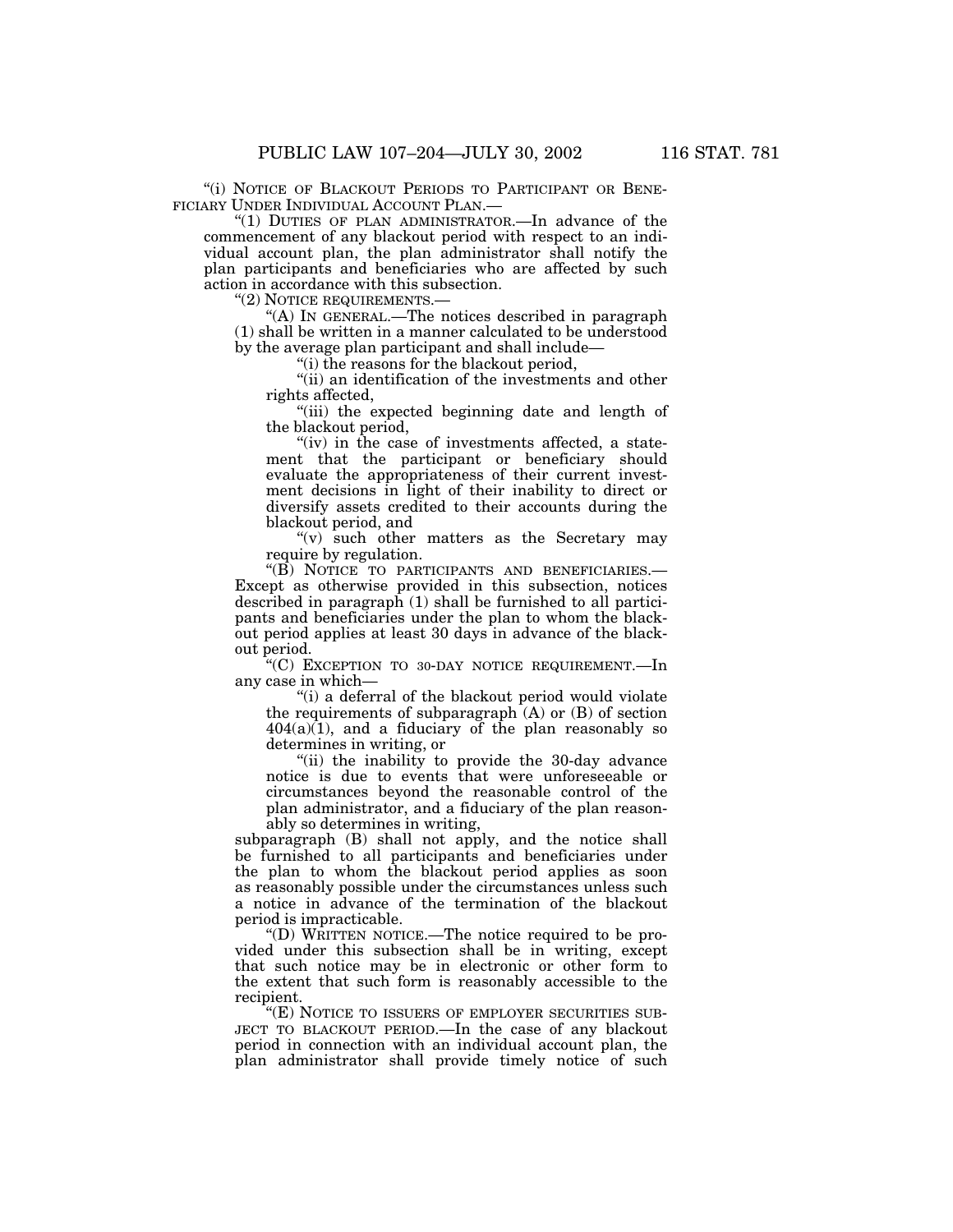"(i) NOTICE OF BLACKOUT PERIODS TO PARTICIPANT OR BENE-FICIARY UNDER INDIVIDUAL ACCOUNT PLAN.—

"(1) DUTIES OF PLAN ADMINISTRATOR.—In advance of the commencement of any blackout period with respect to an individual account plan, the plan administrator shall notify the plan participants and beneficiaries who are affected by such action in accordance with this subsection.

''(2) NOTICE REQUIREMENTS.—

''(A) IN GENERAL.—The notices described in paragraph (1) shall be written in a manner calculated to be understood by the average plan participant and shall include—

''(i) the reasons for the blackout period,

''(ii) an identification of the investments and other rights affected,

''(iii) the expected beginning date and length of the blackout period,

 $(iv)$  in the case of investments affected, a statement that the participant or beneficiary should evaluate the appropriateness of their current investment decisions in light of their inability to direct or diversify assets credited to their accounts during the blackout period, and

" $(v)$  such other matters as the Secretary may require by regulation.

''(B) NOTICE TO PARTICIPANTS AND BENEFICIARIES.— Except as otherwise provided in this subsection, notices described in paragraph (1) shall be furnished to all participants and beneficiaries under the plan to whom the blackout period applies at least 30 days in advance of the blackout period.

''(C) EXCEPTION TO 30-DAY NOTICE REQUIREMENT.—In any case in which—

"(i) a deferral of the blackout period would violate the requirements of subparagraph  $(A)$  or  $(B)$  of section  $404(a)(1)$ , and a fiduciary of the plan reasonably so determines in writing, or

"(ii) the inability to provide the 30-day advance notice is due to events that were unforeseeable or circumstances beyond the reasonable control of the plan administrator, and a fiduciary of the plan reasonably so determines in writing,

subparagraph (B) shall not apply, and the notice shall be furnished to all participants and beneficiaries under the plan to whom the blackout period applies as soon as reasonably possible under the circumstances unless such a notice in advance of the termination of the blackout period is impracticable.

''(D) WRITTEN NOTICE.—The notice required to be provided under this subsection shall be in writing, except that such notice may be in electronic or other form to the extent that such form is reasonably accessible to the recipient.

"(E) NOTICE TO ISSUERS OF EMPLOYER SECURITIES SUB-JECT TO BLACKOUT PERIOD.—In the case of any blackout period in connection with an individual account plan, the plan administrator shall provide timely notice of such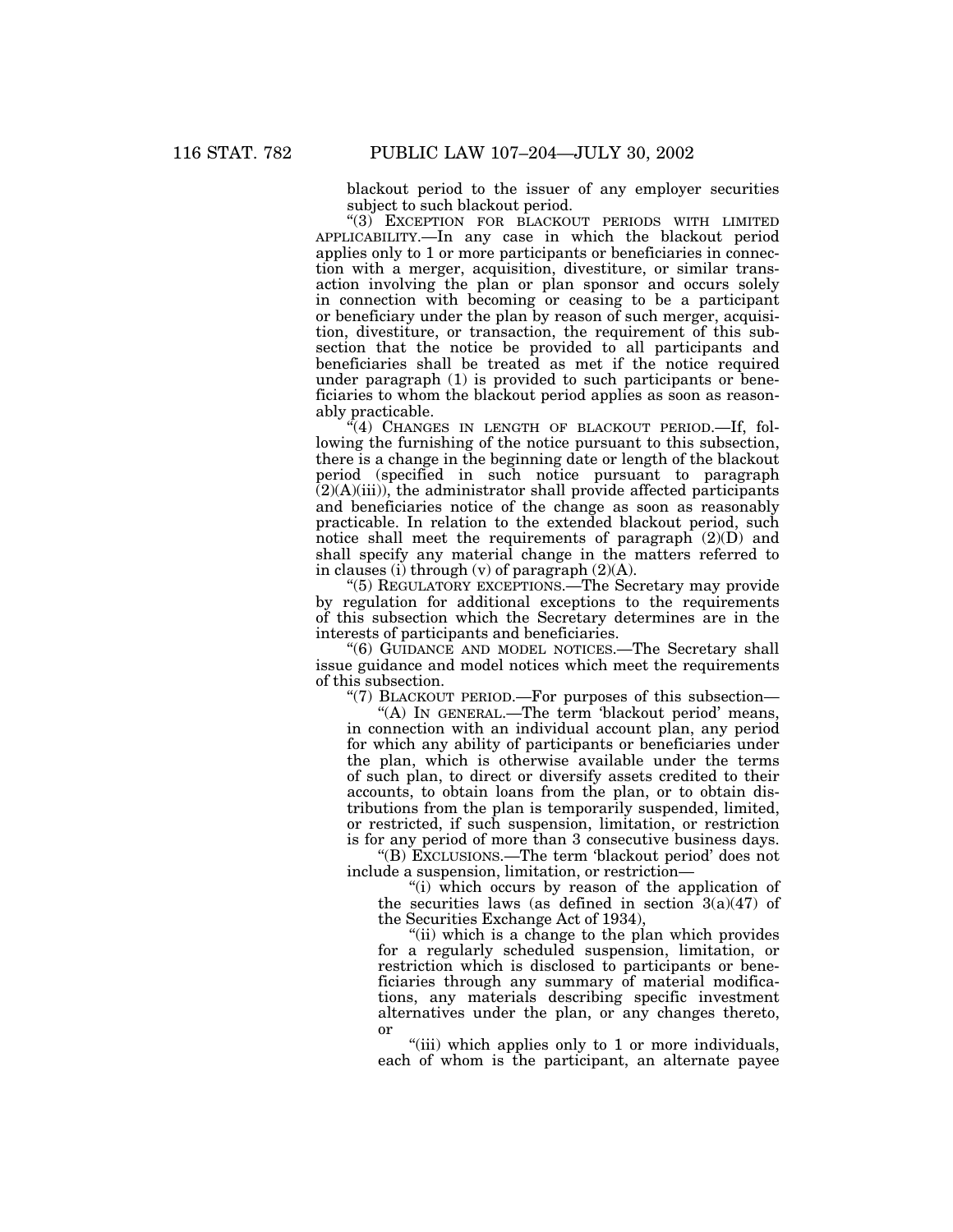blackout period to the issuer of any employer securities subject to such blackout period.

"(3) EXCEPTION FOR BLACKOUT PERIODS WITH LIMITED APPLICABILITY.—In any case in which the blackout period applies only to 1 or more participants or beneficiaries in connection with a merger, acquisition, divestiture, or similar transaction involving the plan or plan sponsor and occurs solely in connection with becoming or ceasing to be a participant or beneficiary under the plan by reason of such merger, acquisition, divestiture, or transaction, the requirement of this subsection that the notice be provided to all participants and beneficiaries shall be treated as met if the notice required under paragraph (1) is provided to such participants or beneficiaries to whom the blackout period applies as soon as reasonably practicable.

"(4) CHANGES IN LENGTH OF BLACKOUT PERIOD.—If, following the furnishing of the notice pursuant to this subsection, there is a change in the beginning date or length of the blackout period (specified in such notice pursuant to paragraph  $(2)(A)(iii)$ , the administrator shall provide affected participants and beneficiaries notice of the change as soon as reasonably practicable. In relation to the extended blackout period, such notice shall meet the requirements of paragraph (2)(D) and shall specify any material change in the matters referred to in clauses (i) through (v) of paragraph  $(2)(A)$ .

''(5) REGULATORY EXCEPTIONS.—The Secretary may provide by regulation for additional exceptions to the requirements of this subsection which the Secretary determines are in the interests of participants and beneficiaries.

''(6) GUIDANCE AND MODEL NOTICES.—The Secretary shall issue guidance and model notices which meet the requirements of this subsection.

"(7) BLACKOUT PERIOD.—For purposes of this subsection—

"(A) In GENERAL.—The term 'blackout period' means, in connection with an individual account plan, any period for which any ability of participants or beneficiaries under the plan, which is otherwise available under the terms of such plan, to direct or diversify assets credited to their accounts, to obtain loans from the plan, or to obtain distributions from the plan is temporarily suspended, limited, or restricted, if such suspension, limitation, or restriction is for any period of more than 3 consecutive business days.

''(B) EXCLUSIONS.—The term 'blackout period' does not include a suspension, limitation, or restriction—

"(i) which occurs by reason of the application of the securities laws (as defined in section  $3(a)(47)$  of the Securities Exchange Act of 1934),

"(ii) which is a change to the plan which provides for a regularly scheduled suspension, limitation, or restriction which is disclosed to participants or beneficiaries through any summary of material modifications, any materials describing specific investment alternatives under the plan, or any changes thereto, or

"(iii) which applies only to 1 or more individuals, each of whom is the participant, an alternate payee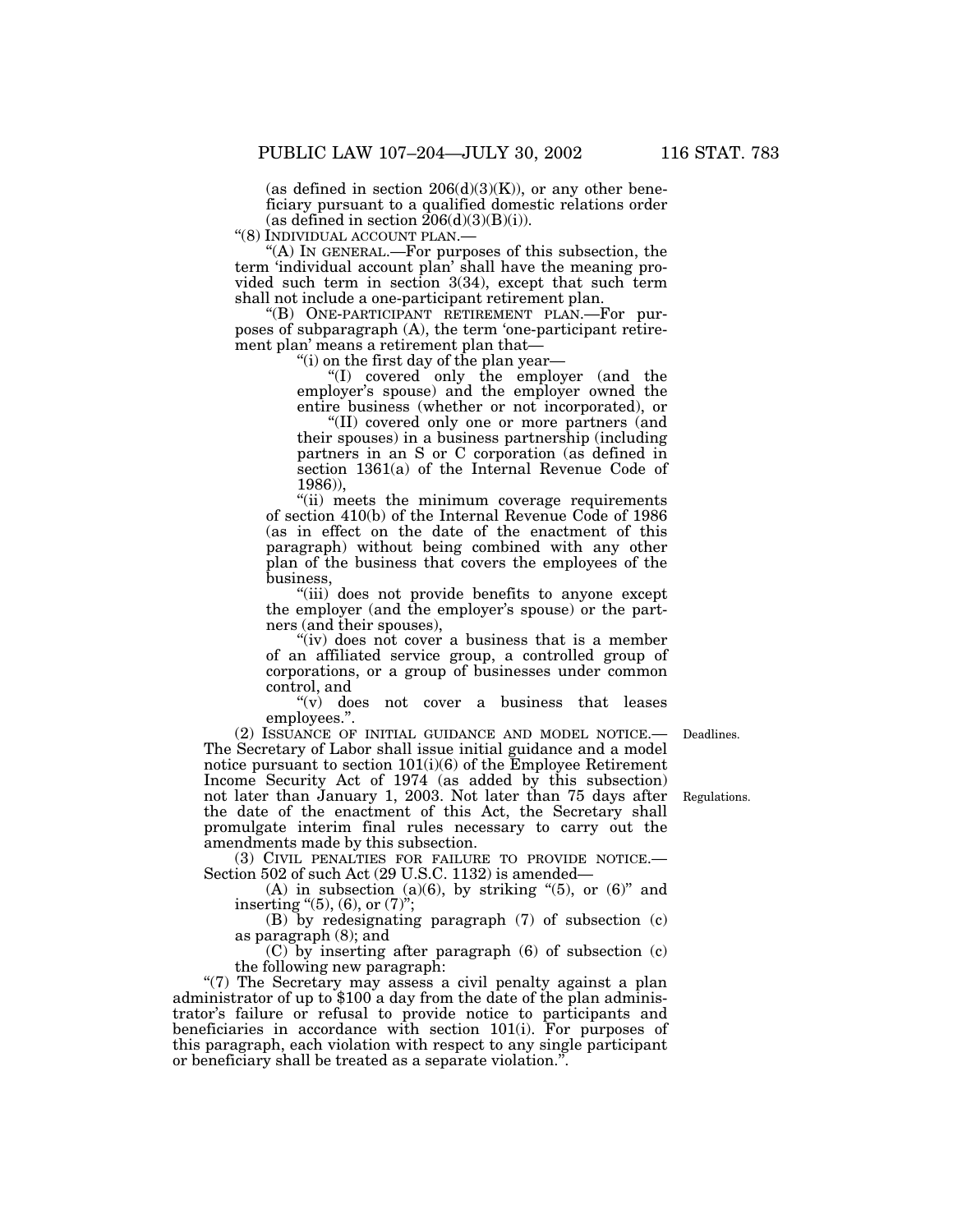(as defined in section  $206(d)(3)(K)$ ), or any other beneficiary pursuant to a qualified domestic relations order (as defined in section  $\tilde{206}$ (d)(3)(B)(i)).<br>"(8) INDIVIDUAL ACCOUNT PLAN.—

"(A) IN GENERAL.—For purposes of this subsection, the term 'individual account plan' shall have the meaning provided such term in section 3(34), except that such term shall not include a one-participant retirement plan.

''(B) ONE-PARTICIPANT RETIREMENT PLAN.—For purposes of subparagraph (A), the term 'one-participant retirement plan' means a retirement plan that—

''(i) on the first day of the plan year—

''(I) covered only the employer (and the employer's spouse) and the employer owned the entire business (whether or not incorporated), or

''(II) covered only one or more partners (and their spouses) in a business partnership (including partners in an S or C corporation (as defined in section 1361(a) of the Internal Revenue Code of 1986)),

"(ii) meets the minimum coverage requirements of section 410(b) of the Internal Revenue Code of 1986 (as in effect on the date of the enactment of this paragraph) without being combined with any other plan of the business that covers the employees of the business,

"(iii) does not provide benefits to anyone except the employer (and the employer's spouse) or the partners (and their spouses),

"(iv) does not cover a business that is a member of an affiliated service group, a controlled group of corporations, or a group of businesses under common control, and

"(v) does not cover a business that leases employees.''.

Deadlines.

(2) ISSUANCE OF INITIAL GUIDANCE AND MODEL NOTICE.— The Secretary of Labor shall issue initial guidance and a model notice pursuant to section 101(i)(6) of the Employee Retirement Income Security Act of 1974 (as added by this subsection) not later than January 1, 2003. Not later than 75 days after the date of the enactment of this Act, the Secretary shall promulgate interim final rules necessary to carry out the amendments made by this subsection.

(3) CIVIL PENALTIES FOR FAILURE TO PROVIDE NOTICE.— Section 502 of such Act (29 U.S.C. 1132) is amended—

(A) in subsection (a)(6), by striking " $(5)$ , or  $(6)$ " and inserting  $(5)$ ,  $(6)$ , or  $(7)$ ";

(B) by redesignating paragraph (7) of subsection (c) as paragraph (8); and

(C) by inserting after paragraph (6) of subsection (c) the following new paragraph:

"(7) The Secretary may assess a civil penalty against a plan administrator of up to \$100 a day from the date of the plan administrator's failure or refusal to provide notice to participants and beneficiaries in accordance with section 101(i). For purposes of this paragraph, each violation with respect to any single participant or beneficiary shall be treated as a separate violation.''.

Regulations.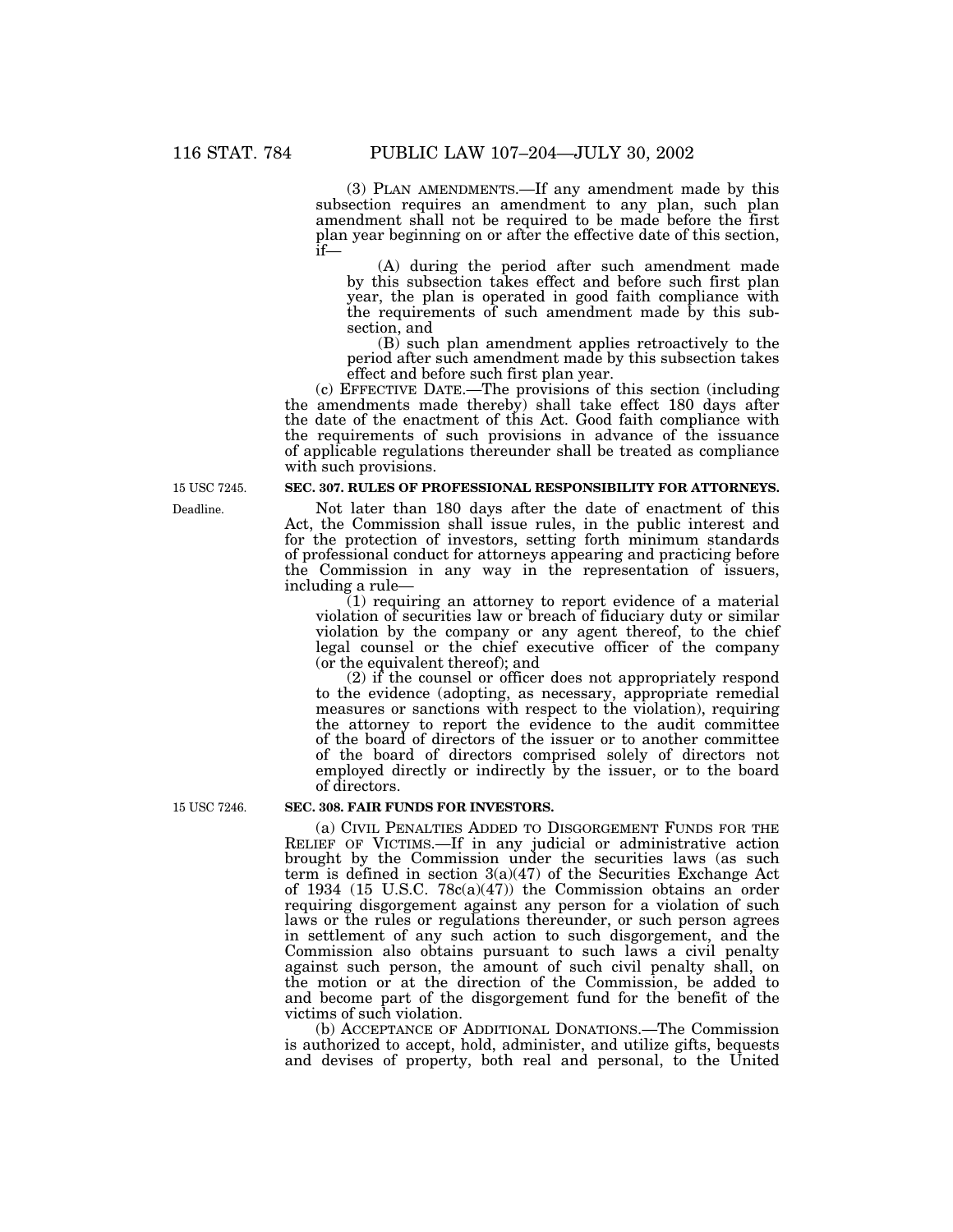(3) PLAN AMENDMENTS.—If any amendment made by this subsection requires an amendment to any plan, such plan amendment shall not be required to be made before the first plan year beginning on or after the effective date of this section, if—

(A) during the period after such amendment made by this subsection takes effect and before such first plan year, the plan is operated in good faith compliance with the requirements of such amendment made by this subsection, and

(B) such plan amendment applies retroactively to the period after such amendment made by this subsection takes effect and before such first plan year.

(c) EFFECTIVE DATE.—The provisions of this section (including the amendments made thereby) shall take effect 180 days after the date of the enactment of this Act. Good faith compliance with the requirements of such provisions in advance of the issuance of applicable regulations thereunder shall be treated as compliance with such provisions.

## **SEC. 307. RULES OF PROFESSIONAL RESPONSIBILITY FOR ATTORNEYS.**

Not later than 180 days after the date of enactment of this Act, the Commission shall issue rules, in the public interest and for the protection of investors, setting forth minimum standards of professional conduct for attorneys appearing and practicing before the Commission in any way in the representation of issuers, including a rule—

(1) requiring an attorney to report evidence of a material violation of securities law or breach of fiduciary duty or similar violation by the company or any agent thereof, to the chief legal counsel or the chief executive officer of the company (or the equivalent thereof); and

(2) if the counsel or officer does not appropriately respond to the evidence (adopting, as necessary, appropriate remedial measures or sanctions with respect to the violation), requiring the attorney to report the evidence to the audit committee of the board of directors of the issuer or to another committee of the board of directors comprised solely of directors not employed directly or indirectly by the issuer, or to the board of directors.

15 USC 7246.

### **SEC. 308. FAIR FUNDS FOR INVESTORS.**

(a) CIVIL PENALTIES ADDED TO DISGORGEMENT FUNDS FOR THE RELIEF OF VICTIMS.—If in any judicial or administrative action brought by the Commission under the securities laws (as such term is defined in section  $3(a)(47)$  of the Securities Exchange Act of 1934 (15 U.S.C.  $78c(a)(47)$ ) the Commission obtains an order requiring disgorgement against any person for a violation of such laws or the rules or regulations thereunder, or such person agrees in settlement of any such action to such disgorgement, and the Commission also obtains pursuant to such laws a civil penalty against such person, the amount of such civil penalty shall, on the motion or at the direction of the Commission, be added to and become part of the disgorgement fund for the benefit of the victims of such violation.

(b) ACCEPTANCE OF ADDITIONAL DONATIONS.—The Commission is authorized to accept, hold, administer, and utilize gifts, bequests and devises of property, both real and personal, to the United

Deadline. 15 USC 7245.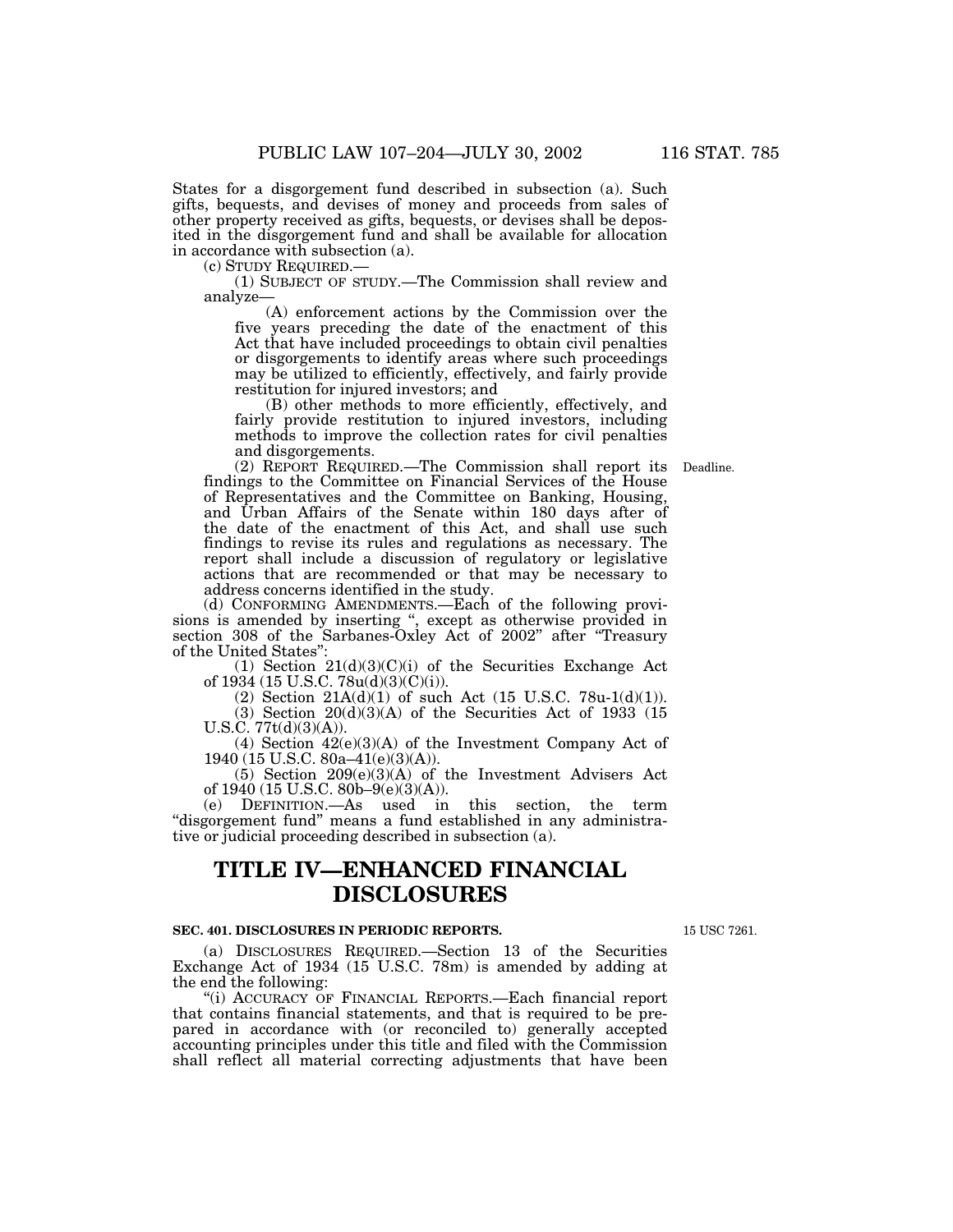States for a disgorgement fund described in subsection (a). Such gifts, bequests, and devises of money and proceeds from sales of other property received as gifts, bequests, or devises shall be deposited in the disgorgement fund and shall be available for allocation in accordance with subsection (a).<br>(c) STUDY REQUIRED.—

(1) SUBJECT OF STUDY.—The Commission shall review and analyze—

(A) enforcement actions by the Commission over the five years preceding the date of the enactment of this Act that have included proceedings to obtain civil penalties or disgorgements to identify areas where such proceedings may be utilized to efficiently, effectively, and fairly provide restitution for injured investors; and

(B) other methods to more efficiently, effectively, and fairly provide restitution to injured investors, including methods to improve the collection rates for civil penalties and disgorgements.

(2) REPORT REQUIRED.—The Commission shall report its Deadline. findings to the Committee on Financial Services of the House of Representatives and the Committee on Banking, Housing, and Urban Affairs of the Senate within 180 days after of the date of the enactment of this Act, and shall use such findings to revise its rules and regulations as necessary. The report shall include a discussion of regulatory or legislative actions that are recommended or that may be necessary to address concerns identified in the study.

(d) CONFORMING AMENDMENTS.—Each of the following provisions is amended by inserting ", except as otherwise provided in section 308 of the Sarbanes-Oxley Act of 2002'' after ''Treasury of the United States'':

(1) Section 21(d)(3)(C)(i) of the Securities Exchange Act of 1934 (15 U.S.C. 78u(d)(3)(C)(i)).

(2) Section  $21A(d)(1)$  of such Act (15 U.S.C. 78u-1(d)(1)).

 $(3)$  Section  $20(d)(3)(A)$  of the Securities Act of 1933  $(15)$ U.S.C. 77t(d)(3)(A)).

(4) Section 42(e)(3)(A) of the Investment Company Act of 1940 (15 U.S.C. 80a–41(e)(3)(A)).

(5) Section 209(e)(3)(A) of the Investment Advisers Act of  $1940$  (15 U.S.C.  $80b-9(e)(3)(A)$ ).

(e) DEFINITION.—As used in this section, the term ''disgorgement fund'' means a fund established in any administrative or judicial proceeding described in subsection (a).

# **TITLE IV—ENHANCED FINANCIAL DISCLOSURES**

#### **SEC. 401. DISCLOSURES IN PERIODIC REPORTS.**

15 USC 7261.

(a) DISCLOSURES REQUIRED.—Section 13 of the Securities Exchange Act of 1934 (15 U.S.C. 78m) is amended by adding at the end the following:

''(i) ACCURACY OF FINANCIAL REPORTS.—Each financial report that contains financial statements, and that is required to be prepared in accordance with (or reconciled to) generally accepted accounting principles under this title and filed with the Commission shall reflect all material correcting adjustments that have been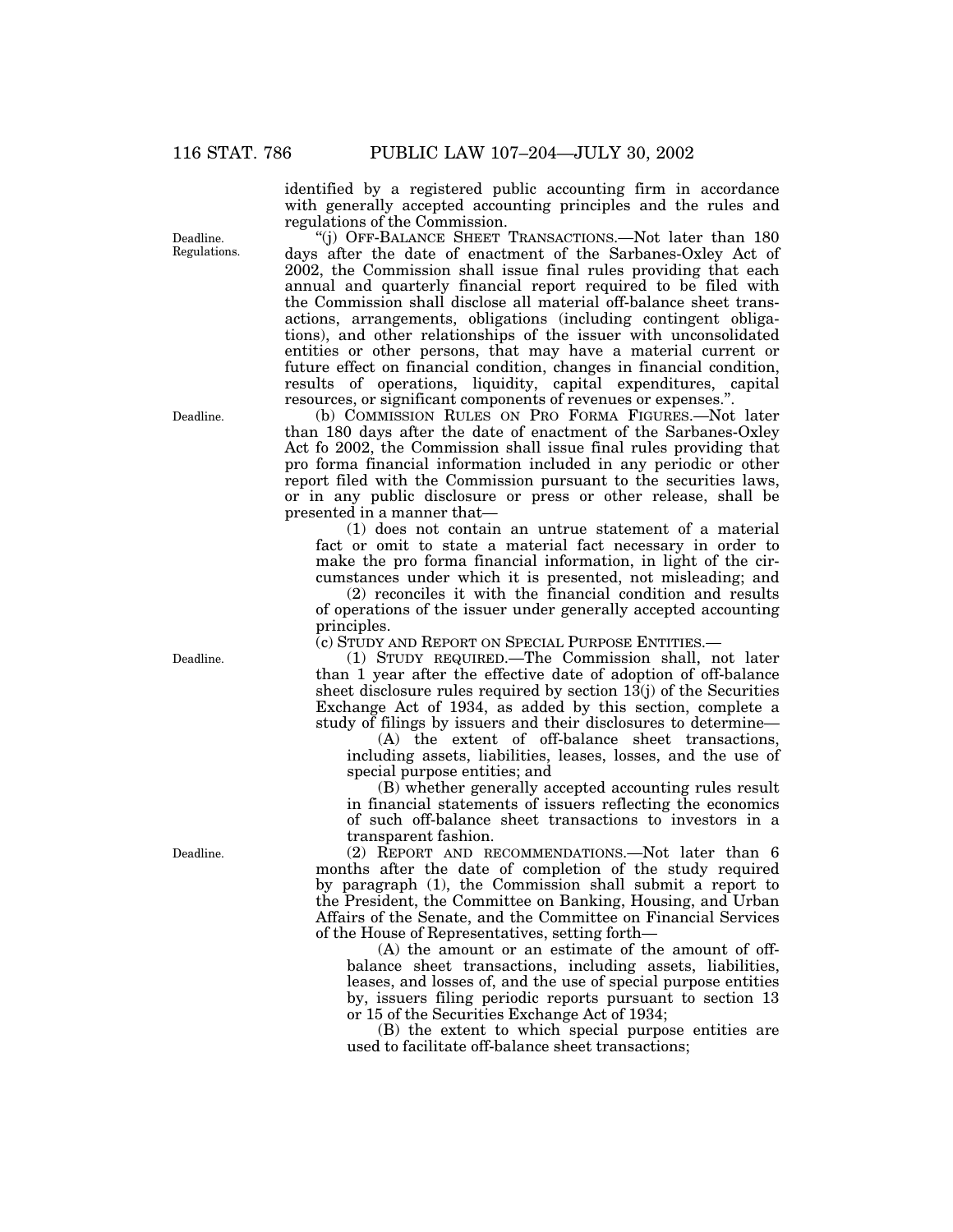identified by a registered public accounting firm in accordance with generally accepted accounting principles and the rules and regulations of the Commission.

''(j) OFF-BALANCE SHEET TRANSACTIONS.—Not later than 180 days after the date of enactment of the Sarbanes-Oxley Act of 2002, the Commission shall issue final rules providing that each annual and quarterly financial report required to be filed with the Commission shall disclose all material off-balance sheet transactions, arrangements, obligations (including contingent obligations), and other relationships of the issuer with unconsolidated entities or other persons, that may have a material current or future effect on financial condition, changes in financial condition, results of operations, liquidity, capital expenditures, capital resources, or significant components of revenues or expenses.''.

(b) COMMISSION RULES ON PRO FORMA FIGURES.—Not later than 180 days after the date of enactment of the Sarbanes-Oxley Act fo 2002, the Commission shall issue final rules providing that pro forma financial information included in any periodic or other report filed with the Commission pursuant to the securities laws, or in any public disclosure or press or other release, shall be presented in a manner that—

(1) does not contain an untrue statement of a material fact or omit to state a material fact necessary in order to make the pro forma financial information, in light of the circumstances under which it is presented, not misleading; and

(2) reconciles it with the financial condition and results of operations of the issuer under generally accepted accounting principles.

(c) STUDY AND REPORT ON SPECIAL PURPOSE ENTITIES.—

(1) STUDY REQUIRED.—The Commission shall, not later than 1 year after the effective date of adoption of off-balance sheet disclosure rules required by section  $13(j)$  of the Securities Exchange Act of 1934, as added by this section, complete a study of filings by issuers and their disclosures to determine—

(A) the extent of off-balance sheet transactions, including assets, liabilities, leases, losses, and the use of special purpose entities; and

(B) whether generally accepted accounting rules result in financial statements of issuers reflecting the economics of such off-balance sheet transactions to investors in a transparent fashion.

(2) REPORT AND RECOMMENDATIONS.—Not later than 6 months after the date of completion of the study required by paragraph (1), the Commission shall submit a report to the President, the Committee on Banking, Housing, and Urban Affairs of the Senate, and the Committee on Financial Services of the House of Representatives, setting forth—

(A) the amount or an estimate of the amount of offbalance sheet transactions, including assets, liabilities, leases, and losses of, and the use of special purpose entities by, issuers filing periodic reports pursuant to section 13 or 15 of the Securities Exchange Act of 1934;

(B) the extent to which special purpose entities are used to facilitate off-balance sheet transactions;

Deadline. Regulations.

Deadline.

Deadline.

Deadline.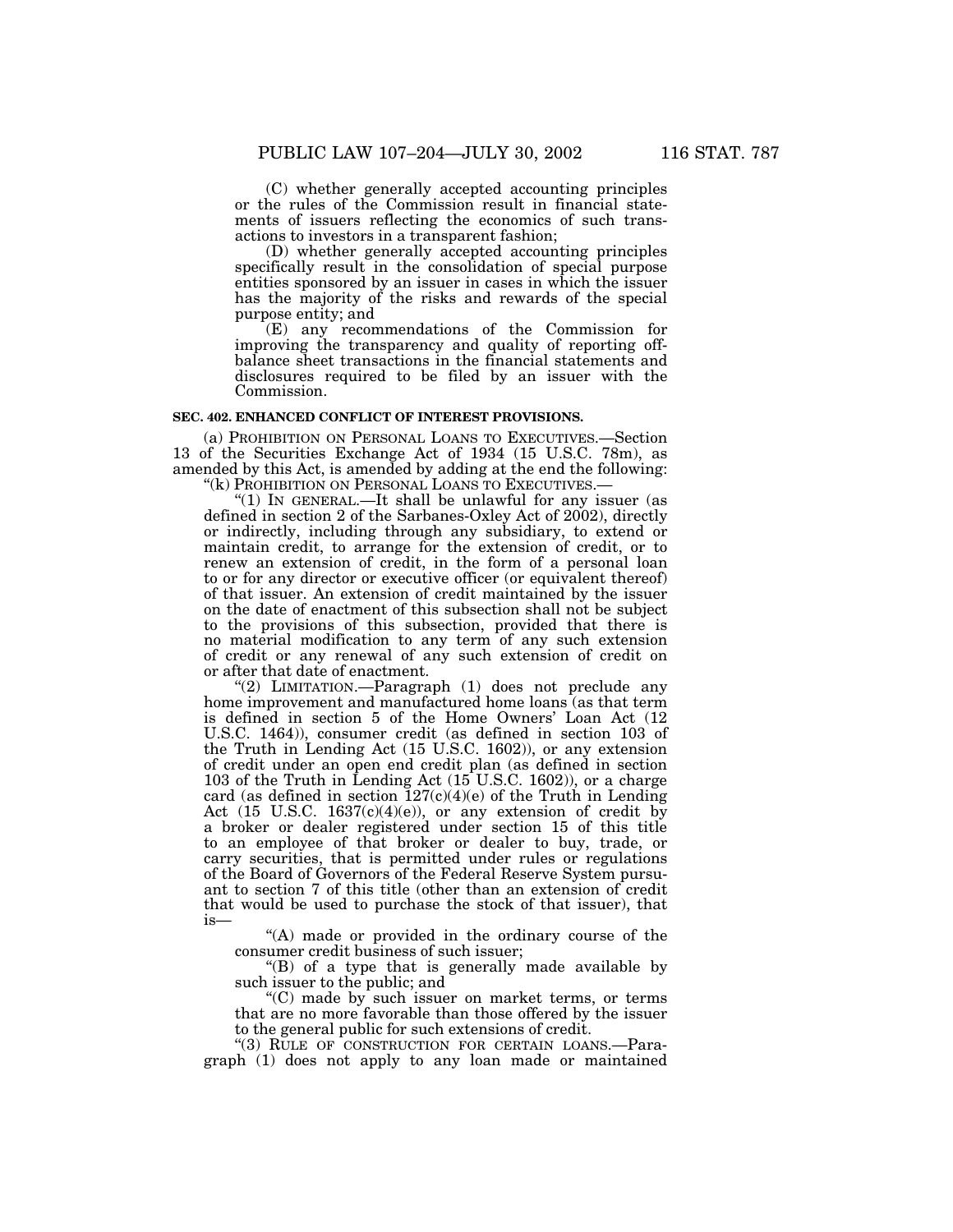(C) whether generally accepted accounting principles or the rules of the Commission result in financial statements of issuers reflecting the economics of such transactions to investors in a transparent fashion;

(D) whether generally accepted accounting principles specifically result in the consolidation of special purpose entities sponsored by an issuer in cases in which the issuer has the majority of the risks and rewards of the special purpose entity; and

(E) any recommendations of the Commission for improving the transparency and quality of reporting offbalance sheet transactions in the financial statements and disclosures required to be filed by an issuer with the Commission.

## **SEC. 402. ENHANCED CONFLICT OF INTEREST PROVISIONS.**

(a) PROHIBITION ON PERSONAL LOANS TO EXECUTIVES.—Section 13 of the Securities Exchange Act of 1934 (15 U.S.C. 78m), as amended by this Act, is amended by adding at the end the following: ''(k) PROHIBITION ON PERSONAL LOANS TO EXECUTIVES.—

''(1) IN GENERAL.—It shall be unlawful for any issuer (as defined in section 2 of the Sarbanes-Oxley Act of 2002), directly or indirectly, including through any subsidiary, to extend or maintain credit, to arrange for the extension of credit, or to renew an extension of credit, in the form of a personal loan to or for any director or executive officer (or equivalent thereof) of that issuer. An extension of credit maintained by the issuer on the date of enactment of this subsection shall not be subject to the provisions of this subsection, provided that there is no material modification to any term of any such extension of credit or any renewal of any such extension of credit on or after that date of enactment.

''(2) LIMITATION.—Paragraph (1) does not preclude any home improvement and manufactured home loans (as that term is defined in section 5 of the Home Owners' Loan Act (12 U.S.C. 1464)), consumer credit (as defined in section 103 of the Truth in Lending Act (15 U.S.C. 1602)), or any extension of credit under an open end credit plan (as defined in section 103 of the Truth in Lending Act (15 U.S.C. 1602)), or a charge card (as defined in section 127(c)(4)(e) of the Truth in Lending Act (15 U.S.C. 1637(c)(4)(e)), or any extension of credit by a broker or dealer registered under section 15 of this title to an employee of that broker or dealer to buy, trade, or carry securities, that is permitted under rules or regulations of the Board of Governors of the Federal Reserve System pursuant to section 7 of this title (other than an extension of credit that would be used to purchase the stock of that issuer), that is—

''(A) made or provided in the ordinary course of the consumer credit business of such issuer;

"(B) of a type that is generally made available by such issuer to the public; and

''(C) made by such issuer on market terms, or terms that are no more favorable than those offered by the issuer to the general public for such extensions of credit.

"(3) RULE OF CONSTRUCTION FOR CERTAIN LOANS.-Paragraph (1) does not apply to any loan made or maintained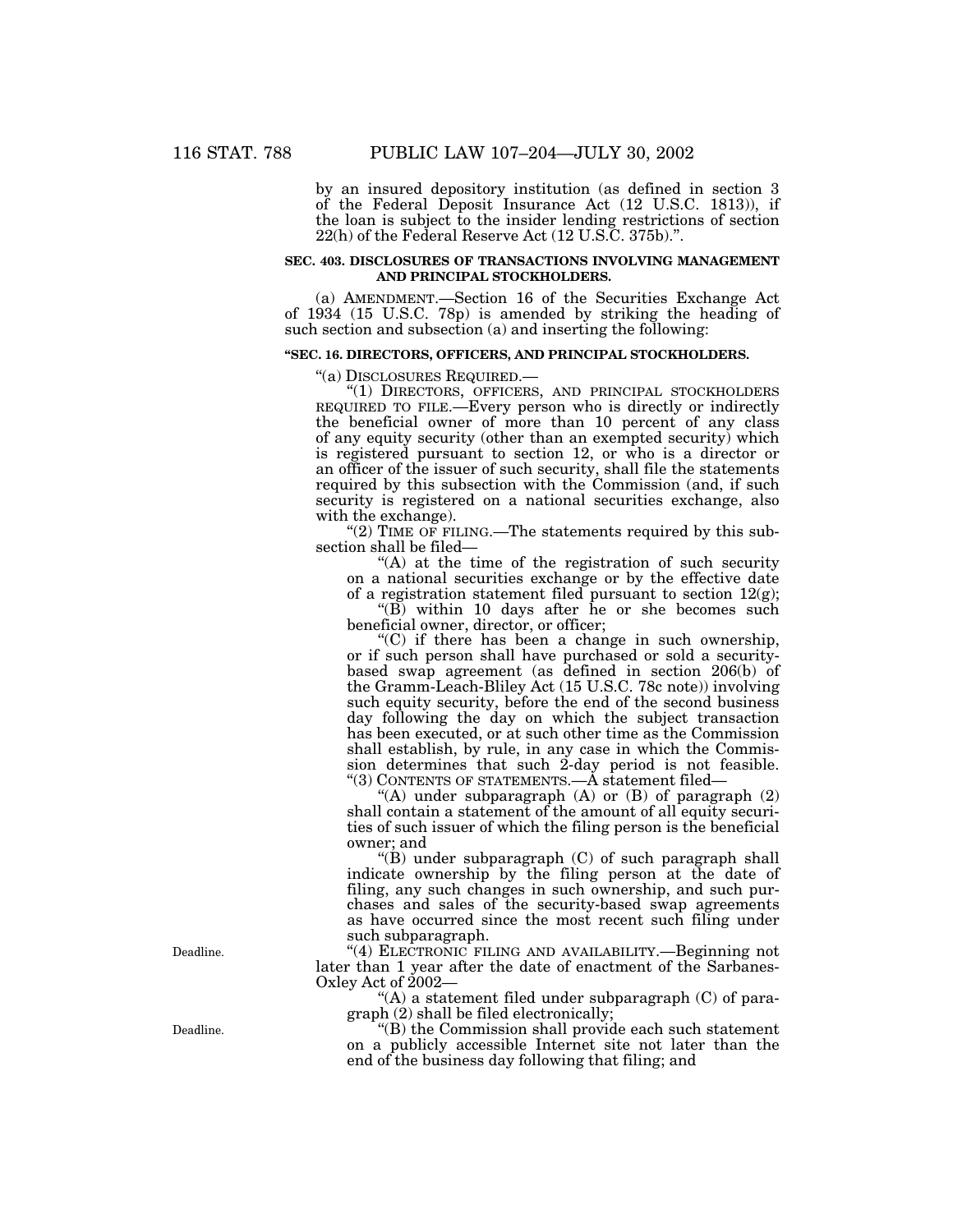by an insured depository institution (as defined in section 3 of the Federal Deposit Insurance Act (12 U.S.C. 1813)), if the loan is subject to the insider lending restrictions of section 22(h) of the Federal Reserve Act (12 U.S.C. 375b).''.

#### **SEC. 403. DISCLOSURES OF TRANSACTIONS INVOLVING MANAGEMENT AND PRINCIPAL STOCKHOLDERS.**

(a) AMENDMENT.—Section 16 of the Securities Exchange Act of 1934 (15 U.S.C. 78p) is amended by striking the heading of such section and subsection (a) and inserting the following:

## **''SEC. 16. DIRECTORS, OFFICERS, AND PRINCIPAL STOCKHOLDERS.**

''(a) DISCLOSURES REQUIRED.— ''(1) DIRECTORS, OFFICERS, AND PRINCIPAL STOCKHOLDERS REQUIRED TO FILE.—Every person who is directly or indirectly the beneficial owner of more than 10 percent of any class of any equity security (other than an exempted security) which is registered pursuant to section 12, or who is a director or an officer of the issuer of such security, shall file the statements required by this subsection with the Commission (and, if such security is registered on a national securities exchange, also with the exchange).

" $(2)$  TIME OF FILING.—The statements required by this subsection shall be filed—

"(A) at the time of the registration of such security on a national securities exchange or by the effective date of a registration statement filed pursuant to section  $12(g)$ ;

''(B) within 10 days after he or she becomes such beneficial owner, director, or officer;

 $C^{\prime\prime}(C)$  if there has been a change in such ownership, or if such person shall have purchased or sold a securitybased swap agreement (as defined in section 206(b) of the Gramm-Leach-Bliley Act (15 U.S.C. 78c note)) involving such equity security, before the end of the second business day following the day on which the subject transaction has been executed, or at such other time as the Commission shall establish, by rule, in any case in which the Commission determines that such 2-day period is not feasible. ''(3) CONTENTS OF STATEMENTS.—A statement filed—

"(A) under subparagraph  $(A)$  or  $(B)$  of paragraph  $(2)$ shall contain a statement of the amount of all equity securities of such issuer of which the filing person is the beneficial owner; and

 $\mathrm{H}(B)$  under subparagraph  $(C)$  of such paragraph shall indicate ownership by the filing person at the date of filing, any such changes in such ownership, and such purchases and sales of the security-based swap agreements as have occurred since the most recent such filing under such subparagraph.

"(4) ELECTRONIC FILING AND AVAILABILITY.—Beginning not later than 1 year after the date of enactment of the Sarbanes-Oxley Act of 2002—

"(A) a statement filed under subparagraph  $(C)$  of paragraph (2) shall be filed electronically;

''(B) the Commission shall provide each such statement on a publicly accessible Internet site not later than the end of the business day following that filing; and

Deadline.

Deadline.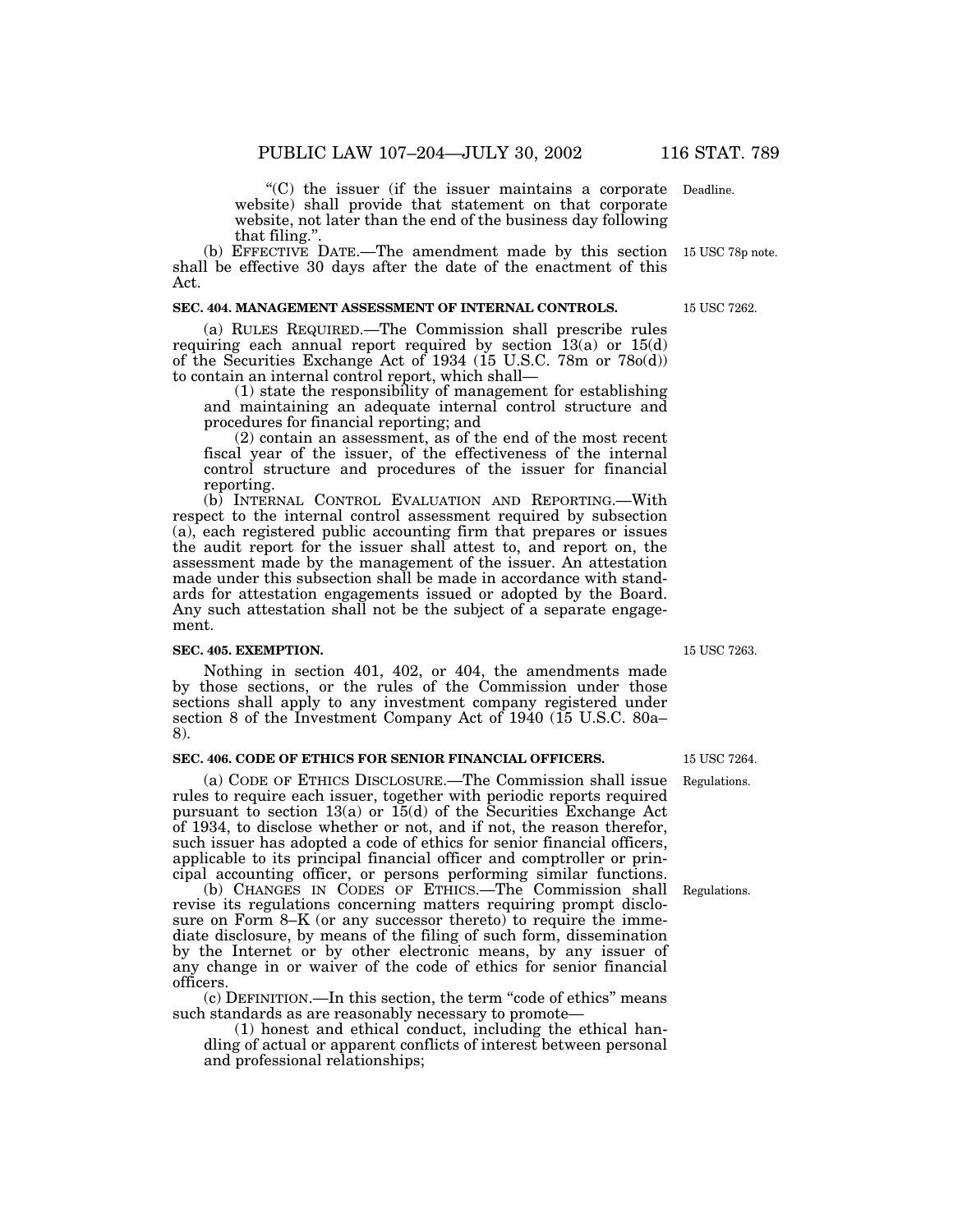"(C) the issuer (if the issuer maintains a corporate Deadline. website) shall provide that statement on that corporate website, not later than the end of the business day following that filing.

(b) EFFECTIVE DATE.—The amendment made by this section 15 USC 78p note. shall be effective 30 days after the date of the enactment of this Act.

## **SEC. 404. MANAGEMENT ASSESSMENT OF INTERNAL CONTROLS.**

(a) RULES REQUIRED.—The Commission shall prescribe rules requiring each annual report required by section 13(a) or 15(d) of the Securities Exchange Act of 1934 (15 U.S.C. 78m or 78o(d)) to contain an internal control report, which shall—

(1) state the responsibility of management for establishing and maintaining an adequate internal control structure and procedures for financial reporting; and

(2) contain an assessment, as of the end of the most recent fiscal year of the issuer, of the effectiveness of the internal control structure and procedures of the issuer for financial reporting.

(b) INTERNAL CONTROL EVALUATION AND REPORTING.—With respect to the internal control assessment required by subsection (a), each registered public accounting firm that prepares or issues the audit report for the issuer shall attest to, and report on, the assessment made by the management of the issuer. An attestation made under this subsection shall be made in accordance with standards for attestation engagements issued or adopted by the Board. Any such attestation shall not be the subject of a separate engagement.

#### **SEC. 405. EXEMPTION.**

Nothing in section 401, 402, or 404, the amendments made by those sections, or the rules of the Commission under those sections shall apply to any investment company registered under section 8 of the Investment Company Act of 1940 (15 U.S.C. 80a– 8).

#### **SEC. 406. CODE OF ETHICS FOR SENIOR FINANCIAL OFFICERS.**

(a) CODE OF ETHICS DISCLOSURE.—The Commission shall issue rules to require each issuer, together with periodic reports required pursuant to section 13(a) or 15(d) of the Securities Exchange Act of 1934, to disclose whether or not, and if not, the reason therefor, such issuer has adopted a code of ethics for senior financial officers, applicable to its principal financial officer and comptroller or principal accounting officer, or persons performing similar functions.

(b) CHANGES IN CODES OF ETHICS.—The Commission shall revise its regulations concerning matters requiring prompt disclosure on Form 8–K (or any successor thereto) to require the immediate disclosure, by means of the filing of such form, dissemination by the Internet or by other electronic means, by any issuer of any change in or waiver of the code of ethics for senior financial officers.

(c) DEFINITION.—In this section, the term ''code of ethics'' means such standards as are reasonably necessary to promote—

(1) honest and ethical conduct, including the ethical handling of actual or apparent conflicts of interest between personal and professional relationships;

15 USC 7263.

15 USC 7264.

Regulations.

Regulations.

15 USC 7262.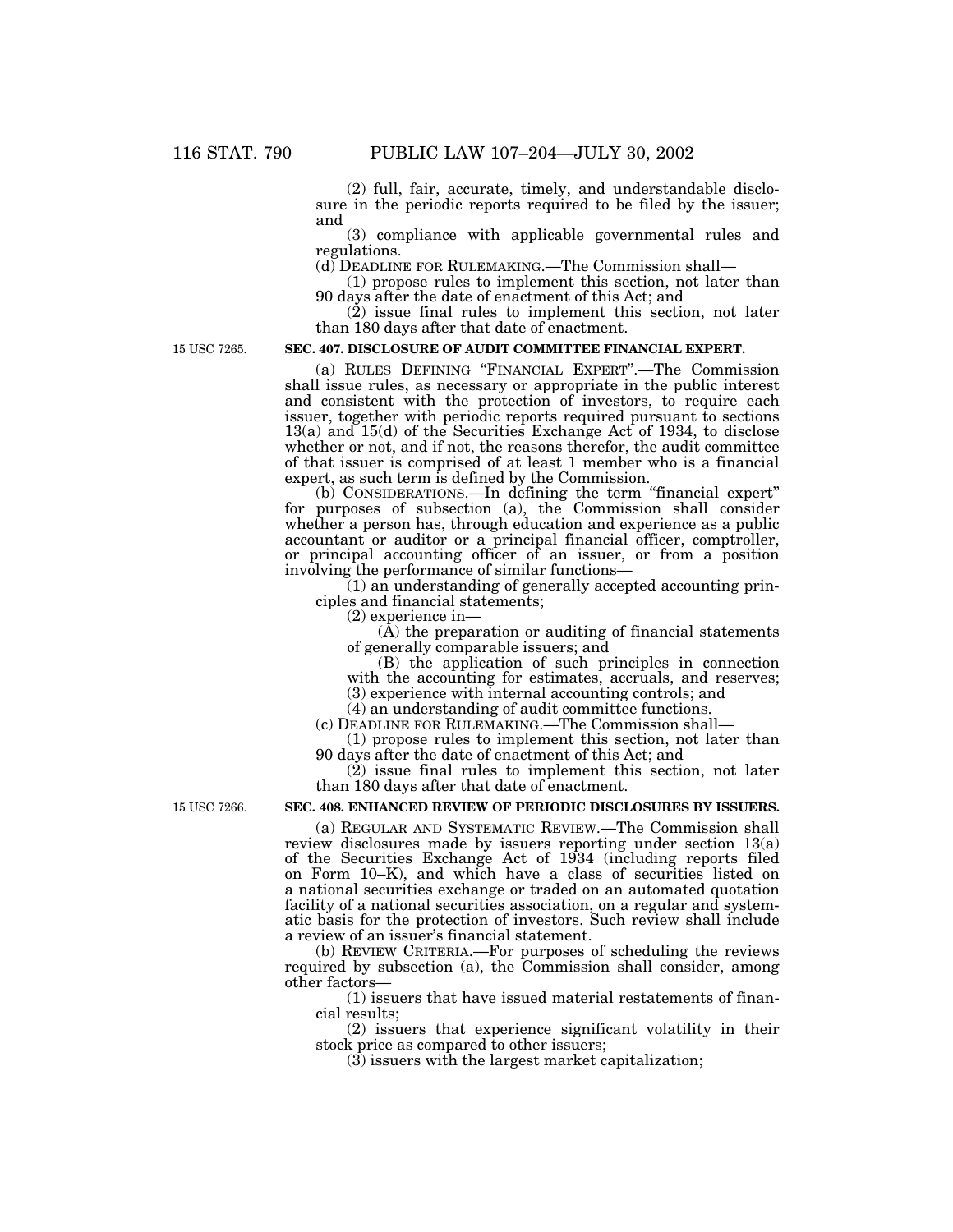(2) full, fair, accurate, timely, and understandable disclosure in the periodic reports required to be filed by the issuer; and

(3) compliance with applicable governmental rules and regulations.

(d) DEADLINE FOR RULEMAKING.—The Commission shall—

(1) propose rules to implement this section, not later than 90 days after the date of enactment of this Act; and

 $(2)$  issue final rules to implement this section, not later than 180 days after that date of enactment.

15 USC 7265.

## **SEC. 407. DISCLOSURE OF AUDIT COMMITTEE FINANCIAL EXPERT.**

(a) RULES DEFINING ''FINANCIAL EXPERT''.—The Commission shall issue rules, as necessary or appropriate in the public interest and consistent with the protection of investors, to require each issuer, together with periodic reports required pursuant to sections 13(a) and 15(d) of the Securities Exchange Act of 1934, to disclose whether or not, and if not, the reasons therefor, the audit committee of that issuer is comprised of at least 1 member who is a financial expert, as such term is defined by the Commission.

(b) CONSIDERATIONS.—In defining the term ''financial expert'' for purposes of subsection (a), the Commission shall consider whether a person has, through education and experience as a public accountant or auditor or a principal financial officer, comptroller, or principal accounting officer of an issuer, or from a position involving the performance of similar functions—

(1) an understanding of generally accepted accounting principles and financial statements;

(2) experience in—

 $(\tilde{A})$  the preparation or auditing of financial statements of generally comparable issuers; and

(B) the application of such principles in connection with the accounting for estimates, accruals, and reserves;

(3) experience with internal accounting controls; and

(4) an understanding of audit committee functions.

(c) DEADLINE FOR RULEMAKING.—The Commission shall—

(1) propose rules to implement this section, not later than days after the date of enactment of this Act; and

(2) issue final rules to implement this section, not later than 180 days after that date of enactment.

15 USC 7266.

#### **SEC. 408. ENHANCED REVIEW OF PERIODIC DISCLOSURES BY ISSUERS.**

(a) REGULAR AND SYSTEMATIC REVIEW.—The Commission shall review disclosures made by issuers reporting under section 13(a) of the Securities Exchange Act of 1934 (including reports filed on Form 10–K), and which have a class of securities listed on a national securities exchange or traded on an automated quotation facility of a national securities association, on a regular and systematic basis for the protection of investors. Such review shall include a review of an issuer's financial statement.

(b) REVIEW CRITERIA.—For purposes of scheduling the reviews required by subsection (a), the Commission shall consider, among other factors—

(1) issuers that have issued material restatements of financial results;

(2) issuers that experience significant volatility in their stock price as compared to other issuers;

 $(3)$  issuers with the largest market capitalization;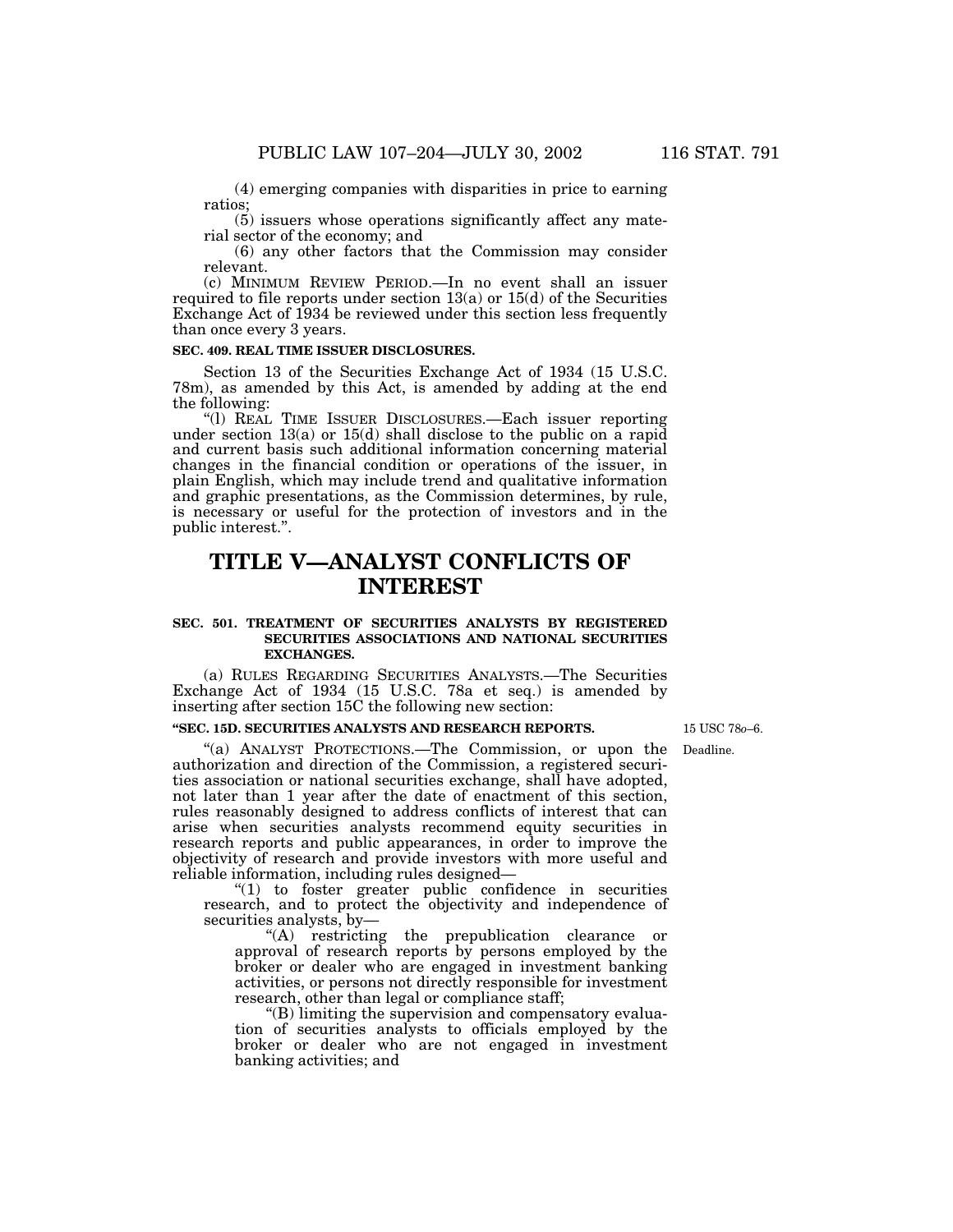(4) emerging companies with disparities in price to earning ratios;

(5) issuers whose operations significantly affect any material sector of the economy; and

(6) any other factors that the Commission may consider relevant.

(c) MINIMUM REVIEW PERIOD.—In no event shall an issuer required to file reports under section  $13(a)$  or  $15(d)$  of the Securities Exchange Act of 1934 be reviewed under this section less frequently than once every 3 years.

## **SEC. 409. REAL TIME ISSUER DISCLOSURES.**

Section 13 of the Securities Exchange Act of 1934 (15 U.S.C. 78m), as amended by this Act, is amended by adding at the end the following:

''(l) REAL TIME ISSUER DISCLOSURES.—Each issuer reporting under section 13(a) or 15(d) shall disclose to the public on a rapid and current basis such additional information concerning material changes in the financial condition or operations of the issuer, in plain English, which may include trend and qualitative information and graphic presentations, as the Commission determines, by rule, is necessary or useful for the protection of investors and in the public interest.''.

# **TITLE V—ANALYST CONFLICTS OF INTEREST**

## **SEC. 501. TREATMENT OF SECURITIES ANALYSTS BY REGISTERED SECURITIES ASSOCIATIONS AND NATIONAL SECURITIES EXCHANGES.**

(a) RULES REGARDING SECURITIES ANALYSTS.—The Securities Exchange Act of 1934 (15 U.S.C. 78a et seq.) is amended by inserting after section 15C the following new section:

## **''SEC. 15D. SECURITIES ANALYSTS AND RESEARCH REPORTS.**

15 USC 78*o*–6.

Deadline.

''(a) ANALYST PROTECTIONS.—The Commission, or upon the authorization and direction of the Commission, a registered securities association or national securities exchange, shall have adopted, not later than 1 year after the date of enactment of this section, rules reasonably designed to address conflicts of interest that can arise when securities analysts recommend equity securities in research reports and public appearances, in order to improve the objectivity of research and provide investors with more useful and reliable information, including rules designed—

''(1) to foster greater public confidence in securities research, and to protect the objectivity and independence of securities analysts, by—

''(A) restricting the prepublication clearance or approval of research reports by persons employed by the broker or dealer who are engaged in investment banking activities, or persons not directly responsible for investment research, other than legal or compliance staff;

''(B) limiting the supervision and compensatory evaluation of securities analysts to officials employed by the broker or dealer who are not engaged in investment banking activities; and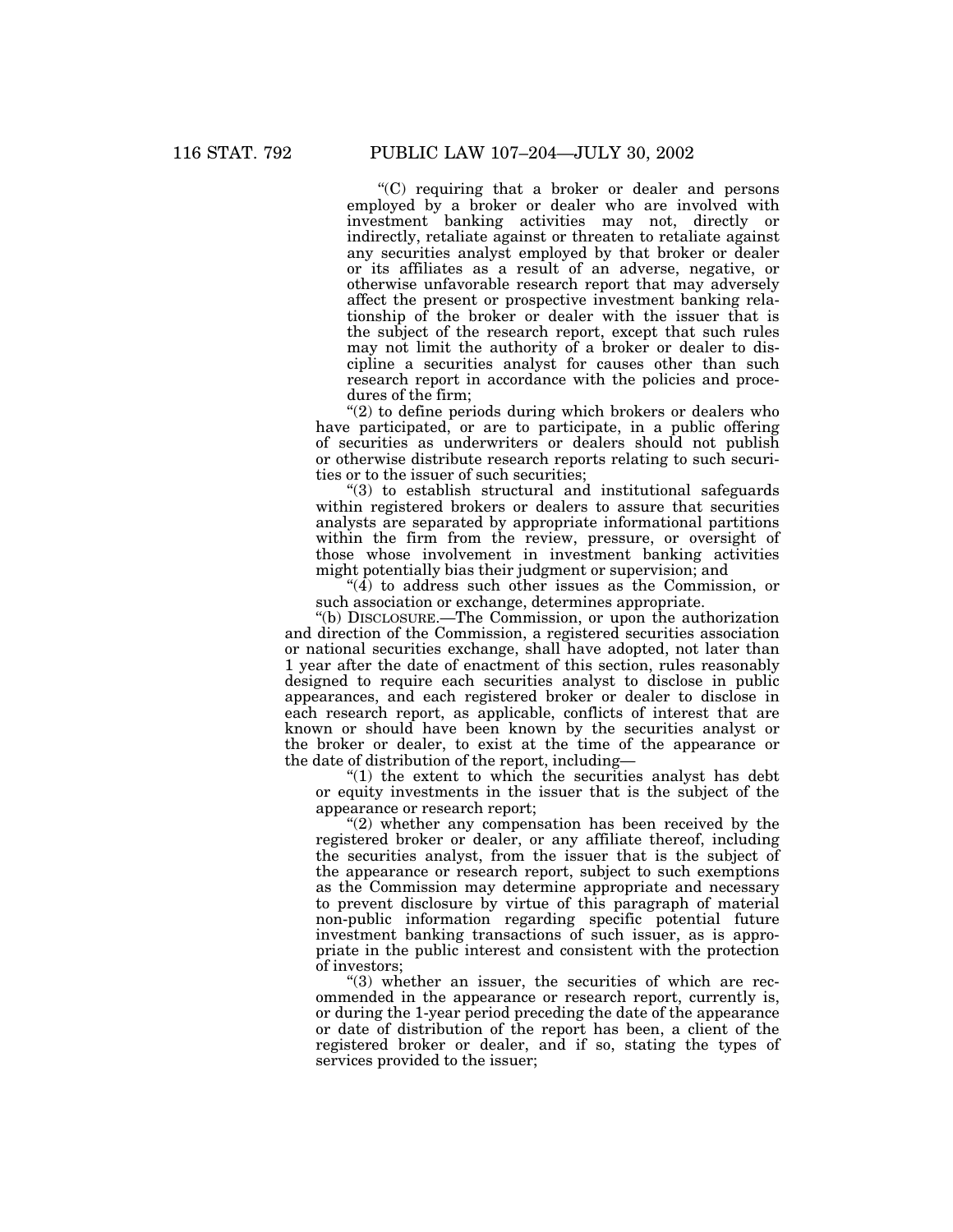''(C) requiring that a broker or dealer and persons employed by a broker or dealer who are involved with investment banking activities may not, directly or indirectly, retaliate against or threaten to retaliate against any securities analyst employed by that broker or dealer or its affiliates as a result of an adverse, negative, or otherwise unfavorable research report that may adversely affect the present or prospective investment banking relationship of the broker or dealer with the issuer that is the subject of the research report, except that such rules may not limit the authority of a broker or dealer to discipline a securities analyst for causes other than such research report in accordance with the policies and procedures of the firm;

"(2) to define periods during which brokers or dealers who have participated, or are to participate, in a public offering of securities as underwriters or dealers should not publish or otherwise distribute research reports relating to such securities or to the issuer of such securities;

''(3) to establish structural and institutional safeguards within registered brokers or dealers to assure that securities analysts are separated by appropriate informational partitions within the firm from the review, pressure, or oversight of those whose involvement in investment banking activities might potentially bias their judgment or supervision; and

''(4) to address such other issues as the Commission, or such association or exchange, determines appropriate.

''(b) DISCLOSURE.—The Commission, or upon the authorization and direction of the Commission, a registered securities association or national securities exchange, shall have adopted, not later than 1 year after the date of enactment of this section, rules reasonably designed to require each securities analyst to disclose in public appearances, and each registered broker or dealer to disclose in each research report, as applicable, conflicts of interest that are known or should have been known by the securities analyst or the broker or dealer, to exist at the time of the appearance or the date of distribution of the report, including—

''(1) the extent to which the securities analyst has debt or equity investments in the issuer that is the subject of the appearance or research report;

" $(2)$  whether any compensation has been received by the registered broker or dealer, or any affiliate thereof, including the securities analyst, from the issuer that is the subject of the appearance or research report, subject to such exemptions as the Commission may determine appropriate and necessary to prevent disclosure by virtue of this paragraph of material non-public information regarding specific potential future investment banking transactions of such issuer, as is appropriate in the public interest and consistent with the protection of investors;

"(3) whether an issuer, the securities of which are recommended in the appearance or research report, currently is, or during the 1-year period preceding the date of the appearance or date of distribution of the report has been, a client of the registered broker or dealer, and if so, stating the types of services provided to the issuer;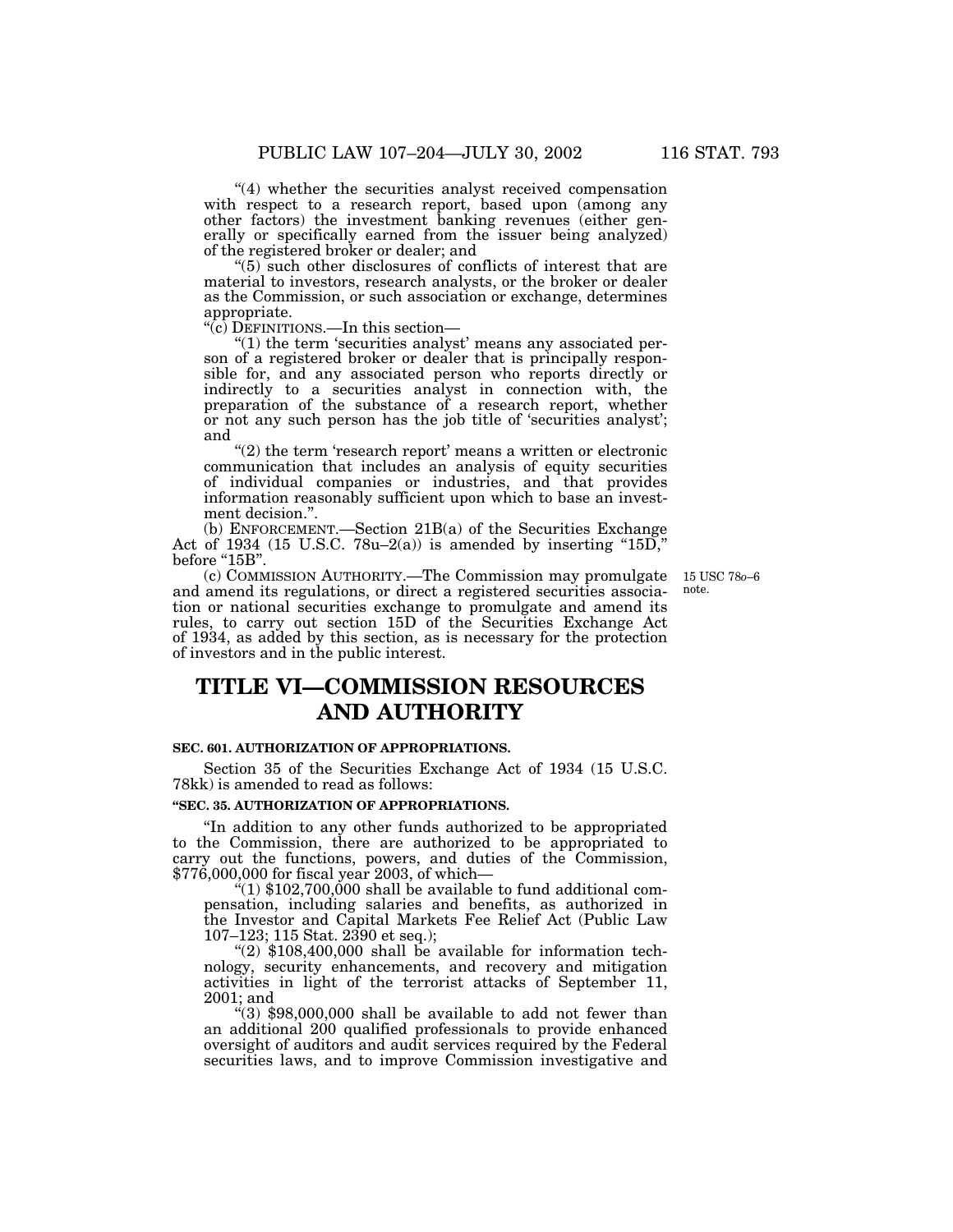"(4) whether the securities analyst received compensation with respect to a research report, based upon (among any other factors) the investment banking revenues (either generally or specifically earned from the issuer being analyzed) of the registered broker or dealer; and

''(5) such other disclosures of conflicts of interest that are material to investors, research analysts, or the broker or dealer as the Commission, or such association or exchange, determines appropriate.

''(c) DEFINITIONS.—In this section—

"(1) the term 'securities analyst' means any associated person of a registered broker or dealer that is principally responsible for, and any associated person who reports directly or indirectly to a securities analyst in connection with, the preparation of the substance of a research report, whether or not any such person has the job title of 'securities analyst'; and

" $(2)$  the term 'research report' means a written or electronic communication that includes an analysis of equity securities of individual companies or industries, and that provides information reasonably sufficient upon which to base an investment decision.''.

(b) ENFORCEMENT.—Section 21B(a) of the Securities Exchange Act of 1934 (15 U.S.C.  $78u-2(a)$ ) is amended by inserting "15D," before "15B".

(c) COMMISSION AUTHORITY.—The Commission may promulgate 15 USC 78*o*–6 and amend its regulations, or direct a registered securities association or national securities exchange to promulgate and amend its rules, to carry out section 15D of the Securities Exchange Act of 1934, as added by this section, as is necessary for the protection of investors and in the public interest.

note.

# **TITLE VI—COMMISSION RESOURCES AND AUTHORITY**

### **SEC. 601. AUTHORIZATION OF APPROPRIATIONS.**

Section 35 of the Securities Exchange Act of 1934 (15 U.S.C. 78kk) is amended to read as follows:

## **''SEC. 35. AUTHORIZATION OF APPROPRIATIONS.**

''In addition to any other funds authorized to be appropriated to the Commission, there are authorized to be appropriated to carry out the functions, powers, and duties of the Commission, \$776,000,000 for fiscal year 2003, of which—

" $(1)$  \$102,700,000 shall be available to fund additional compensation, including salaries and benefits, as authorized in the Investor and Capital Markets Fee Relief Act (Public Law 107–123; 115 Stat. 2390 et seq.);

"(2)  $$108,400,000$  shall be available for information technology, security enhancements, and recovery and mitigation activities in light of the terrorist attacks of September 11, 2001; and

 $(3)$  \$98,000,000 shall be available to add not fewer than an additional 200 qualified professionals to provide enhanced oversight of auditors and audit services required by the Federal securities laws, and to improve Commission investigative and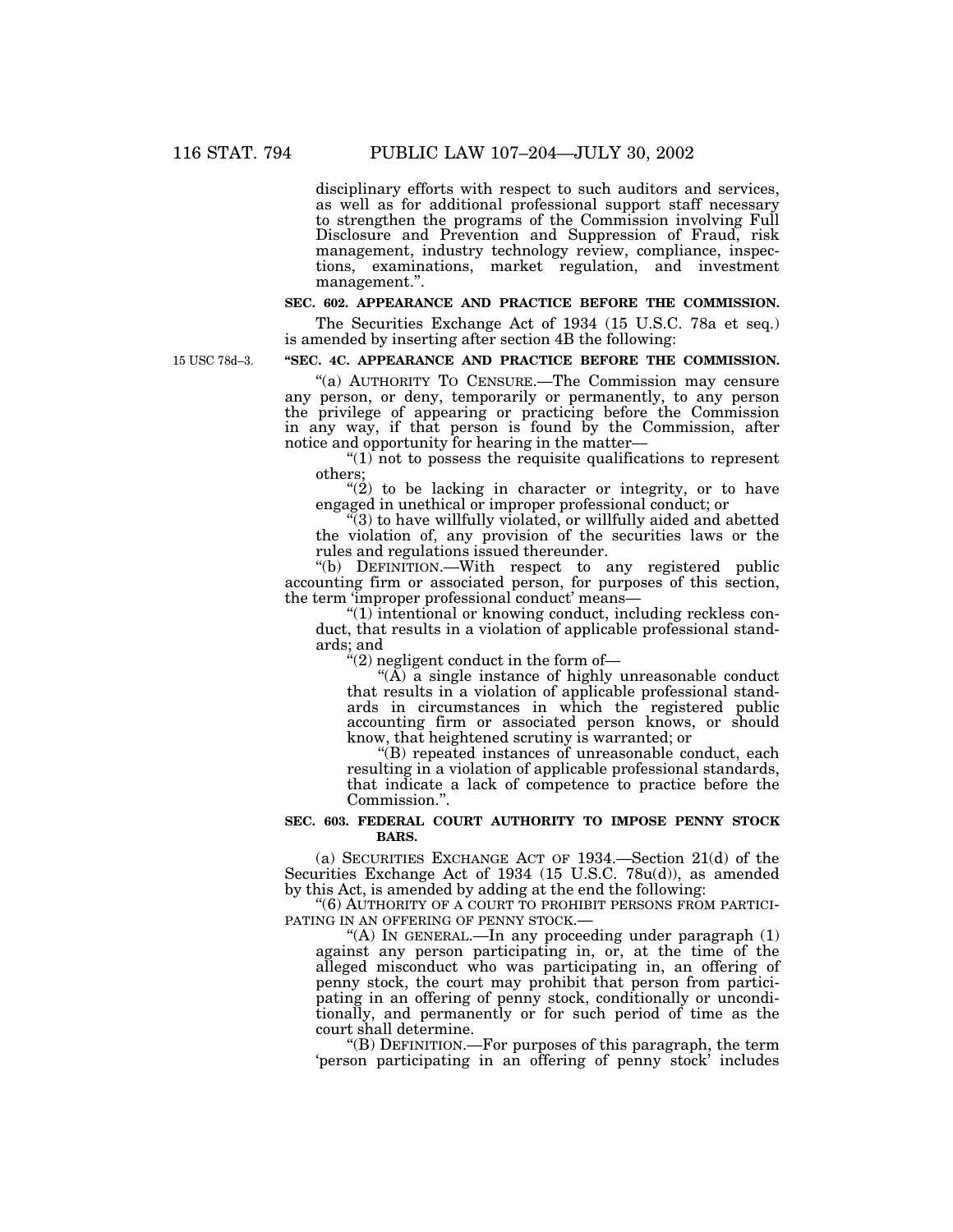disciplinary efforts with respect to such auditors and services, as well as for additional professional support staff necessary to strengthen the programs of the Commission involving Full Disclosure and Prevention and Suppression of Fraud, risk management, industry technology review, compliance, inspections, examinations, market regulation, and investment management.''.

#### **SEC. 602. APPEARANCE AND PRACTICE BEFORE THE COMMISSION.**

The Securities Exchange Act of 1934 (15 U.S.C. 78a et seq.) is amended by inserting after section 4B the following:

15 USC 78d–3.

## **''SEC. 4C. APPEARANCE AND PRACTICE BEFORE THE COMMISSION.**

''(a) AUTHORITY TO CENSURE.—The Commission may censure any person, or deny, temporarily or permanently, to any person the privilege of appearing or practicing before the Commission in any way, if that person is found by the Commission, after notice and opportunity for hearing in the matter—

 $''(1)$  not to possess the requisite qualifications to represent others;

" $(2)$  to be lacking in character or integrity, or to have engaged in unethical or improper professional conduct; or

''(3) to have willfully violated, or willfully aided and abetted the violation of, any provision of the securities laws or the rules and regulations issued thereunder.

''(b) DEFINITION.—With respect to any registered public accounting firm or associated person, for purposes of this section, the term 'improper professional conduct' means—

''(1) intentional or knowing conduct, including reckless conduct, that results in a violation of applicable professional standards; and

"(2) negligent conduct in the form of  $-$ 

''(A) a single instance of highly unreasonable conduct that results in a violation of applicable professional standards in circumstances in which the registered public accounting firm or associated person knows, or should know, that heightened scrutiny is warranted; or

''(B) repeated instances of unreasonable conduct, each resulting in a violation of applicable professional standards, that indicate a lack of competence to practice before the Commission.''.

#### **SEC. 603. FEDERAL COURT AUTHORITY TO IMPOSE PENNY STOCK BARS.**

(a) SECURITIES EXCHANGE ACT OF 1934.—Section 21(d) of the Securities Exchange Act of 1934 (15 U.S.C. 78u(d)), as amended by this Act, is amended by adding at the end the following:

"(6) AUTHORITY OF A COURT TO PROHIBIT PERSONS FROM PARTICI-PATING IN AN OFFERING OF PENNY STOCK.—

"(A) In GENERAL.—In any proceeding under paragraph (1) against any person participating in, or, at the time of the alleged misconduct who was participating in, an offering of penny stock, the court may prohibit that person from participating in an offering of penny stock, conditionally or unconditionally, and permanently or for such period of time as the court shall determine.

''(B) DEFINITION.—For purposes of this paragraph, the term 'person participating in an offering of penny stock' includes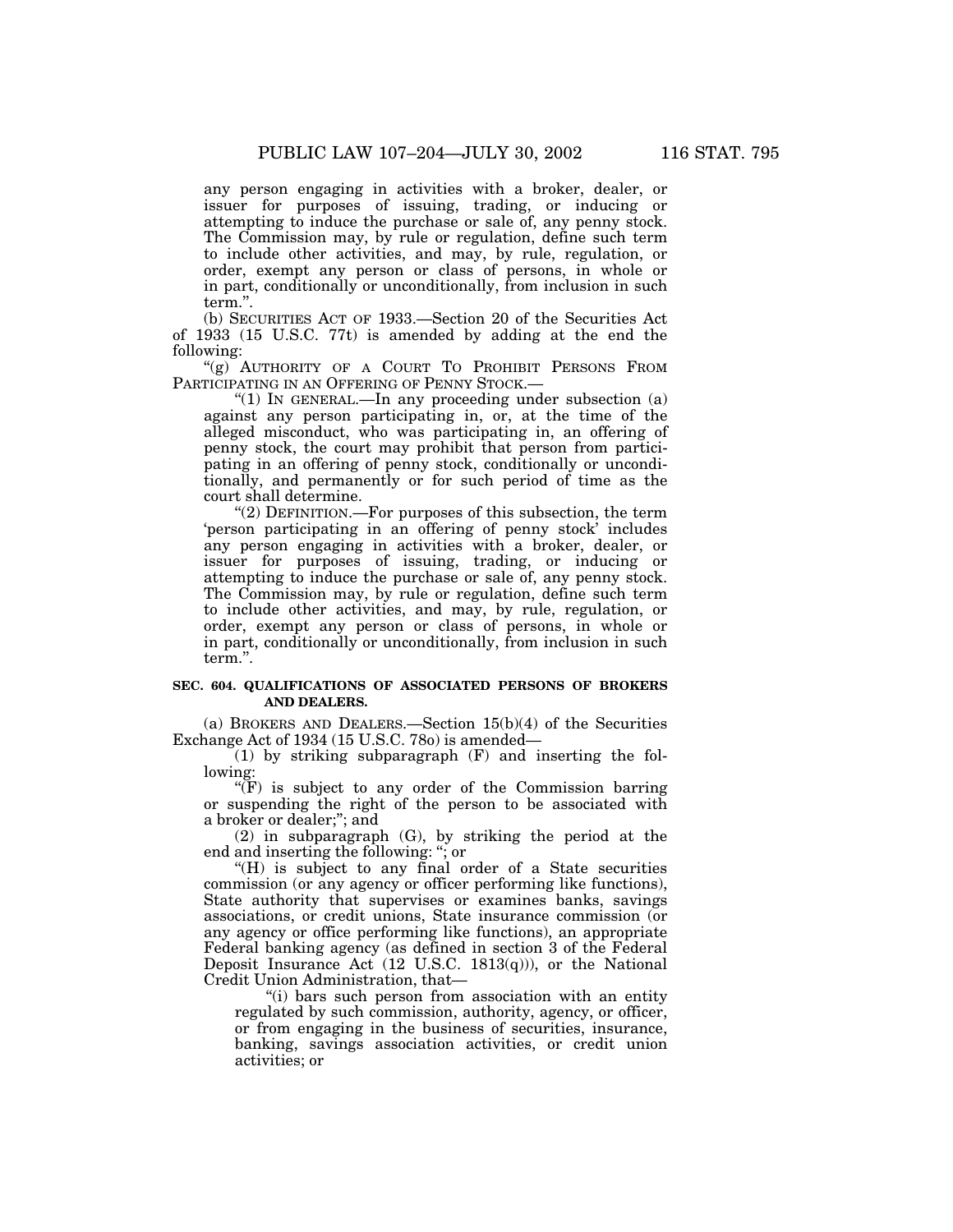any person engaging in activities with a broker, dealer, or issuer for purposes of issuing, trading, or inducing or attempting to induce the purchase or sale of, any penny stock. The Commission may, by rule or regulation, define such term to include other activities, and may, by rule, regulation, or order, exempt any person or class of persons, in whole or in part, conditionally or unconditionally, from inclusion in such term."

(b) SECURITIES ACT OF 1933.—Section 20 of the Securities Act of 1933 (15 U.S.C. 77t) is amended by adding at the end the following:

"(g) AUTHORITY OF A COURT TO PROHIBIT PERSONS FROM PARTICIPATING IN AN OFFERING OF PENNY STOCK.-

" $(1)$  In GENERAL.—In any proceeding under subsection  $(a)$ against any person participating in, or, at the time of the alleged misconduct, who was participating in, an offering of penny stock, the court may prohibit that person from participating in an offering of penny stock, conditionally or unconditionally, and permanently or for such period of time as the court shall determine.

" $(2)$  DEFINITION.—For purposes of this subsection, the term 'person participating in an offering of penny stock' includes any person engaging in activities with a broker, dealer, or issuer for purposes of issuing, trading, or inducing or attempting to induce the purchase or sale of, any penny stock. The Commission may, by rule or regulation, define such term to include other activities, and may, by rule, regulation, or order, exempt any person or class of persons, in whole or in part, conditionally or unconditionally, from inclusion in such term.''.

## **SEC. 604. QUALIFICATIONS OF ASSOCIATED PERSONS OF BROKERS AND DEALERS.**

(a) BROKERS AND DEALERS.—Section 15(b)(4) of the Securities Exchange Act of 1934 (15 U.S.C. 78o) is amended—

(1) by striking subparagraph (F) and inserting the following:

 $f(F)$  is subject to any order of the Commission barring or suspending the right of the person to be associated with a broker or dealer;''; and

(2) in subparagraph (G), by striking the period at the end and inserting the following: ''; or

''(H) is subject to any final order of a State securities commission (or any agency or officer performing like functions), State authority that supervises or examines banks, savings associations, or credit unions, State insurance commission (or any agency or office performing like functions), an appropriate Federal banking agency (as defined in section 3 of the Federal Deposit Insurance Act  $(12 \text{ U.S.C. } 1813(q))$ , or the National Credit Union Administration, that—

''(i) bars such person from association with an entity regulated by such commission, authority, agency, or officer, or from engaging in the business of securities, insurance, banking, savings association activities, or credit union activities; or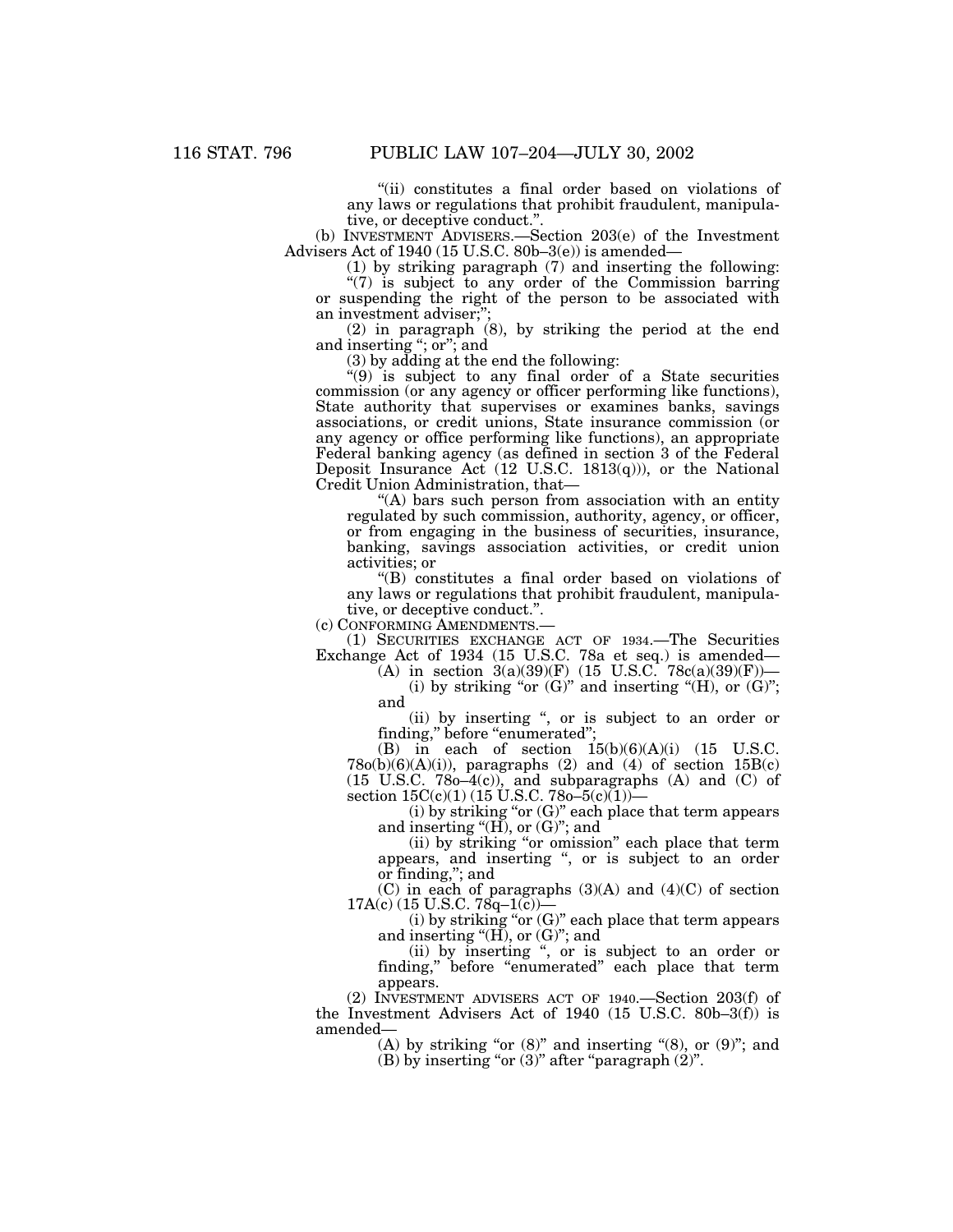''(ii) constitutes a final order based on violations of any laws or regulations that prohibit fraudulent, manipulative, or deceptive conduct."

(b) INVESTMENT ADVISERS.—Section 203(e) of the Investment Advisers Act of 1940 (15 U.S.C. 80b–3(e)) is amended—

(1) by striking paragraph (7) and inserting the following:  $\cdot\hat{f}(7)$  is subject to any order of the Commission barring or suspending the right of the person to be associated with

an investment adviser;''; (2) in paragraph (8), by striking the period at the end and inserting "; or"; and

(3) by adding at the end the following:

 $(9)$  is subject to any final order of a State securities commission (or any agency or officer performing like functions), State authority that supervises or examines banks, savings associations, or credit unions, State insurance commission (or any agency or office performing like functions), an appropriate Federal banking agency (as defined in section 3 of the Federal Deposit Insurance Act (12 U.S.C. 1813(q))), or the National Credit Union Administration, that—

''(A) bars such person from association with an entity regulated by such commission, authority, agency, or officer, or from engaging in the business of securities, insurance, banking, savings association activities, or credit union activities; or

''(B) constitutes a final order based on violations of any laws or regulations that prohibit fraudulent, manipulative, or deceptive conduct.''.

(c) CONFORMING AMENDMENTS.—

(1) SECURITIES EXCHANGE ACT OF 1934.—The Securities Exchange Act of 1934 (15 U.S.C. 78a et seq.) is amended—

(A) in section  $3(a)(39)(F)$  (15 U.S.C. 78c(a)(39)(F))— (i) by striking "or  $(G)$ " and inserting " $(H)$ , or  $(G)$ "; and

(ii) by inserting '', or is subject to an order or finding," before "enumerated";

(B) in each of section  $15(b)(6)(A)(i)$  (15 U.S.C.  $78o(b)(6)(A)(i)$ , paragraphs (2) and (4) of section  $15B(c)$  $(15 \text{ U.S.C. } 780-4(c))$ , and subparagraphs  $(A)$  and  $(C)$  of section  $15C(c)(1)$  (15 U.S.C. 78o–5(c)(1))—

(i) by striking ''or (G)'' each place that term appears and inserting " $(H)$ , or  $(G)$ "; and

(ii) by striking ''or omission'' each place that term appears, and inserting ", or is subject to an order or finding,''; and

(C) in each of paragraphs (3)(A) and (4)(C) of section 17A(c) (15 U.S.C. 78q–1(c))—

(i) by striking "or  $(G)$ " each place that term appears and inserting " $(H)$ , or  $(G)$ "; and

(ii) by inserting ", or is subject to an order or finding,'' before ''enumerated'' each place that term appears.

(2) INVESTMENT ADVISERS ACT OF 1940.—Section 203(f) of the Investment Advisers Act of 1940 (15 U.S.C. 80b–3(f)) is amended—

(A) by striking "or  $(8)$ " and inserting " $(8)$ , or  $(9)$ "; and

 $(B)$  by inserting "or  $(3)$ " after "paragraph  $(2)$ ".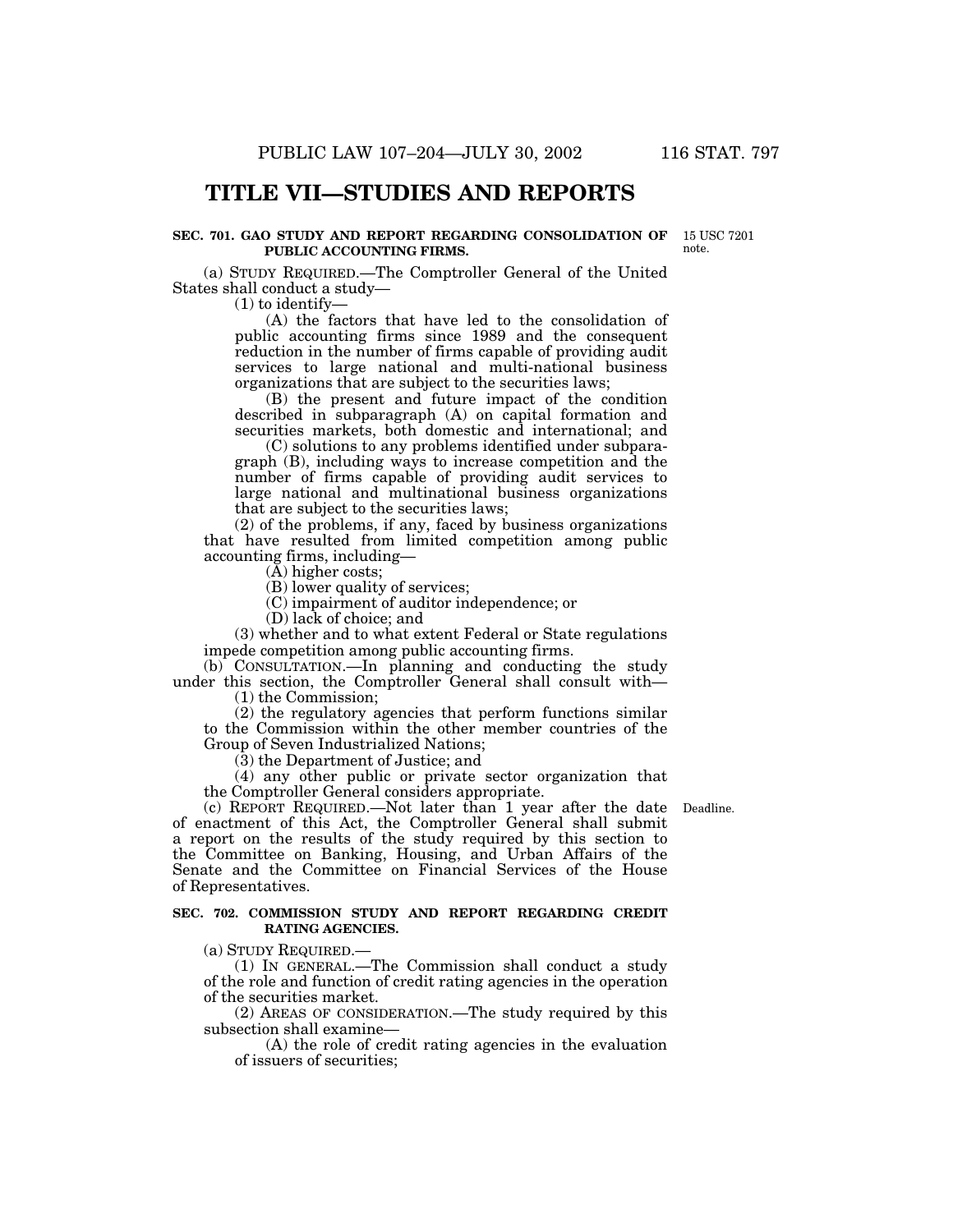# **TITLE VII—STUDIES AND REPORTS**

#### **SEC. 701. GAO STUDY AND REPORT REGARDING CONSOLIDATION OF PUBLIC ACCOUNTING FIRMS.** 15 USC 7201 note.

(a) STUDY REQUIRED.—The Comptroller General of the United States shall conduct a study—

(1) to identify—

(A) the factors that have led to the consolidation of public accounting firms since 1989 and the consequent reduction in the number of firms capable of providing audit services to large national and multi-national business organizations that are subject to the securities laws;

(B) the present and future impact of the condition described in subparagraph (A) on capital formation and securities markets, both domestic and international; and

(C) solutions to any problems identified under subparagraph (B), including ways to increase competition and the number of firms capable of providing audit services to large national and multinational business organizations that are subject to the securities laws;

(2) of the problems, if any, faced by business organizations that have resulted from limited competition among public accounting firms, including—

 $(\bar{A})$  higher costs;

(B) lower quality of services;

(C) impairment of auditor independence; or

(D) lack of choice; and

(3) whether and to what extent Federal or State regulations impede competition among public accounting firms.

(b) CONSULTATION.—In planning and conducting the study under this section, the Comptroller General shall consult with—

(1) the Commission;

(2) the regulatory agencies that perform functions similar to the Commission within the other member countries of the Group of Seven Industrialized Nations;

(3) the Department of Justice; and

(4) any other public or private sector organization that the Comptroller General considers appropriate.

(c) REPORT REQUIRED.—Not later than 1 year after the date Deadline. of enactment of this Act, the Comptroller General shall submit a report on the results of the study required by this section to the Committee on Banking, Housing, and Urban Affairs of the Senate and the Committee on Financial Services of the House of Representatives.

### **SEC. 702. COMMISSION STUDY AND REPORT REGARDING CREDIT RATING AGENCIES.**

(a) STUDY REQUIRED.—

(1) IN GENERAL.—The Commission shall conduct a study of the role and function of credit rating agencies in the operation of the securities market.

(2) AREAS OF CONSIDERATION.—The study required by this subsection shall examine—

(A) the role of credit rating agencies in the evaluation of issuers of securities;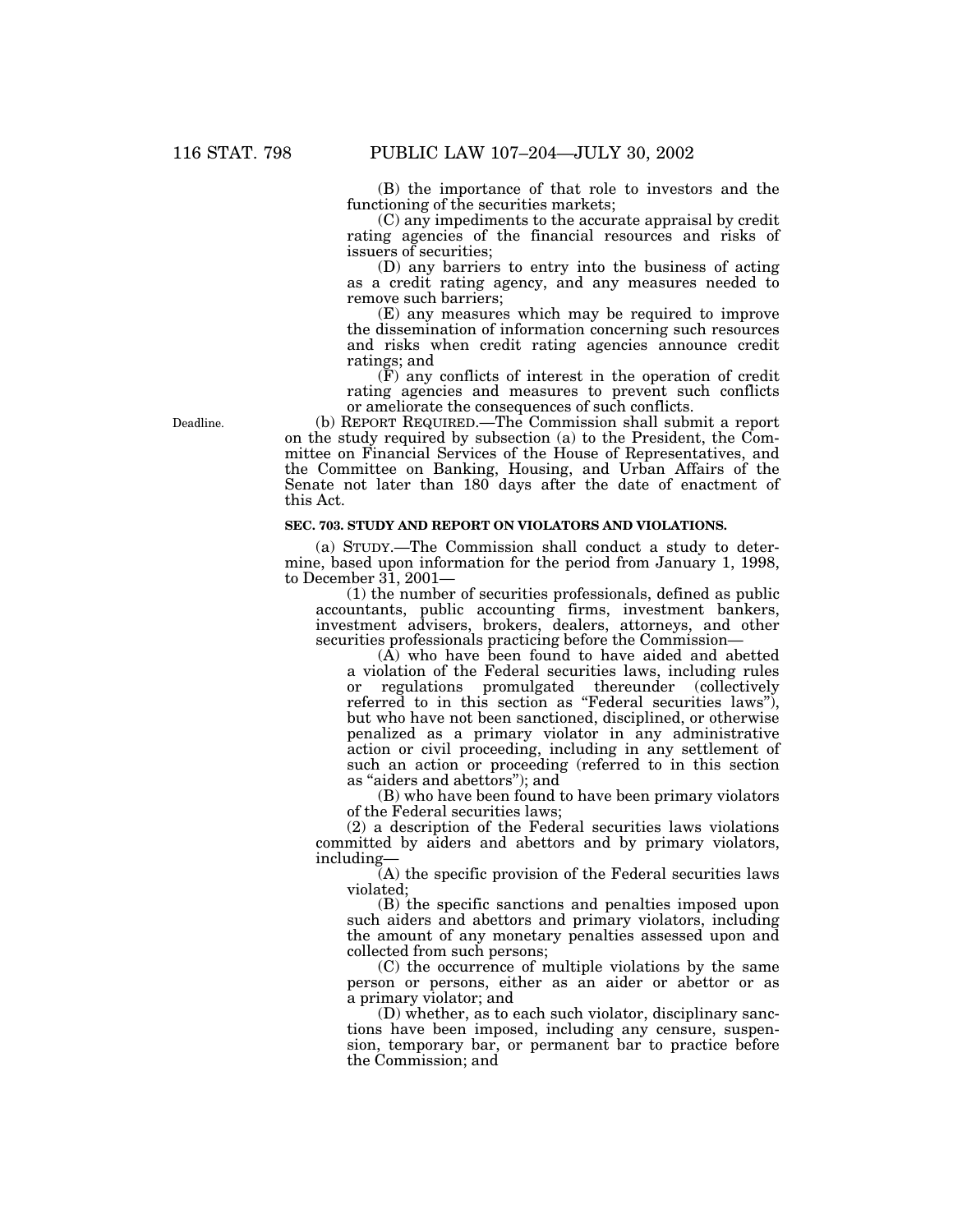(B) the importance of that role to investors and the functioning of the securities markets;

(C) any impediments to the accurate appraisal by credit rating agencies of the financial resources and risks of issuers of securities;

(D) any barriers to entry into the business of acting as a credit rating agency, and any measures needed to remove such barriers;

(E) any measures which may be required to improve the dissemination of information concerning such resources and risks when credit rating agencies announce credit ratings; and

(F) any conflicts of interest in the operation of credit rating agencies and measures to prevent such conflicts or ameliorate the consequences of such conflicts.

(b) REPORT REQUIRED.—The Commission shall submit a report on the study required by subsection (a) to the President, the Committee on Financial Services of the House of Representatives, and the Committee on Banking, Housing, and Urban Affairs of the Senate not later than 180 days after the date of enactment of this Act.

## **SEC. 703. STUDY AND REPORT ON VIOLATORS AND VIOLATIONS.**

(a) STUDY.—The Commission shall conduct a study to determine, based upon information for the period from January 1, 1998, to December 31, 2001—

(1) the number of securities professionals, defined as public accountants, public accounting firms, investment bankers, investment advisers, brokers, dealers, attorneys, and other securities professionals practicing before the Commission—

(A) who have been found to have aided and abetted a violation of the Federal securities laws, including rules or regulations promulgated thereunder (collectively referred to in this section as ''Federal securities laws''), but who have not been sanctioned, disciplined, or otherwise penalized as a primary violator in any administrative action or civil proceeding, including in any settlement of such an action or proceeding (referred to in this section as ''aiders and abettors''); and

(B) who have been found to have been primary violators of the Federal securities laws;

(2) a description of the Federal securities laws violations committed by aiders and abettors and by primary violators, including—

(A) the specific provision of the Federal securities laws violated;

(B) the specific sanctions and penalties imposed upon such aiders and abettors and primary violators, including the amount of any monetary penalties assessed upon and collected from such persons;

(C) the occurrence of multiple violations by the same person or persons, either as an aider or abettor or as a primary violator; and

(D) whether, as to each such violator, disciplinary sanctions have been imposed, including any censure, suspension, temporary bar, or permanent bar to practice before the Commission; and

Deadline.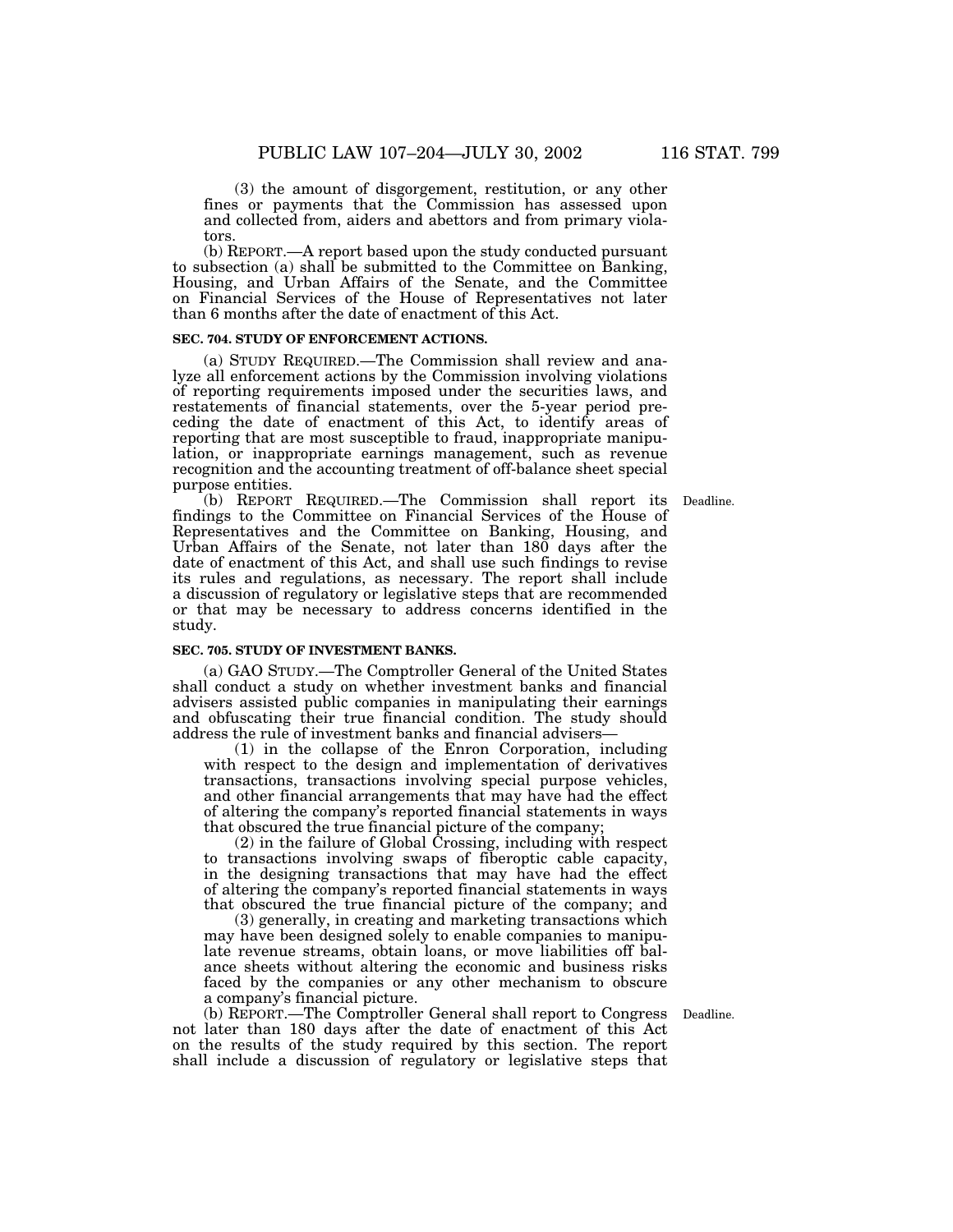(3) the amount of disgorgement, restitution, or any other fines or payments that the Commission has assessed upon and collected from, aiders and abettors and from primary violators.

(b) REPORT.—A report based upon the study conducted pursuant to subsection (a) shall be submitted to the Committee on Banking, Housing, and Urban Affairs of the Senate, and the Committee on Financial Services of the House of Representatives not later than 6 months after the date of enactment of this Act.

#### **SEC. 704. STUDY OF ENFORCEMENT ACTIONS.**

(a) STUDY REQUIRED.—The Commission shall review and analyze all enforcement actions by the Commission involving violations of reporting requirements imposed under the securities laws, and restatements of financial statements, over the 5-year period preceding the date of enactment of this Act, to identify areas of reporting that are most susceptible to fraud, inappropriate manipulation, or inappropriate earnings management, such as revenue recognition and the accounting treatment of off-balance sheet special purpose entities.

(b) REPORT REQUIRED.—The Commission shall report its Deadline. findings to the Committee on Financial Services of the House of Representatives and the Committee on Banking, Housing, and Urban Affairs of the Senate, not later than 180 days after the date of enactment of this Act, and shall use such findings to revise its rules and regulations, as necessary. The report shall include a discussion of regulatory or legislative steps that are recommended or that may be necessary to address concerns identified in the study.

#### **SEC. 705. STUDY OF INVESTMENT BANKS.**

(a) GAO STUDY.—The Comptroller General of the United States shall conduct a study on whether investment banks and financial advisers assisted public companies in manipulating their earnings and obfuscating their true financial condition. The study should address the rule of investment banks and financial advisers—

(1) in the collapse of the Enron Corporation, including with respect to the design and implementation of derivatives transactions, transactions involving special purpose vehicles, and other financial arrangements that may have had the effect of altering the company's reported financial statements in ways that obscured the true financial picture of the company;

(2) in the failure of Global Crossing, including with respect to transactions involving swaps of fiberoptic cable capacity, in the designing transactions that may have had the effect of altering the company's reported financial statements in ways that obscured the true financial picture of the company; and

(3) generally, in creating and marketing transactions which may have been designed solely to enable companies to manipulate revenue streams, obtain loans, or move liabilities off balance sheets without altering the economic and business risks faced by the companies or any other mechanism to obscure a company's financial picture.

(b) REPORT.—The Comptroller General shall report to Congress Deadline. not later than 180 days after the date of enactment of this Act on the results of the study required by this section. The report shall include a discussion of regulatory or legislative steps that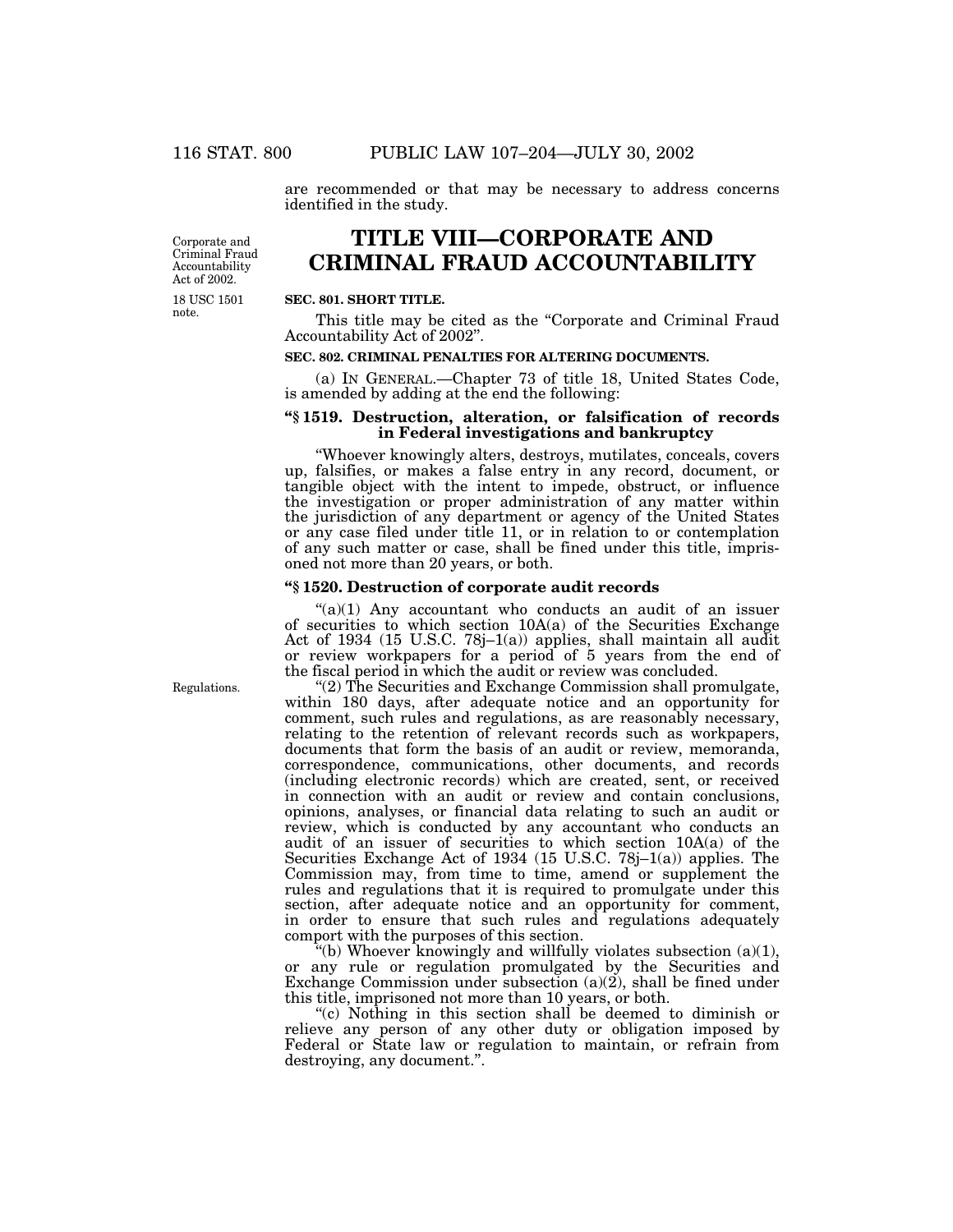are recommended or that may be necessary to address concerns identified in the study.

**TITLE VIII—CORPORATE AND CRIMINAL FRAUD ACCOUNTABILITY**

Corporate and Criminal Fraud Accountability Act of 2002.

18 USC 1501 note.

## **SEC. 801. SHORT TITLE.**

This title may be cited as the "Corporate and Criminal Fraud Accountability Act of 2002''.

### **SEC. 802. CRIMINAL PENALTIES FOR ALTERING DOCUMENTS.**

(a) IN GENERAL.—Chapter 73 of title 18, United States Code, is amended by adding at the end the following:

## **''§ 1519. Destruction, alteration, or falsification of records in Federal investigations and bankruptcy**

''Whoever knowingly alters, destroys, mutilates, conceals, covers up, falsifies, or makes a false entry in any record, document, or tangible object with the intent to impede, obstruct, or influence the investigation or proper administration of any matter within the jurisdiction of any department or agency of the United States or any case filed under title 11, or in relation to or contemplation of any such matter or case, shall be fined under this title, imprisoned not more than 20 years, or both.

#### **''§ 1520. Destruction of corporate audit records**

" $(a)(1)$  Any accountant who conducts an audit of an issuer of securities to which section 10A(a) of the Securities Exchange Act of 1934 (15 U.S.C. 78j–1(a)) applies, shall maintain all audit or review workpapers for a period of 5 years from the end of the fiscal period in which the audit or review was concluded.

''(2) The Securities and Exchange Commission shall promulgate, within 180 days, after adequate notice and an opportunity for comment, such rules and regulations, as are reasonably necessary, relating to the retention of relevant records such as workpapers, documents that form the basis of an audit or review, memoranda, correspondence, communications, other documents, and records (including electronic records) which are created, sent, or received in connection with an audit or review and contain conclusions, opinions, analyses, or financial data relating to such an audit or review, which is conducted by any accountant who conducts an audit of an issuer of securities to which section 10A(a) of the Securities Exchange Act of 1934 (15 U.S.C. 78j–1(a)) applies. The Commission may, from time to time, amend or supplement the rules and regulations that it is required to promulgate under this section, after adequate notice and an opportunity for comment, in order to ensure that such rules and regulations adequately comport with the purposes of this section.

"(b) Whoever knowingly and willfully violates subsection  $(a)(1)$ , or any rule or regulation promulgated by the Securities and Exchange Commission under subsection  $(a)(2)$ , shall be fined under this title, imprisoned not more than 10 years, or both.

''(c) Nothing in this section shall be deemed to diminish or relieve any person of any other duty or obligation imposed by Federal or State law or regulation to maintain, or refrain from destroying, any document.''.

Regulations.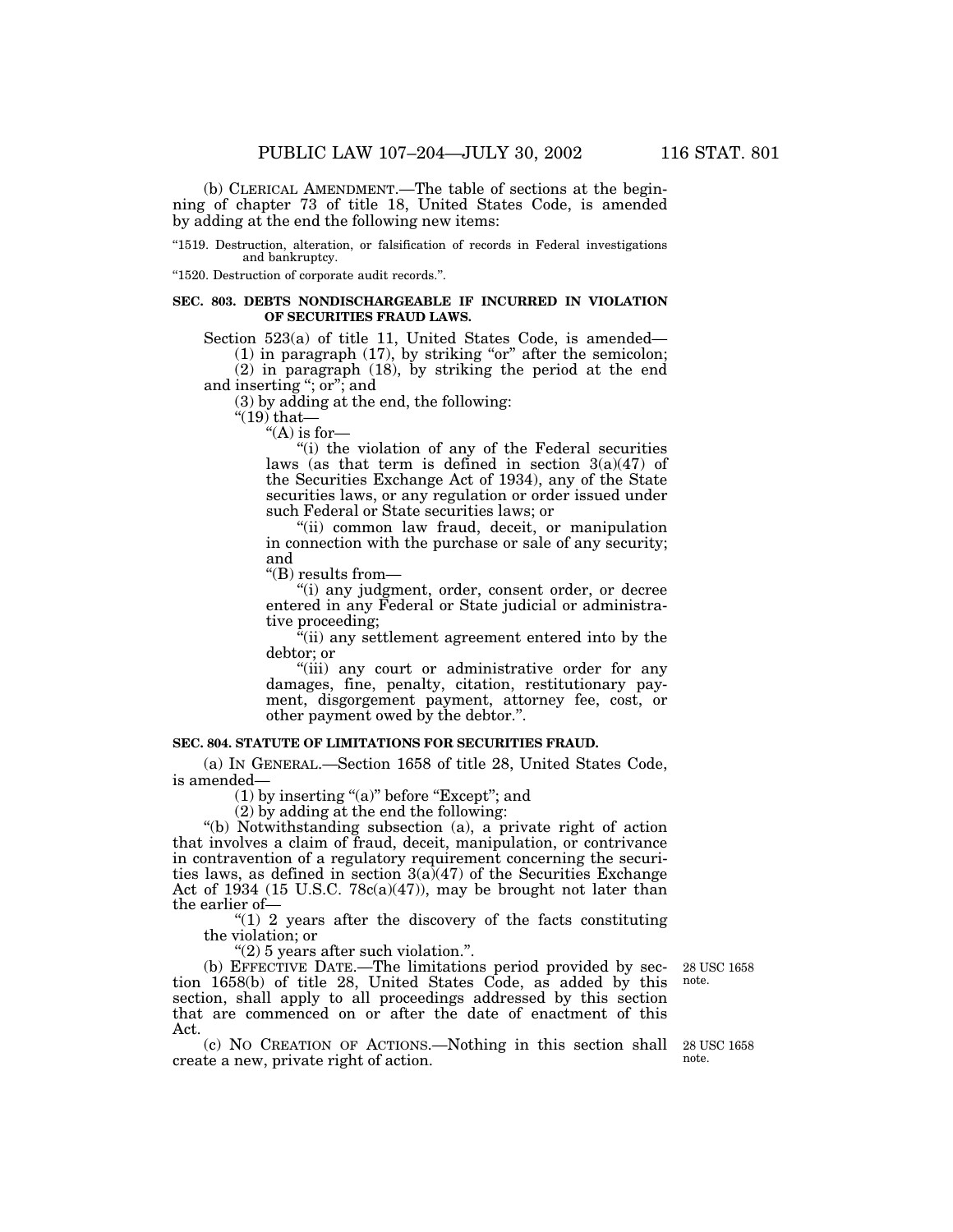(b) CLERICAL AMENDMENT.—The table of sections at the beginning of chapter 73 of title 18, United States Code, is amended by adding at the end the following new items:

"1519. Destruction, alteration, or falsification of records in Federal investigations and bankruptcy.

''1520. Destruction of corporate audit records.''.

## **SEC. 803. DEBTS NONDISCHARGEABLE IF INCURRED IN VIOLATION OF SECURITIES FRAUD LAWS.**

Section 523(a) of title 11, United States Code, is amended—

 $(1)$  in paragraph  $(17)$ , by striking "or" after the semicolon; (2) in paragraph (18), by striking the period at the end and inserting ''; or''; and

(3) by adding at the end, the following:

''(19) that—

 $"$ (A) is for-

"(i) the violation of any of the Federal securities laws (as that term is defined in section  $3(a)(47)$  of the Securities Exchange Act of 1934), any of the State securities laws, or any regulation or order issued under such Federal or State securities laws; or

''(ii) common law fraud, deceit, or manipulation in connection with the purchase or sale of any security; and

''(B) results from—

''(i) any judgment, order, consent order, or decree entered in any Federal or State judicial or administrative proceeding;

''(ii) any settlement agreement entered into by the debtor; or

''(iii) any court or administrative order for any damages, fine, penalty, citation, restitutionary payment, disgorgement payment, attorney fee, cost, or other payment owed by the debtor.''.

#### **SEC. 804. STATUTE OF LIMITATIONS FOR SECURITIES FRAUD.**

(a) IN GENERAL.—Section 1658 of title 28, United States Code, is amended—

(1) by inserting "(a)" before "Except"; and

(2) by adding at the end the following:

''(b) Notwithstanding subsection (a), a private right of action that involves a claim of fraud, deceit, manipulation, or contrivance in contravention of a regulatory requirement concerning the securities laws, as defined in section  $3(a)(47)$  of the Securities Exchange Act of 1934 (15 U.S.C. 78c(a)(47)), may be brought not later than the earlier of—

" $(1)$  2 years after the discovery of the facts constituting the violation; or

''(2) 5 years after such violation.''.

(b) EFFECTIVE DATE.—The limitations period provided by section 1658(b) of title 28, United States Code, as added by this section, shall apply to all proceedings addressed by this section that are commenced on or after the date of enactment of this Act.

(c) NO CREATION OF ACTIONS.—Nothing in this section shall create a new, private right of action.

28 USC 1658 note.

28 USC 1658

note.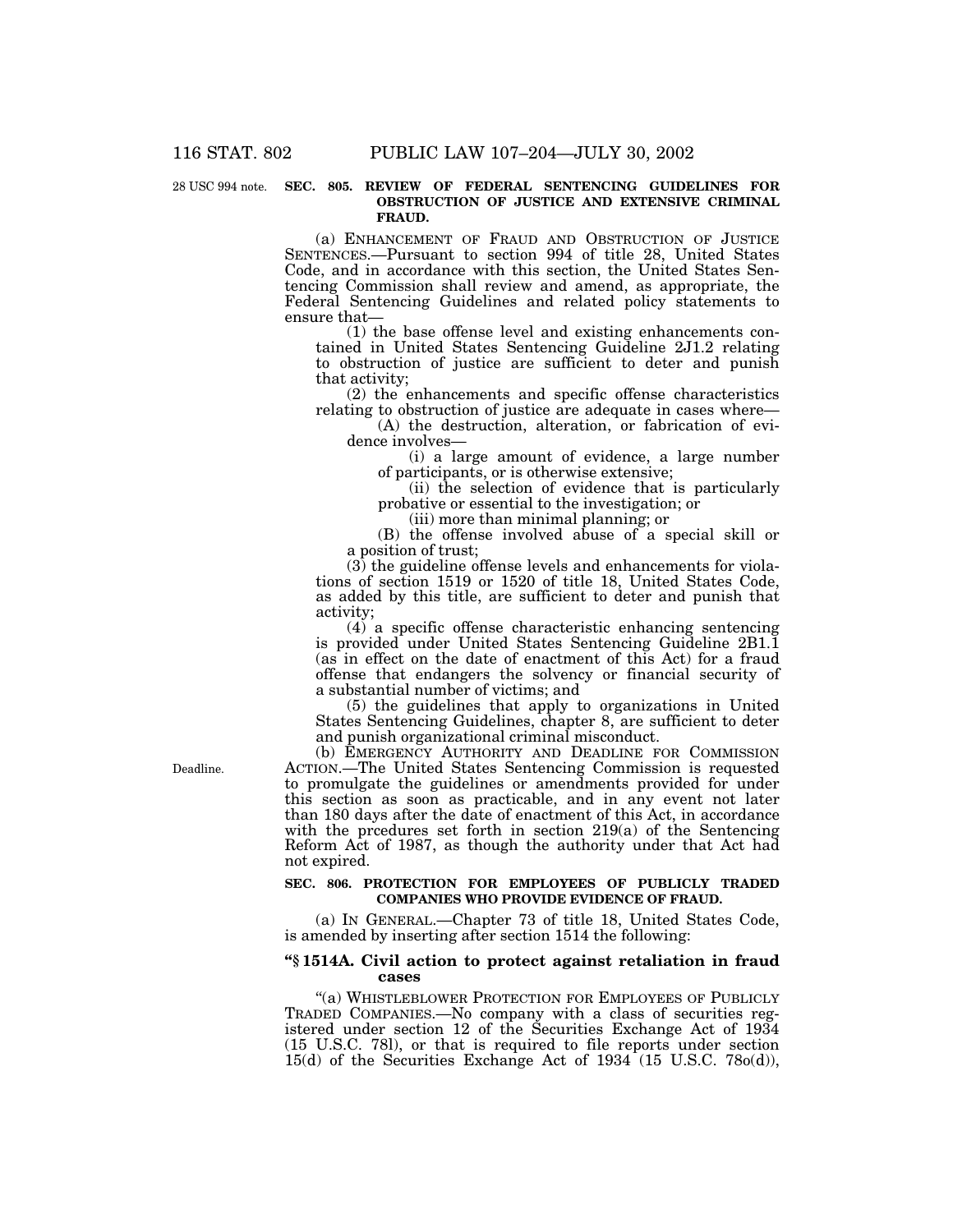#### **SEC. 805. REVIEW OF FEDERAL SENTENCING GUIDELINES FOR** 28 USC 994 note. **OBSTRUCTION OF JUSTICE AND EXTENSIVE CRIMINAL FRAUD.**

(a) ENHANCEMENT OF FRAUD AND OBSTRUCTION OF JUSTICE SENTENCES.—Pursuant to section 994 of title 28, United States Code, and in accordance with this section, the United States Sentencing Commission shall review and amend, as appropriate, the Federal Sentencing Guidelines and related policy statements to ensure that—

(1) the base offense level and existing enhancements contained in United States Sentencing Guideline 2J1.2 relating to obstruction of justice are sufficient to deter and punish that activity;

(2) the enhancements and specific offense characteristics relating to obstruction of justice are adequate in cases where—

(A) the destruction, alteration, or fabrication of evidence involves-

(i) a large amount of evidence, a large number of participants, or is otherwise extensive;

(ii) the selection of evidence that is particularly probative or essential to the investigation; or

(iii) more than minimal planning; or

(B) the offense involved abuse of a special skill or a position of trust;

 $(3)$  the guideline offense levels and enhancements for violations of section 1519 or 1520 of title 18, United States Code, as added by this title, are sufficient to deter and punish that activity;

(4) a specific offense characteristic enhancing sentencing is provided under United States Sentencing Guideline 2B1.1 (as in effect on the date of enactment of this Act) for a fraud offense that endangers the solvency or financial security of a substantial number of victims; and

(5) the guidelines that apply to organizations in United States Sentencing Guidelines, chapter 8, are sufficient to deter and punish organizational criminal misconduct.

(b) EMERGENCY AUTHORITY AND DEADLINE FOR COMMISSION ACTION.—The United States Sentencing Commission is requested to promulgate the guidelines or amendments provided for under this section as soon as practicable, and in any event not later than 180 days after the date of enactment of this Act, in accordance with the prcedures set forth in section 219(a) of the Sentencing Reform Act of 1987, as though the authority under that Act had not expired.

#### **SEC. 806. PROTECTION FOR EMPLOYEES OF PUBLICLY TRADED COMPANIES WHO PROVIDE EVIDENCE OF FRAUD.**

(a) IN GENERAL.—Chapter 73 of title 18, United States Code, is amended by inserting after section 1514 the following:

#### **''§ 1514A. Civil action to protect against retaliation in fraud cases**

''(a) WHISTLEBLOWER PROTECTION FOR EMPLOYEES OF PUBLICLY TRADED COMPANIES.—No company with a class of securities registered under section 12 of the Securities Exchange Act of 1934 (15 U.S.C. 78l), or that is required to file reports under section  $15(d)$  of the Securities Exchange Act of  $1934 \text{ } (15 \text{ U.S.C. } 780(d)),$ 

Deadline.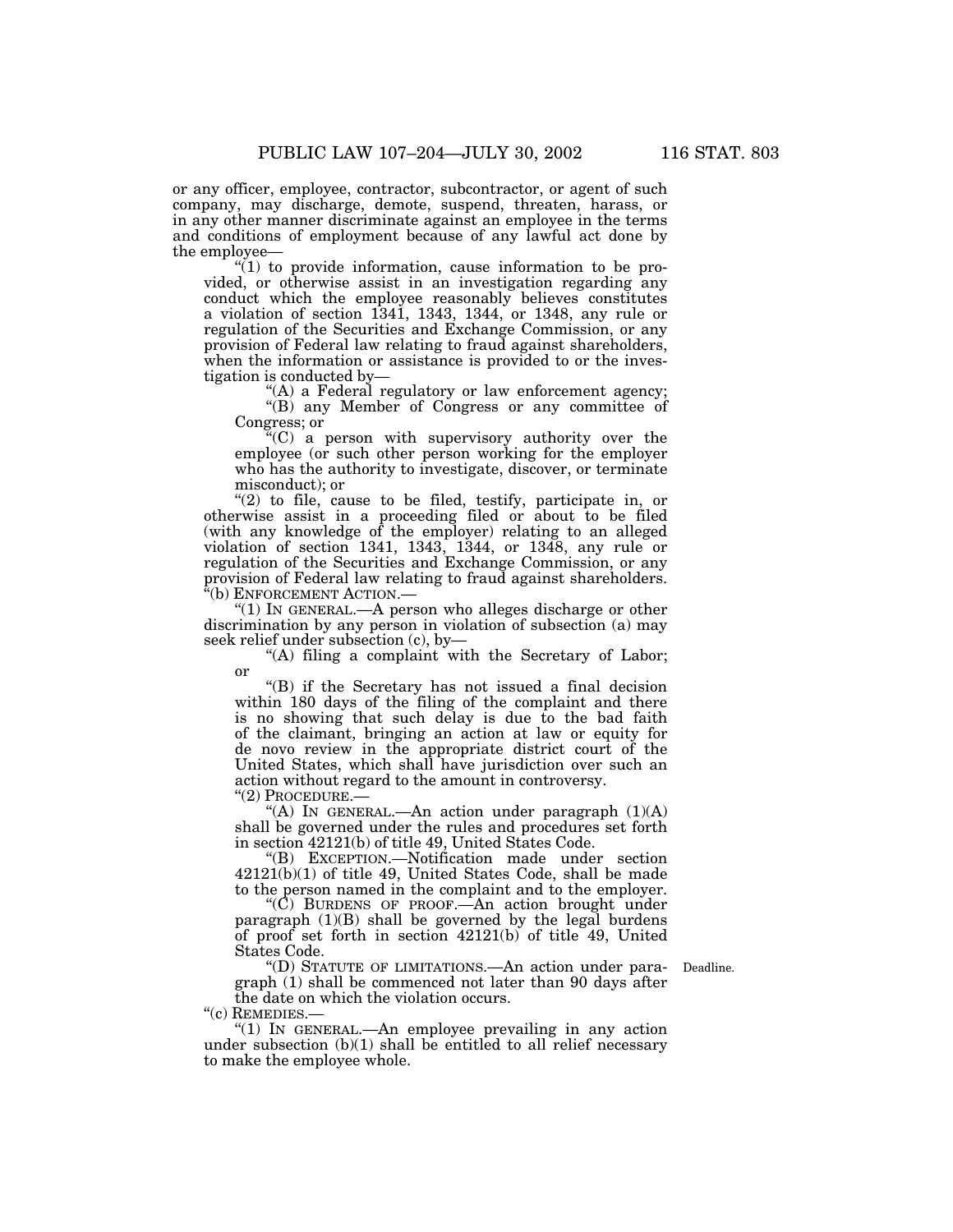or any officer, employee, contractor, subcontractor, or agent of such company, may discharge, demote, suspend, threaten, harass, or in any other manner discriminate against an employee in the terms and conditions of employment because of any lawful act done by the employee—

 $\sqrt[4]{1}$  to provide information, cause information to be provided, or otherwise assist in an investigation regarding any conduct which the employee reasonably believes constitutes a violation of section 1341, 1343, 1344, or 1348, any rule or regulation of the Securities and Exchange Commission, or any provision of Federal law relating to fraud against shareholders, when the information or assistance is provided to or the investigation is conducted by—

"(A) a Federal regulatory or law enforcement agency; ''(B) any Member of Congress or any committee of Congress; or

 $\mathcal{C}(C)$  a person with supervisory authority over the employee (or such other person working for the employer who has the authority to investigate, discover, or terminate misconduct); or

"(2) to file, cause to be filed, testify, participate in, or otherwise assist in a proceeding filed or about to be filed (with any knowledge of the employer) relating to an alleged violation of section 1341, 1343, 1344, or 1348, any rule or regulation of the Securities and Exchange Commission, or any provision of Federal law relating to fraud against shareholders. ''(b) ENFORCEMENT ACTION.—

"(1) IN GENERAL.—A person who alleges discharge or other discrimination by any person in violation of subsection (a) may seek relief under subsection (c), by—

"(A) filing a complaint with the Secretary of Labor; or

''(B) if the Secretary has not issued a final decision within 180 days of the filing of the complaint and there is no showing that such delay is due to the bad faith of the claimant, bringing an action at law or equity for de novo review in the appropriate district court of the United States, which shall have jurisdiction over such an action without regard to the amount in controversy.

''(2) PROCEDURE.—

''(A) IN GENERAL.—An action under paragraph (1)(A) shall be governed under the rules and procedures set forth in section 42121(b) of title 49, United States Code.

''(B) EXCEPTION.—Notification made under section 42121(b)(1) of title 49, United States Code, shall be made to the person named in the complaint and to the employer.

''(C) BURDENS OF PROOF.—An action brought under paragraph (1)(B) shall be governed by the legal burdens of proof set forth in section 42121(b) of title 49, United States Code.

Deadline.

''(D) STATUTE OF LIMITATIONS.—An action under paragraph (1) shall be commenced not later than 90 days after the date on which the violation occurs.

"(c) REMEDIES.-

''(1) IN GENERAL.—An employee prevailing in any action under subsection  $(b)(1)$  shall be entitled to all relief necessary to make the employee whole.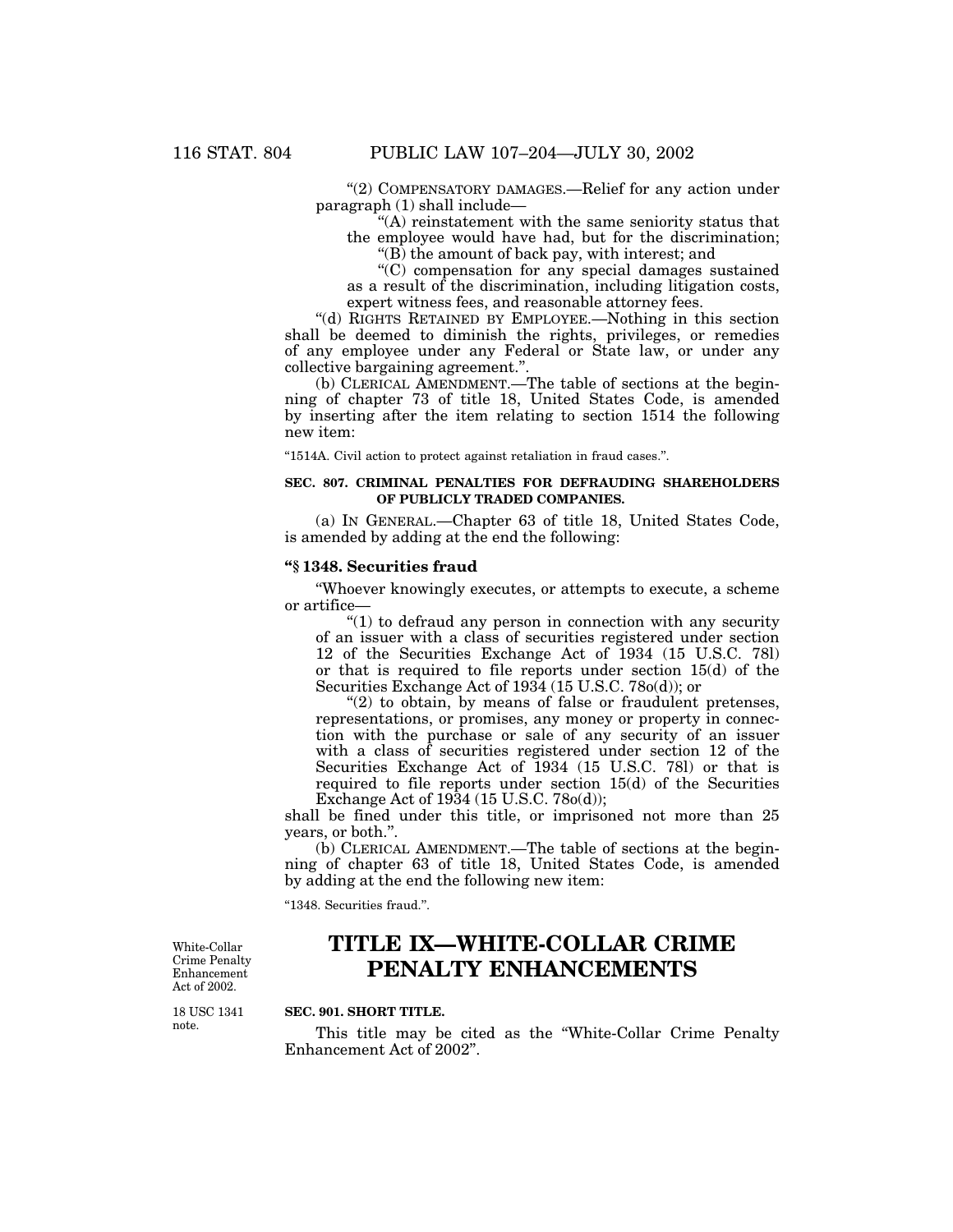"(2) COMPENSATORY DAMAGES.—Relief for any action under paragraph (1) shall include—

''(A) reinstatement with the same seniority status that the employee would have had, but for the discrimination;

 $\mathcal{F}(B)$  the amount of back pay, with interest; and

''(C) compensation for any special damages sustained as a result of the discrimination, including litigation costs, expert witness fees, and reasonable attorney fees.

''(d) RIGHTS RETAINED BY EMPLOYEE.—Nothing in this section shall be deemed to diminish the rights, privileges, or remedies of any employee under any Federal or State law, or under any collective bargaining agreement.''.

(b) CLERICAL AMENDMENT.—The table of sections at the beginning of chapter 73 of title 18, United States Code, is amended by inserting after the item relating to section 1514 the following new item:

''1514A. Civil action to protect against retaliation in fraud cases.''.

## **SEC. 807. CRIMINAL PENALTIES FOR DEFRAUDING SHAREHOLDERS OF PUBLICLY TRADED COMPANIES.**

(a) IN GENERAL.—Chapter 63 of title 18, United States Code, is amended by adding at the end the following:

#### **''§ 1348. Securities fraud**

''Whoever knowingly executes, or attempts to execute, a scheme or artifice—

 $''(1)$  to defraud any person in connection with any security of an issuer with a class of securities registered under section 12 of the Securities Exchange Act of 1934 (15 U.S.C. 78l) or that is required to file reports under section 15(d) of the Securities Exchange Act of 1934 (15 U.S.C. 78o(d)); or

 $''(2)$  to obtain, by means of false or fraudulent pretenses, representations, or promises, any money or property in connection with the purchase or sale of any security of an issuer with a class of securities registered under section 12 of the Securities Exchange Act of 1934 (15 U.S.C. 78l) or that is required to file reports under section 15(d) of the Securities Exchange Act of 1934 (15 U.S.C. 78o(d));

shall be fined under this title, or imprisoned not more than 25 years, or both.''.

(b) CLERICAL AMENDMENT.—The table of sections at the beginning of chapter 63 of title 18, United States Code, is amended by adding at the end the following new item:

''1348. Securities fraud.''.

White-Collar Crime Penalty Enhancement Act of 2002.

# **TITLE IX—WHITE-COLLAR CRIME PENALTY ENHANCEMENTS**

18 USC 1341 note.

## **SEC. 901. SHORT TITLE.**

This title may be cited as the ''White-Collar Crime Penalty Enhancement Act of 2002''.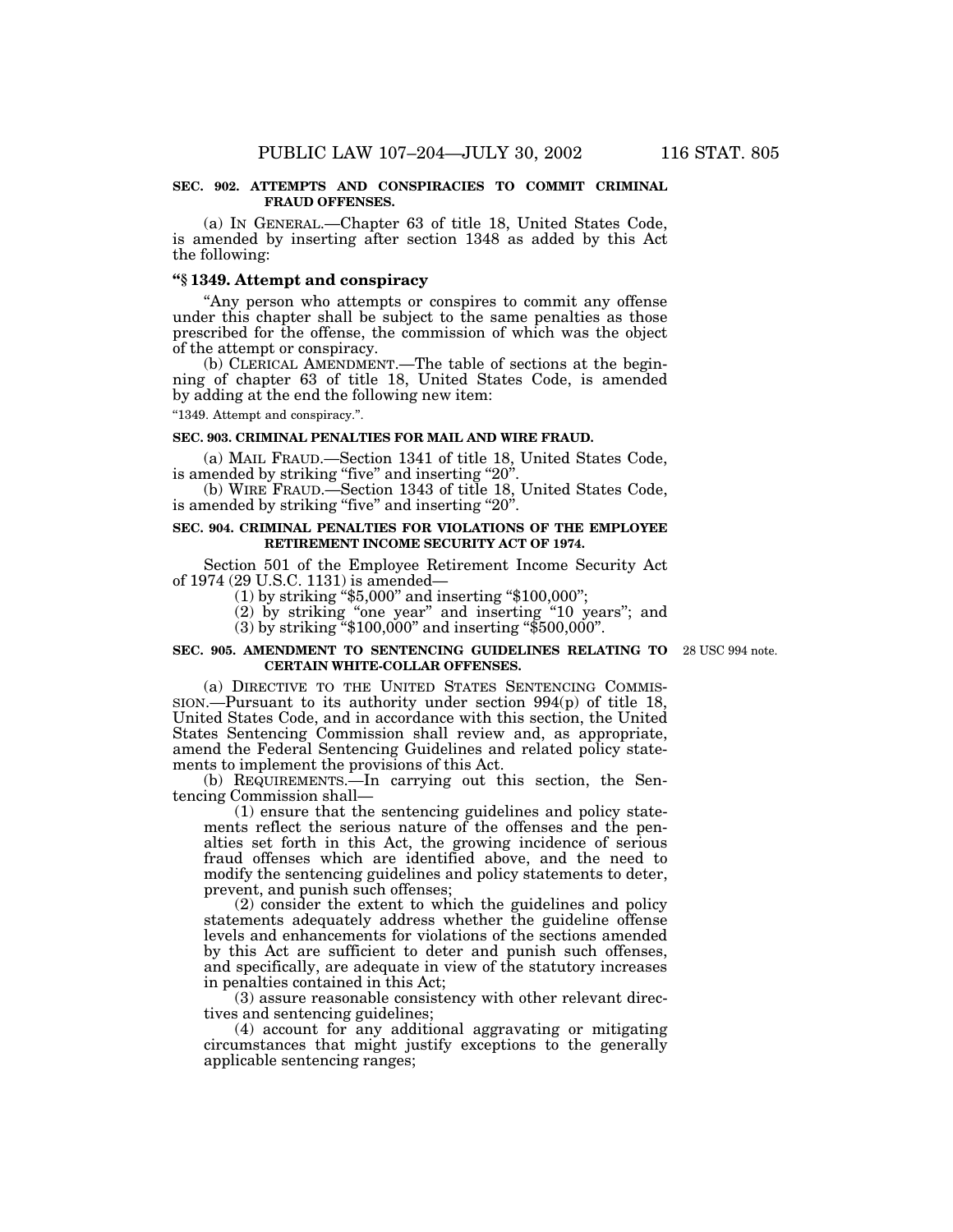#### **SEC. 902. ATTEMPTS AND CONSPIRACIES TO COMMIT CRIMINAL FRAUD OFFENSES.**

(a) IN GENERAL.—Chapter 63 of title 18, United States Code, is amended by inserting after section 1348 as added by this Act the following:

## **''§ 1349. Attempt and conspiracy**

''Any person who attempts or conspires to commit any offense under this chapter shall be subject to the same penalties as those prescribed for the offense, the commission of which was the object of the attempt or conspiracy.

(b) CLERICAL AMENDMENT.—The table of sections at the beginning of chapter 63 of title 18, United States Code, is amended by adding at the end the following new item:

''1349. Attempt and conspiracy.''.

#### **SEC. 903. CRIMINAL PENALTIES FOR MAIL AND WIRE FRAUD.**

(a) MAIL FRAUD.—Section 1341 of title 18, United States Code, is amended by striking "five" and inserting "20".

(b) WIRE FRAUD.—Section 1343 of title 18, United States Code, is amended by striking "five" and inserting "20".

### **SEC. 904. CRIMINAL PENALTIES FOR VIOLATIONS OF THE EMPLOYEE RETIREMENT INCOME SECURITY ACT OF 1974.**

Section 501 of the Employee Retirement Income Security Act of 1974 (29 U.S.C. 1131) is amended—

 $(1)$  by striking "\$5,000" and inserting "\$100,000";

(2) by striking ''one year'' and inserting ''10 years''; and (3) by striking ''\$100,000'' and inserting ''\$500,000''.

#### **SEC. 905. AMENDMENT TO SENTENCING GUIDELINES RELATING TO** 28 USC 994 note. **CERTAIN WHITE-COLLAR OFFENSES.**

(a) DIRECTIVE TO THE UNITED STATES SENTENCING COMMIS-SION.—Pursuant to its authority under section 994(p) of title 18, United States Code, and in accordance with this section, the United States Sentencing Commission shall review and, as appropriate, amend the Federal Sentencing Guidelines and related policy state-

ments to implement the provisions of this Act. (b) REQUIREMENTS.—In carrying out this section, the Sentencing Commission shall—

(1) ensure that the sentencing guidelines and policy statements reflect the serious nature of the offenses and the penalties set forth in this Act, the growing incidence of serious fraud offenses which are identified above, and the need to modify the sentencing guidelines and policy statements to deter, prevent, and punish such offenses;

(2) consider the extent to which the guidelines and policy statements adequately address whether the guideline offense levels and enhancements for violations of the sections amended by this Act are sufficient to deter and punish such offenses, and specifically, are adequate in view of the statutory increases in penalties contained in this Act;

(3) assure reasonable consistency with other relevant directives and sentencing guidelines;

(4) account for any additional aggravating or mitigating circumstances that might justify exceptions to the generally applicable sentencing ranges;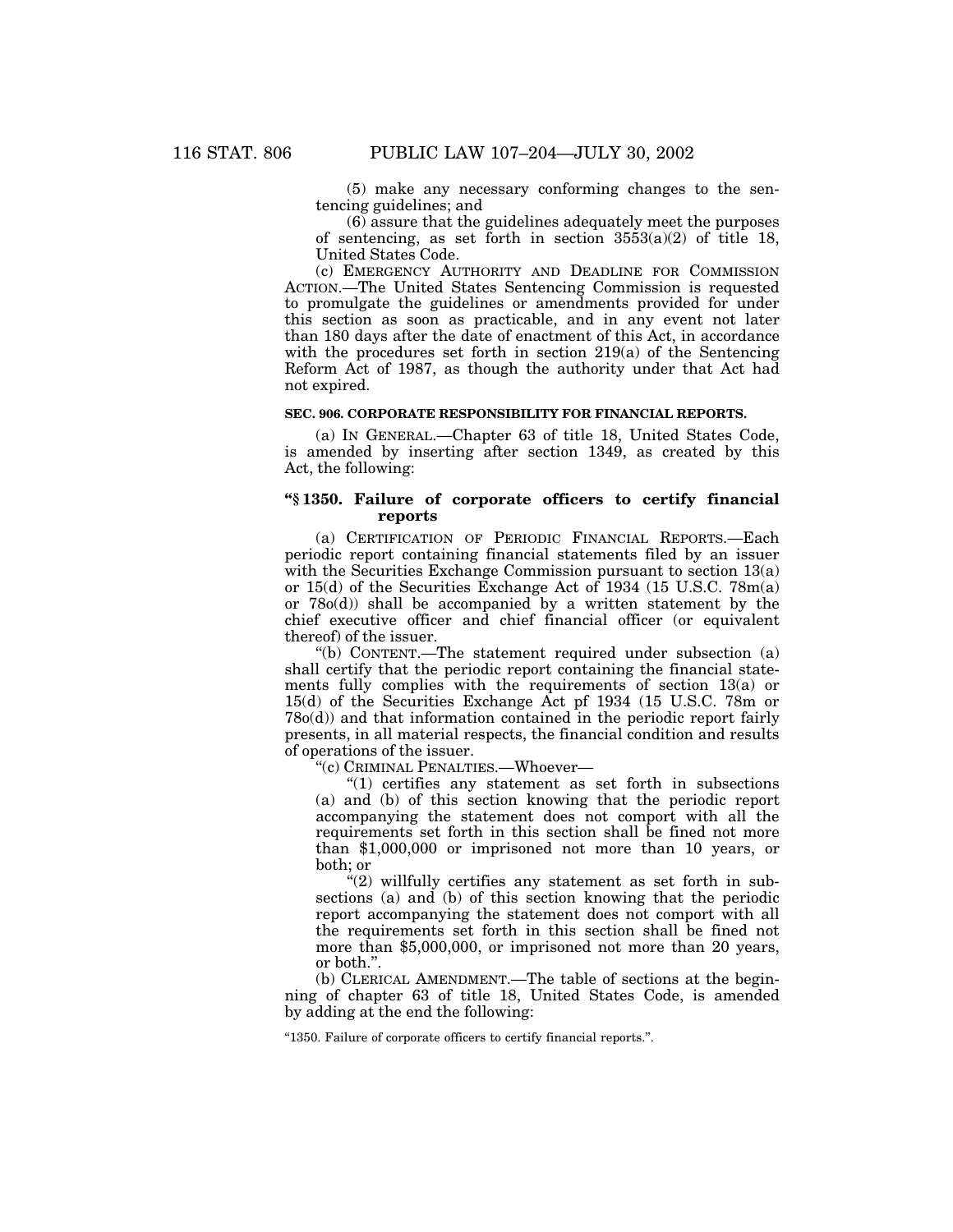(5) make any necessary conforming changes to the sentencing guidelines; and

(6) assure that the guidelines adequately meet the purposes of sentencing, as set forth in section  $3553(a)(2)$  of title 18, United States Code.

(c) EMERGENCY AUTHORITY AND DEADLINE FOR COMMISSION ACTION.—The United States Sentencing Commission is requested to promulgate the guidelines or amendments provided for under this section as soon as practicable, and in any event not later than 180 days after the date of enactment of this Act, in accordance with the procedures set forth in section 219(a) of the Sentencing Reform Act of 1987, as though the authority under that Act had not expired.

#### **SEC. 906. CORPORATE RESPONSIBILITY FOR FINANCIAL REPORTS.**

(a) IN GENERAL.—Chapter 63 of title 18, United States Code, is amended by inserting after section 1349, as created by this Act, the following:

## **''§ 1350. Failure of corporate officers to certify financial reports**

(a) CERTIFICATION OF PERIODIC FINANCIAL REPORTS.—Each periodic report containing financial statements filed by an issuer with the Securities Exchange Commission pursuant to section 13(a) or 15(d) of the Securities Exchange Act of 1934 (15 U.S.C. 78m(a) or 78o(d)) shall be accompanied by a written statement by the chief executive officer and chief financial officer (or equivalent thereof) of the issuer.

''(b) CONTENT.—The statement required under subsection (a) shall certify that the periodic report containing the financial statements fully complies with the requirements of section 13(a) or 15(d) of the Securities Exchange Act pf 1934 (15 U.S.C. 78m or 78o(d)) and that information contained in the periodic report fairly presents, in all material respects, the financial condition and results of operations of the issuer.

''(c) CRIMINAL PENALTIES.—Whoever—

''(1) certifies any statement as set forth in subsections (a) and (b) of this section knowing that the periodic report accompanying the statement does not comport with all the requirements set forth in this section shall be fined not more than \$1,000,000 or imprisoned not more than 10 years, or both; or

"(2) willfully certifies any statement as set forth in subsections (a) and (b) of this section knowing that the periodic report accompanying the statement does not comport with all the requirements set forth in this section shall be fined not more than \$5,000,000, or imprisoned not more than 20 years, or both.''.

(b) CLERICAL AMENDMENT.—The table of sections at the beginning of chapter 63 of title 18, United States Code, is amended by adding at the end the following:

''1350. Failure of corporate officers to certify financial reports.''.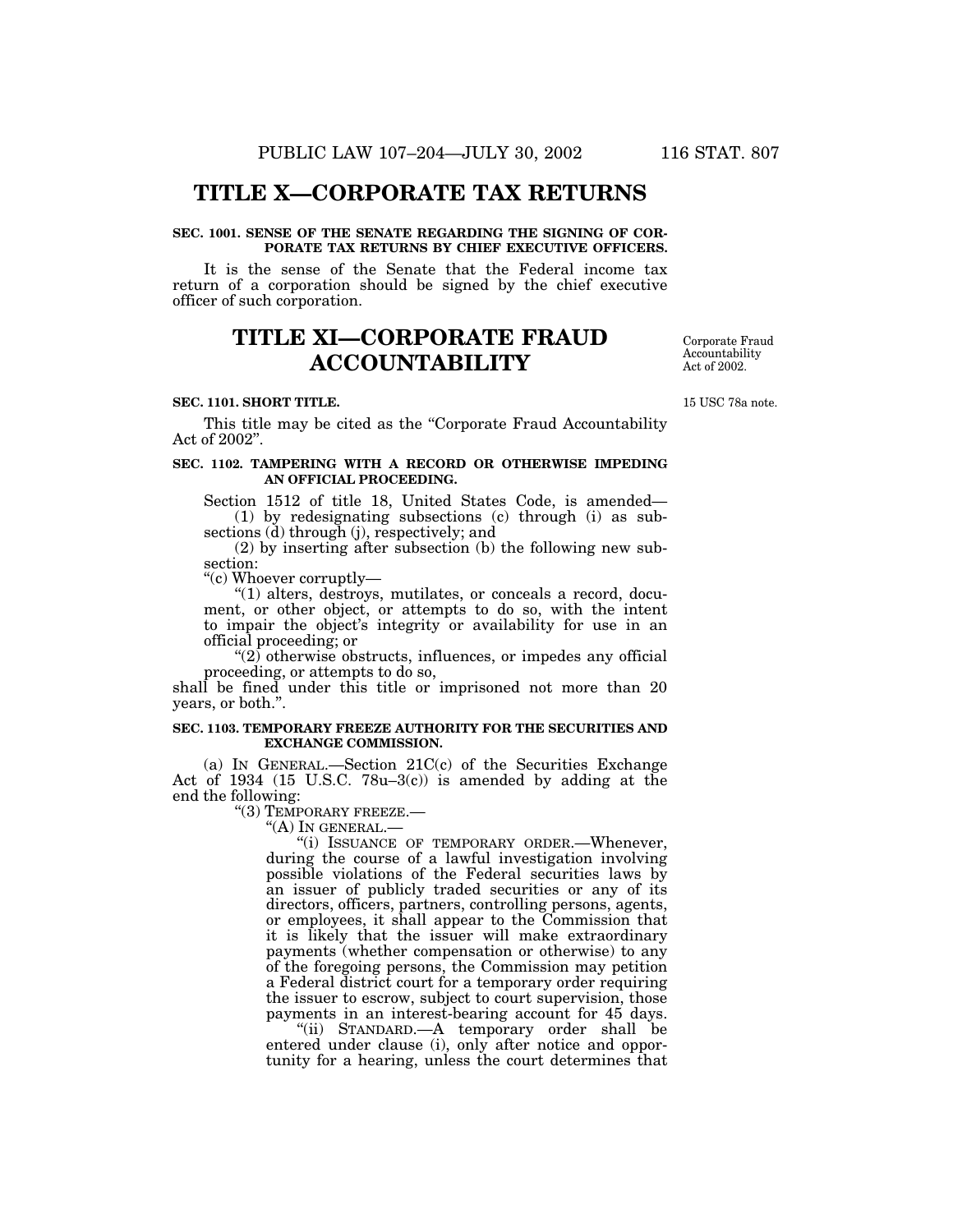# **TITLE X—CORPORATE TAX RETURNS**

## **SEC. 1001. SENSE OF THE SENATE REGARDING THE SIGNING OF COR-PORATE TAX RETURNS BY CHIEF EXECUTIVE OFFICERS.**

It is the sense of the Senate that the Federal income tax return of a corporation should be signed by the chief executive officer of such corporation.

# **TITLE XI—CORPORATE FRAUD ACCOUNTABILITY**

## **SEC. 1101. SHORT TITLE.**

This title may be cited as the "Corporate Fraud Accountability" Act of 2002''.

## **SEC. 1102. TAMPERING WITH A RECORD OR OTHERWISE IMPEDING AN OFFICIAL PROCEEDING.**

Section 1512 of title 18, United States Code, is amended— (1) by redesignating subsections (c) through (i) as subsections (d) through (j), respectively; and

(2) by inserting after subsection (b) the following new subsection:

''(c) Whoever corruptly—

''(1) alters, destroys, mutilates, or conceals a record, document, or other object, or attempts to do so, with the intent to impair the object's integrity or availability for use in an official proceeding; or

 $(2)$  otherwise obstructs, influences, or impedes any official proceeding, or attempts to do so,

shall be fined under this title or imprisoned not more than 20 years, or both.''.

#### **SEC. 1103. TEMPORARY FREEZE AUTHORITY FOR THE SECURITIES AND EXCHANGE COMMISSION.**

(a) IN GENERAL.—Section 21C(c) of the Securities Exchange Act of 1934 (15 U.S.C. 78u–3(c)) is amended by adding at the end the following:

''(3) TEMPORARY FREEZE.—

''(A) IN GENERAL.—

"(i) ISSUANCE OF TEMPORARY ORDER.—Whenever, during the course of a lawful investigation involving possible violations of the Federal securities laws by an issuer of publicly traded securities or any of its directors, officers, partners, controlling persons, agents, or employees, it shall appear to the Commission that it is likely that the issuer will make extraordinary payments (whether compensation or otherwise) to any of the foregoing persons, the Commission may petition a Federal district court for a temporary order requiring the issuer to escrow, subject to court supervision, those payments in an interest-bearing account for 45 days.

''(ii) STANDARD.—A temporary order shall be entered under clause (i), only after notice and opportunity for a hearing, unless the court determines that

15 USC 78a note.

Corporate Fraud Accountability Act of 2002.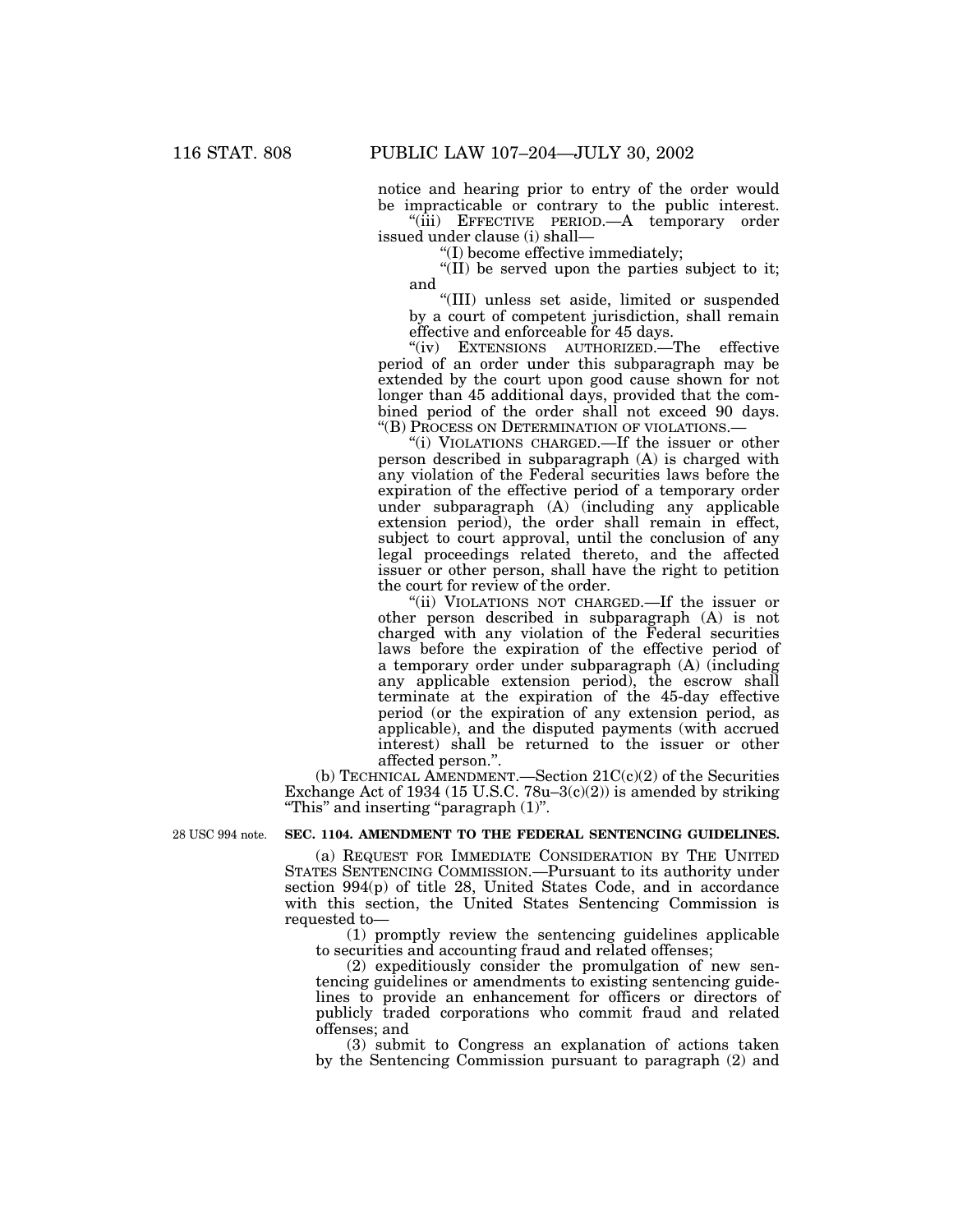notice and hearing prior to entry of the order would be impracticable or contrary to the public interest.

"(iii) EFFECTIVE PERIOD.—A temporary order issued under clause (i) shall—

''(I) become effective immediately;

''(II) be served upon the parties subject to it; and

''(III) unless set aside, limited or suspended by a court of competent jurisdiction, shall remain effective and enforceable for 45 days.

''(iv) EXTENSIONS AUTHORIZED.—The effective period of an order under this subparagraph may be extended by the court upon good cause shown for not longer than 45 additional days, provided that the combined period of the order shall not exceed 90 days. ''(B) PROCESS ON DETERMINATION OF VIOLATIONS.—

''(i) VIOLATIONS CHARGED.—If the issuer or other person described in subparagraph (A) is charged with any violation of the Federal securities laws before the expiration of the effective period of a temporary order under subparagraph (A) (including any applicable extension period), the order shall remain in effect, subject to court approval, until the conclusion of any legal proceedings related thereto, and the affected issuer or other person, shall have the right to petition the court for review of the order.

''(ii) VIOLATIONS NOT CHARGED.—If the issuer or other person described in subparagraph (A) is not charged with any violation of the Federal securities laws before the expiration of the effective period of a temporary order under subparagraph (A) (including any applicable extension period), the escrow shall terminate at the expiration of the 45-day effective period (or the expiration of any extension period, as applicable), and the disputed payments (with accrued interest) shall be returned to the issuer or other affected person.''.

(b) TECHNICAL AMENDMENT.—Section  $21C(c)(2)$  of the Securities Exchange Act of 1934 (15 U.S.C.  $78u-3(c)(2)$ ) is amended by striking ''This'' and inserting ''paragraph (1)''.

28 USC 994 note.

## **SEC. 1104. AMENDMENT TO THE FEDERAL SENTENCING GUIDELINES.**

(a) REQUEST FOR IMMEDIATE CONSIDERATION BY THE UNITED STATES SENTENCING COMMISSION.—Pursuant to its authority under section 994(p) of title 28, United States Code, and in accordance with this section, the United States Sentencing Commission is requested to—

(1) promptly review the sentencing guidelines applicable to securities and accounting fraud and related offenses;

(2) expeditiously consider the promulgation of new sentencing guidelines or amendments to existing sentencing guidelines to provide an enhancement for officers or directors of publicly traded corporations who commit fraud and related offenses; and

(3) submit to Congress an explanation of actions taken by the Sentencing Commission pursuant to paragraph (2) and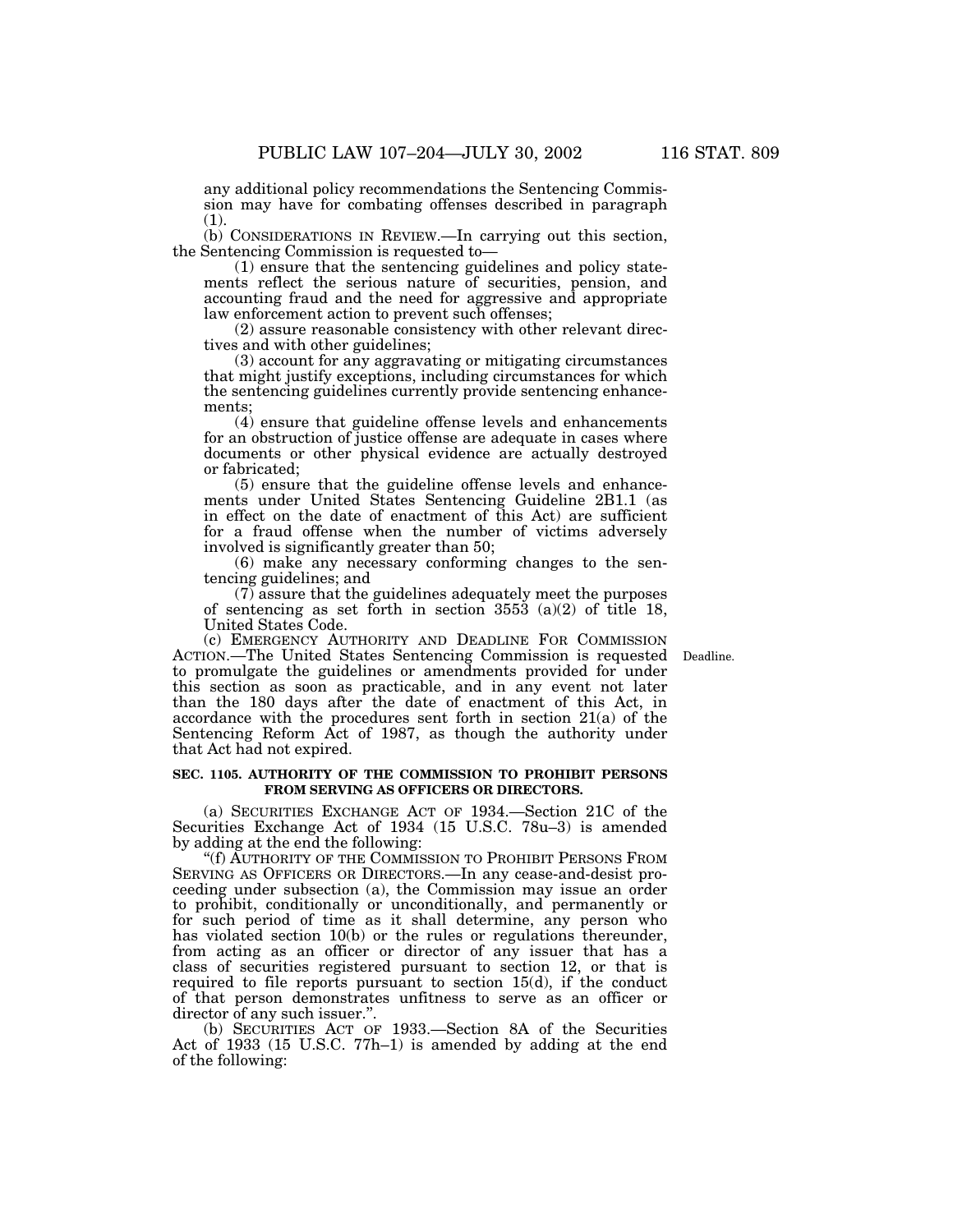any additional policy recommendations the Sentencing Commission may have for combating offenses described in paragraph

(1). (b) CONSIDERATIONS IN REVIEW.—In carrying out this section,

the Sentencing Commission is requested to— (1) ensure that the sentencing guidelines and policy state-

ments reflect the serious nature of securities, pension, and accounting fraud and the need for aggressive and appropriate law enforcement action to prevent such offenses;

(2) assure reasonable consistency with other relevant directives and with other guidelines;

(3) account for any aggravating or mitigating circumstances that might justify exceptions, including circumstances for which the sentencing guidelines currently provide sentencing enhancements;

(4) ensure that guideline offense levels and enhancements for an obstruction of justice offense are adequate in cases where documents or other physical evidence are actually destroyed or fabricated;

(5) ensure that the guideline offense levels and enhancements under United States Sentencing Guideline 2B1.1 (as in effect on the date of enactment of this Act) are sufficient for a fraud offense when the number of victims adversely involved is significantly greater than 50;

(6) make any necessary conforming changes to the sentencing guidelines; and

(7) assure that the guidelines adequately meet the purposes of sentencing as set forth in section  $355\overline{3}$  (a)(2) of title 18, United States Code.

(c) EMERGENCY AUTHORITY AND DEADLINE FOR COMMISSION ACTION.—The United States Sentencing Commission is requested Deadline. to promulgate the guidelines or amendments provided for under this section as soon as practicable, and in any event not later than the 180 days after the date of enactment of this Act, in accordance with the procedures sent forth in section 21(a) of the Sentencing Reform Act of 1987, as though the authority under that Act had not expired.

## **SEC. 1105. AUTHORITY OF THE COMMISSION TO PROHIBIT PERSONS FROM SERVING AS OFFICERS OR DIRECTORS.**

(a) SECURITIES EXCHANGE ACT OF 1934.—Section 21C of the Securities Exchange Act of 1934 (15 U.S.C. 78u–3) is amended by adding at the end the following:

''(f) AUTHORITY OF THE COMMISSION TO PROHIBIT PERSONS FROM SERVING AS OFFICERS OR DIRECTORS.—In any cease-and-desist proceeding under subsection (a), the Commission may issue an order to prohibit, conditionally or unconditionally, and permanently or for such period of time as it shall determine, any person who has violated section 10(b) or the rules or regulations thereunder, from acting as an officer or director of any issuer that has a class of securities registered pursuant to section 12, or that is required to file reports pursuant to section 15(d), if the conduct of that person demonstrates unfitness to serve as an officer or director of any such issuer.''.

(b) SECURITIES ACT OF 1933.—Section 8A of the Securities Act of 1933 (15 U.S.C. 77h–1) is amended by adding at the end of the following: